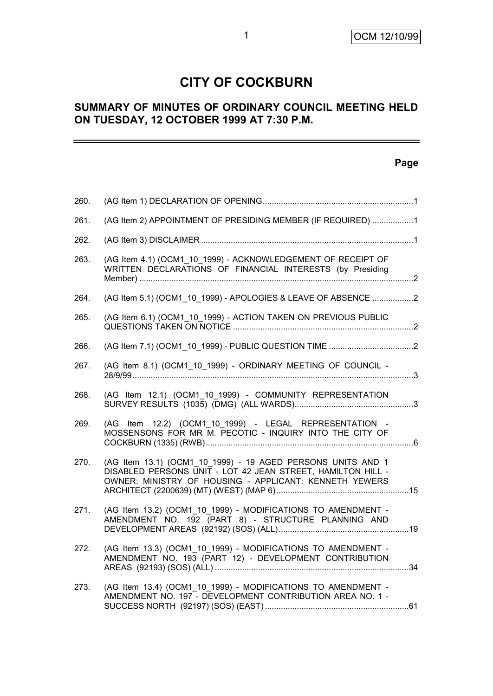# **CITY OF COCKBURN**

# **SUMMARY OF MINUTES OF ORDINARY COUNCIL MEETING HELD ON TUESDAY, 12 OCTOBER 1999 AT 7:30 P.M.**

# **Page**

| 260. |                                                                                                                                                                                      |  |
|------|--------------------------------------------------------------------------------------------------------------------------------------------------------------------------------------|--|
| 261. | (AG Item 2) APPOINTMENT OF PRESIDING MEMBER (IF REQUIRED) 1                                                                                                                          |  |
| 262. |                                                                                                                                                                                      |  |
| 263. | (AG Item 4.1) (OCM1_10_1999) - ACKNOWLEDGEMENT OF RECEIPT OF<br>WRITTEN DECLARATIONS OF FINANCIAL INTERESTS (by Presiding                                                            |  |
| 264. | (AG Item 5.1) (OCM1_10_1999) - APOLOGIES & LEAVE OF ABSENCE 2                                                                                                                        |  |
| 265. | (AG Item 6.1) (OCM1_10_1999) - ACTION TAKEN ON PREVIOUS PUBLIC                                                                                                                       |  |
| 266. |                                                                                                                                                                                      |  |
| 267. | (AG Item 8.1) (OCM1_10_1999) - ORDINARY MEETING OF COUNCIL -                                                                                                                         |  |
| 268. | (AG Item 12.1) (OCM1 10 1999) - COMMUNITY REPRESENTATION                                                                                                                             |  |
| 269. | (AG Item 12.2) (OCM1 10 1999) - LEGAL REPRESENTATION<br>$\sim$<br>MOSSENSONS FOR MR M. PECOTIC - INQUIRY INTO THE CITY OF                                                            |  |
| 270. | (AG Item 13.1) (OCM1 10 1999) - 19 AGED PERSONS UNITS AND 1<br>DISABLED PERSONS UNIT - LOT 42 JEAN STREET, HAMILTON HILL -<br>OWNER: MINISTRY OF HOUSING - APPLICANT: KENNETH YEWERS |  |
| 271. | (AG Item 13.2) (OCM1_10_1999) - MODIFICATIONS TO AMENDMENT -<br>AMENDMENT NO. 192 (PART 8) - STRUCTURE PLANNING AND                                                                  |  |
| 272. | (AG Item 13.3) (OCM1 10 1999) - MODIFICATIONS TO AMENDMENT -<br>AMENDMENT NO. 193 (PART 12) - DEVELOPMENT CONTRIBUTION                                                               |  |
| 273. | (AG Item 13.4) (OCM1 10 1999) - MODIFICATIONS TO AMENDMENT -<br>AMENDMENT NO. 197 - DEVELOPMENT CONTRIBUTION AREA NO. 1 -                                                            |  |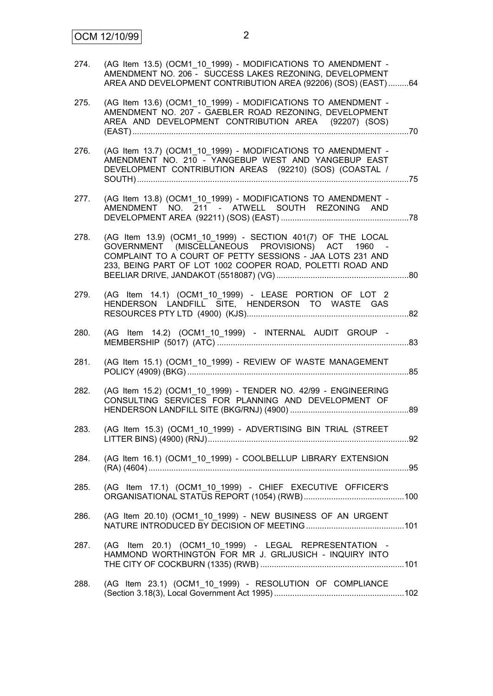| 274. | (AG Item 13.5) (OCM1_10_1999) - MODIFICATIONS TO AMENDMENT -<br>AMENDMENT NO. 206 - SUCCESS LAKES REZONING, DEVELOPMENT<br>AREA AND DEVELOPMENT CONTRIBUTION AREA (92206) (SOS) (EAST) 64                                                 |
|------|-------------------------------------------------------------------------------------------------------------------------------------------------------------------------------------------------------------------------------------------|
| 275. | (AG Item 13.6) (OCM1 10 1999) - MODIFICATIONS TO AMENDMENT -<br>AMENDMENT NO. 207 - GAEBLER ROAD REZONING, DEVELOPMENT<br>AREA AND DEVELOPMENT CONTRIBUTION AREA (92207) (SOS)                                                            |
| 276. | (AG Item 13.7) (OCM1_10_1999) - MODIFICATIONS TO AMENDMENT -<br>AMENDMENT NO. 210 - YANGEBUP WEST AND YANGEBUP EAST<br>DEVELOPMENT CONTRIBUTION AREAS (92210) (SOS) (COASTAL /                                                            |
| 277. | (AG Item 13.8) (OCM1_10_1999) - MODIFICATIONS TO AMENDMENT -<br>AMENDMENT NO. 211 - ATWELL SOUTH REZONING AND                                                                                                                             |
| 278. | (AG Item 13.9) (OCM1_10_1999) - SECTION 401(7) OF THE LOCAL<br>GOVERNMENT (MISCELLANEOUS PROVISIONS) ACT 1960 -<br>COMPLAINT TO A COURT OF PETTY SESSIONS - JAA LOTS 231 AND<br>233, BEING PART OF LOT 1002 COOPER ROAD, POLETTI ROAD AND |
| 279. | (AG Item 14.1) (OCM1_10_1999) - LEASE PORTION OF LOT 2<br>HENDERSON LANDFILL SITE, HENDERSON TO WASTE GAS                                                                                                                                 |
| 280. | (AG Item 14.2) (OCM1_10_1999) - INTERNAL AUDIT GROUP -                                                                                                                                                                                    |
| 281. | (AG Item 15.1) (OCM1_10_1999) - REVIEW OF WASTE MANAGEMENT                                                                                                                                                                                |
| 282. | (AG Item 15.2) (OCM1 10 1999) - TENDER NO. 42/99 - ENGINEERING<br>CONSULTING SERVICES FOR PLANNING AND DEVELOPMENT OF                                                                                                                     |
| 283. | (AG Item 15.3) (OCM1_10_1999) - ADVERTISING BIN TRIAL (STREET                                                                                                                                                                             |
| 284. | (AG Item 16.1) (OCM1_10_1999) - COOLBELLUP LIBRARY EXTENSION                                                                                                                                                                              |
| 285. | (AG Item 17.1) (OCM1_10_1999) - CHIEF EXECUTIVE OFFICER'S                                                                                                                                                                                 |
| 286. | (AG Item 20.10) (OCM1_10_1999) - NEW BUSINESS OF AN URGENT                                                                                                                                                                                |
| 287. | (AG Item 20.1) (OCM1 10 1999) - LEGAL REPRESENTATION -<br>HAMMOND WORTHINGTON FOR MR J. GRLJUSICH - INQUIRY INTO                                                                                                                          |
| 288. | (AG Item 23.1) (OCM1_10_1999) - RESOLUTION OF COMPLIANCE                                                                                                                                                                                  |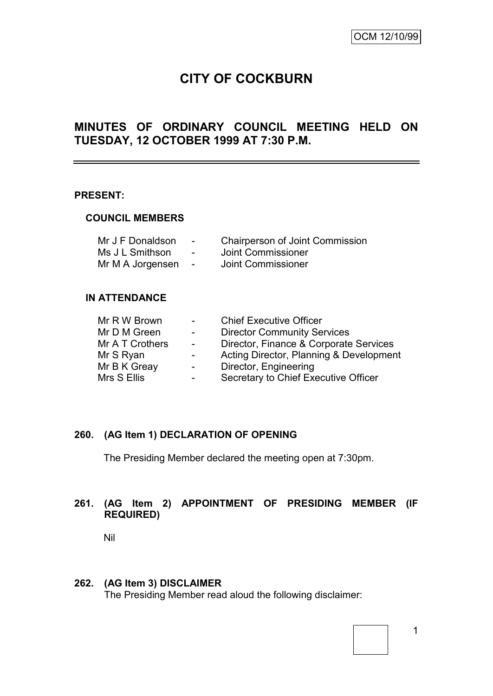# **CITY OF COCKBURN**

# **MINUTES OF ORDINARY COUNCIL MEETING HELD ON TUESDAY, 12 OCTOBER 1999 AT 7:30 P.M.**

#### **PRESENT:**

#### **COUNCIL MEMBERS**

| Mr J F Donaldson | $\overline{\phantom{a}}$ | <b>Chairperson of Joint Commission</b> |
|------------------|--------------------------|----------------------------------------|
| Ms J L Smithson  | $\blacksquare$           | Joint Commissioner                     |
| Mr M A Jorgensen | $\sim$                   | Joint Commissioner                     |

#### **IN ATTENDANCE**

| <b>Chief Executive Officer</b>          |
|-----------------------------------------|
| <b>Director Community Services</b>      |
| Director, Finance & Corporate Services  |
| Acting Director, Planning & Development |
| Director, Engineering                   |
| Secretary to Chief Executive Officer    |
|                                         |

#### **260. (AG Item 1) DECLARATION OF OPENING**

The Presiding Member declared the meeting open at 7:30pm.

# **261. (AG Item 2) APPOINTMENT OF PRESIDING MEMBER (IF REQUIRED)**

Nil

#### **262. (AG Item 3) DISCLAIMER**

The Presiding Member read aloud the following disclaimer: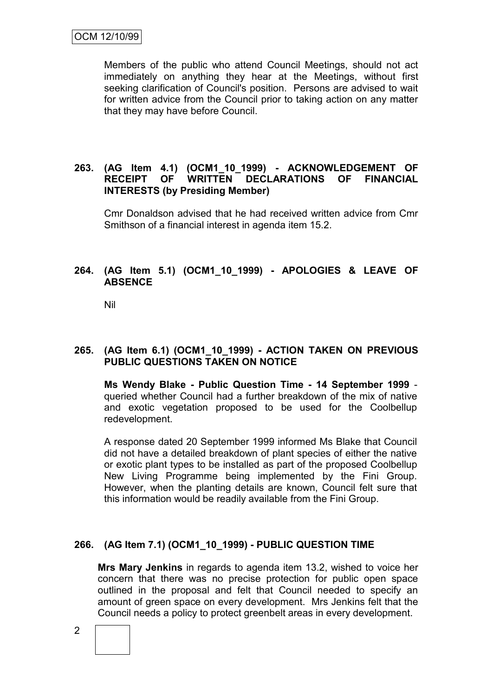Members of the public who attend Council Meetings, should not act immediately on anything they hear at the Meetings, without first seeking clarification of Council's position. Persons are advised to wait for written advice from the Council prior to taking action on any matter that they may have before Council.

#### **263. (AG Item 4.1) (OCM1\_10\_1999) - ACKNOWLEDGEMENT OF RECEIPT OF WRITTEN DECLARATIONS OF FINANCIAL INTERESTS (by Presiding Member)**

Cmr Donaldson advised that he had received written advice from Cmr Smithson of a financial interest in agenda item 15.2.

# **264. (AG Item 5.1) (OCM1\_10\_1999) - APOLOGIES & LEAVE OF ABSENCE**

Nil

# **265. (AG Item 6.1) (OCM1\_10\_1999) - ACTION TAKEN ON PREVIOUS PUBLIC QUESTIONS TAKEN ON NOTICE**

**Ms Wendy Blake - Public Question Time - 14 September 1999** queried whether Council had a further breakdown of the mix of native and exotic vegetation proposed to be used for the Coolbellup redevelopment.

A response dated 20 September 1999 informed Ms Blake that Council did not have a detailed breakdown of plant species of either the native or exotic plant types to be installed as part of the proposed Coolbellup New Living Programme being implemented by the Fini Group. However, when the planting details are known, Council felt sure that this information would be readily available from the Fini Group.

# **266. (AG Item 7.1) (OCM1\_10\_1999) - PUBLIC QUESTION TIME**

**Mrs Mary Jenkins** in regards to agenda item 13.2, wished to voice her concern that there was no precise protection for public open space outlined in the proposal and felt that Council needed to specify an amount of green space on every development. Mrs Jenkins felt that the Council needs a policy to protect greenbelt areas in every development.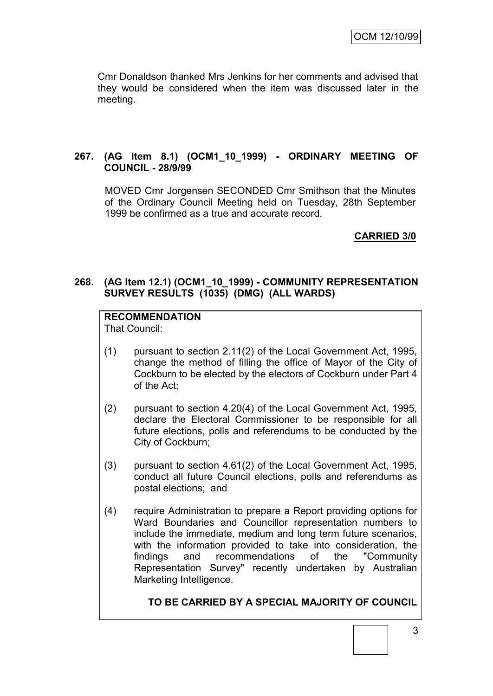Cmr Donaldson thanked Mrs Jenkins for her comments and advised that they would be considered when the item was discussed later in the meeting.

# **267. (AG Item 8.1) (OCM1\_10\_1999) - ORDINARY MEETING OF COUNCIL - 28/9/99**

MOVED Cmr Jorgensen SECONDED Cmr Smithson that the Minutes of the Ordinary Council Meeting held on Tuesday, 28th September 1999 be confirmed as a true and accurate record.

# **CARRIED 3/0**

#### **268. (AG Item 12.1) (OCM1\_10\_1999) - COMMUNITY REPRESENTATION SURVEY RESULTS (1035) (DMG) (ALL WARDS)**

# **RECOMMENDATION**

That Council:

- (1) pursuant to section 2.11(2) of the Local Government Act, 1995, change the method of filling the office of Mayor of the City of Cockburn to be elected by the electors of Cockburn under Part 4 of the Act;
- (2) pursuant to section 4.20(4) of the Local Government Act, 1995, declare the Electoral Commissioner to be responsible for all future elections, polls and referendums to be conducted by the City of Cockburn;
- (3) pursuant to section 4.61(2) of the Local Government Act, 1995, conduct all future Council elections, polls and referendums as postal elections; and
- (4) require Administration to prepare a Report providing options for Ward Boundaries and Councillor representation numbers to include the immediate, medium and long term future scenarios, with the information provided to take into consideration, the findings and recommendations of the "Community Representation Survey" recently undertaken by Australian Marketing Intelligence.

#### **TO BE CARRIED BY A SPECIAL MAJORITY OF COUNCIL**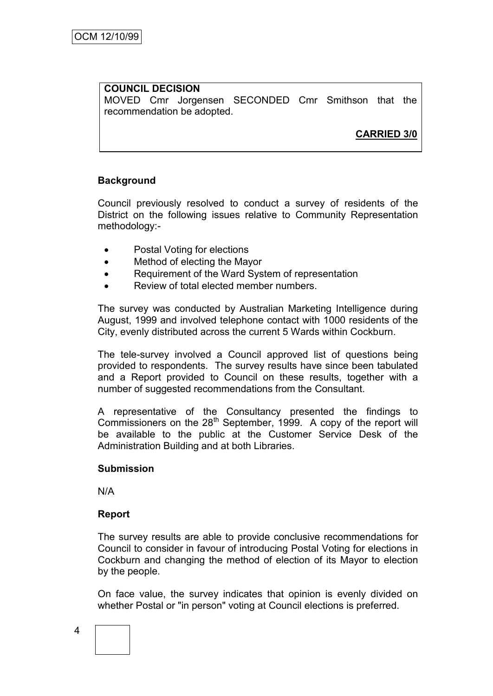#### **COUNCIL DECISION** MOVED Cmr Jorgensen SECONDED Cmr Smithson that the recommendation be adopted.

**CARRIED 3/0**

# **Background**

Council previously resolved to conduct a survey of residents of the District on the following issues relative to Community Representation methodology:-

- Postal Voting for elections
- Method of electing the Mayor
- Requirement of the Ward System of representation
- Review of total elected member numbers.

The survey was conducted by Australian Marketing Intelligence during August, 1999 and involved telephone contact with 1000 residents of the City, evenly distributed across the current 5 Wards within Cockburn.

The tele-survey involved a Council approved list of questions being provided to respondents. The survey results have since been tabulated and a Report provided to Council on these results, together with a number of suggested recommendations from the Consultant.

A representative of the Consultancy presented the findings to Commissioners on the 28<sup>th</sup> September, 1999. A copy of the report will be available to the public at the Customer Service Desk of the Administration Building and at both Libraries.

#### **Submission**

N/A

#### **Report**

The survey results are able to provide conclusive recommendations for Council to consider in favour of introducing Postal Voting for elections in Cockburn and changing the method of election of its Mayor to election by the people.

On face value, the survey indicates that opinion is evenly divided on whether Postal or "in person" voting at Council elections is preferred.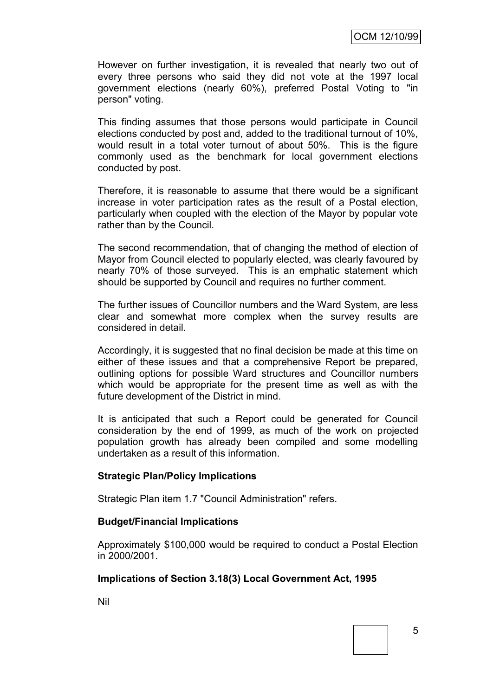However on further investigation, it is revealed that nearly two out of every three persons who said they did not vote at the 1997 local government elections (nearly 60%), preferred Postal Voting to "in person" voting.

This finding assumes that those persons would participate in Council elections conducted by post and, added to the traditional turnout of 10%, would result in a total voter turnout of about 50%. This is the figure commonly used as the benchmark for local government elections conducted by post.

Therefore, it is reasonable to assume that there would be a significant increase in voter participation rates as the result of a Postal election, particularly when coupled with the election of the Mayor by popular vote rather than by the Council.

The second recommendation, that of changing the method of election of Mayor from Council elected to popularly elected, was clearly favoured by nearly 70% of those surveyed. This is an emphatic statement which should be supported by Council and requires no further comment.

The further issues of Councillor numbers and the Ward System, are less clear and somewhat more complex when the survey results are considered in detail.

Accordingly, it is suggested that no final decision be made at this time on either of these issues and that a comprehensive Report be prepared, outlining options for possible Ward structures and Councillor numbers which would be appropriate for the present time as well as with the future development of the District in mind.

It is anticipated that such a Report could be generated for Council consideration by the end of 1999, as much of the work on projected population growth has already been compiled and some modelling undertaken as a result of this information.

#### **Strategic Plan/Policy Implications**

Strategic Plan item 1.7 "Council Administration" refers.

#### **Budget/Financial Implications**

Approximately \$100,000 would be required to conduct a Postal Election in 2000/2001.

#### **Implications of Section 3.18(3) Local Government Act, 1995**

Nil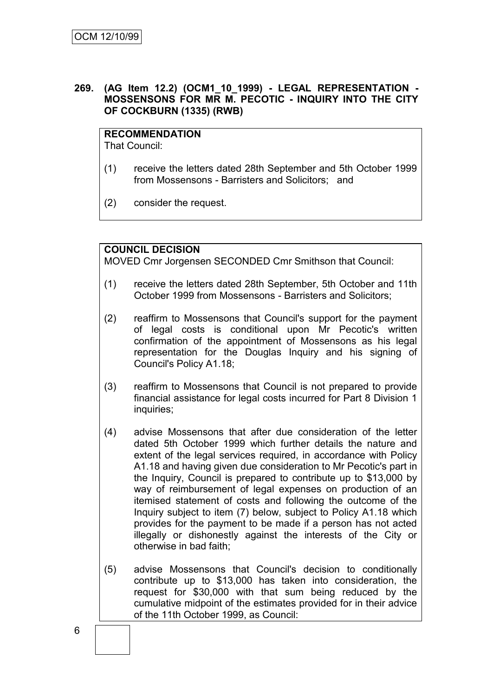#### **269. (AG Item 12.2) (OCM1\_10\_1999) - LEGAL REPRESENTATION - MOSSENSONS FOR MR M. PECOTIC - INQUIRY INTO THE CITY OF COCKBURN (1335) (RWB)**

# **RECOMMENDATION**

That Council:

- (1) receive the letters dated 28th September and 5th October 1999 from Mossensons - Barristers and Solicitors; and
- (2) consider the request.

# **COUNCIL DECISION**

MOVED Cmr Jorgensen SECONDED Cmr Smithson that Council:

- (1) receive the letters dated 28th September, 5th October and 11th October 1999 from Mossensons - Barristers and Solicitors;
- (2) reaffirm to Mossensons that Council's support for the payment of legal costs is conditional upon Mr Pecotic's written confirmation of the appointment of Mossensons as his legal representation for the Douglas Inquiry and his signing of Council's Policy A1.18;
- (3) reaffirm to Mossensons that Council is not prepared to provide financial assistance for legal costs incurred for Part 8 Division 1 inquiries;
- (4) advise Mossensons that after due consideration of the letter dated 5th October 1999 which further details the nature and extent of the legal services required, in accordance with Policy A1.18 and having given due consideration to Mr Pecotic's part in the Inquiry, Council is prepared to contribute up to \$13,000 by way of reimbursement of legal expenses on production of an itemised statement of costs and following the outcome of the Inquiry subject to item (7) below, subject to Policy A1.18 which provides for the payment to be made if a person has not acted illegally or dishonestly against the interests of the City or otherwise in bad faith;
- (5) advise Mossensons that Council's decision to conditionally contribute up to \$13,000 has taken into consideration, the request for \$30,000 with that sum being reduced by the cumulative midpoint of the estimates provided for in their advice of the 11th October 1999, as Council: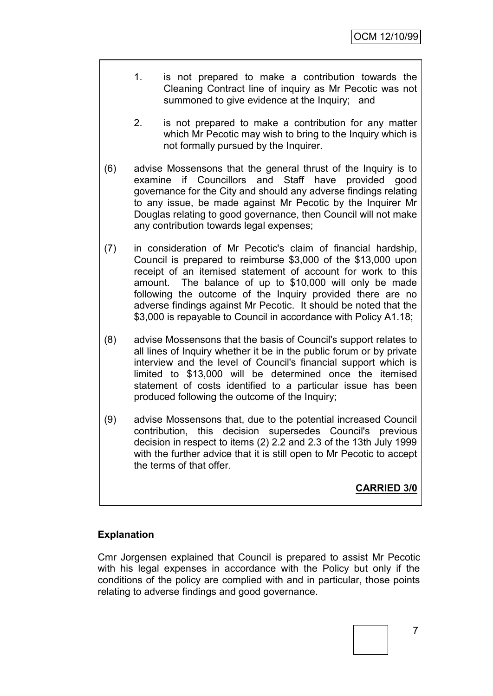- 1. is not prepared to make a contribution towards the Cleaning Contract line of inquiry as Mr Pecotic was not summoned to give evidence at the Inquiry; and
- 2. is not prepared to make a contribution for any matter which Mr Pecotic may wish to bring to the Inquiry which is not formally pursued by the Inquirer.
- (6) advise Mossensons that the general thrust of the Inquiry is to examine if Councillors and Staff have provided good governance for the City and should any adverse findings relating to any issue, be made against Mr Pecotic by the Inquirer Mr Douglas relating to good governance, then Council will not make any contribution towards legal expenses;
- (7) in consideration of Mr Pecotic's claim of financial hardship, Council is prepared to reimburse \$3,000 of the \$13,000 upon receipt of an itemised statement of account for work to this amount. The balance of up to \$10,000 will only be made following the outcome of the Inquiry provided there are no adverse findings against Mr Pecotic. It should be noted that the \$3,000 is repayable to Council in accordance with Policy A1.18;
- (8) advise Mossensons that the basis of Council's support relates to all lines of Inquiry whether it be in the public forum or by private interview and the level of Council's financial support which is limited to \$13,000 will be determined once the itemised statement of costs identified to a particular issue has been produced following the outcome of the Inquiry;
- (9) advise Mossensons that, due to the potential increased Council contribution, this decision supersedes Council's previous decision in respect to items (2) 2.2 and 2.3 of the 13th July 1999 with the further advice that it is still open to Mr Pecotic to accept the terms of that offer.

**CARRIED 3/0**

# **Explanation**

Cmr Jorgensen explained that Council is prepared to assist Mr Pecotic with his legal expenses in accordance with the Policy but only if the conditions of the policy are complied with and in particular, those points relating to adverse findings and good governance.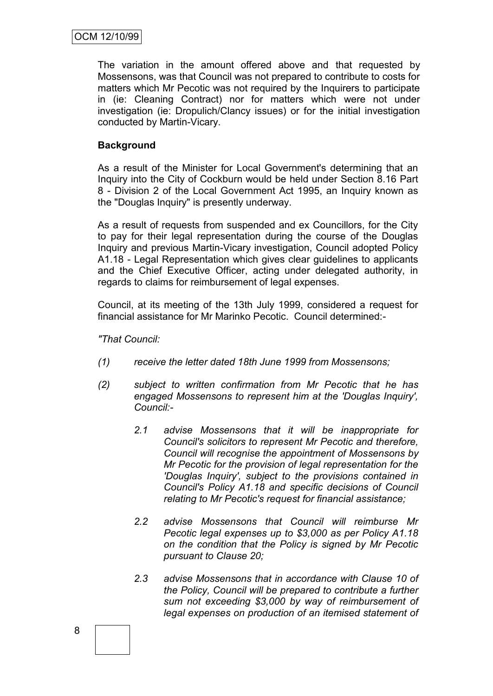The variation in the amount offered above and that requested by Mossensons, was that Council was not prepared to contribute to costs for matters which Mr Pecotic was not required by the Inquirers to participate in (ie: Cleaning Contract) nor for matters which were not under investigation (ie: Dropulich/Clancy issues) or for the initial investigation conducted by Martin-Vicary.

# **Background**

As a result of the Minister for Local Government's determining that an Inquiry into the City of Cockburn would be held under Section 8.16 Part 8 - Division 2 of the Local Government Act 1995, an Inquiry known as the "Douglas Inquiry" is presently underway.

As a result of requests from suspended and ex Councillors, for the City to pay for their legal representation during the course of the Douglas Inquiry and previous Martin-Vicary investigation, Council adopted Policy A1.18 - Legal Representation which gives clear guidelines to applicants and the Chief Executive Officer, acting under delegated authority, in regards to claims for reimbursement of legal expenses.

Council, at its meeting of the 13th July 1999, considered a request for financial assistance for Mr Marinko Pecotic. Council determined:-

*"That Council:*

- *(1) receive the letter dated 18th June 1999 from Mossensons;*
- *(2) subject to written confirmation from Mr Pecotic that he has engaged Mossensons to represent him at the 'Douglas Inquiry', Council:-*
	- *2.1 advise Mossensons that it will be inappropriate for Council's solicitors to represent Mr Pecotic and therefore, Council will recognise the appointment of Mossensons by Mr Pecotic for the provision of legal representation for the 'Douglas Inquiry', subject to the provisions contained in Council's Policy A1.18 and specific decisions of Council relating to Mr Pecotic's request for financial assistance;*
	- *2.2 advise Mossensons that Council will reimburse Mr Pecotic legal expenses up to \$3,000 as per Policy A1.18 on the condition that the Policy is signed by Mr Pecotic pursuant to Clause 20;*
	- *2.3 advise Mossensons that in accordance with Clause 10 of the Policy, Council will be prepared to contribute a further sum not exceeding \$3,000 by way of reimbursement of legal expenses on production of an itemised statement of*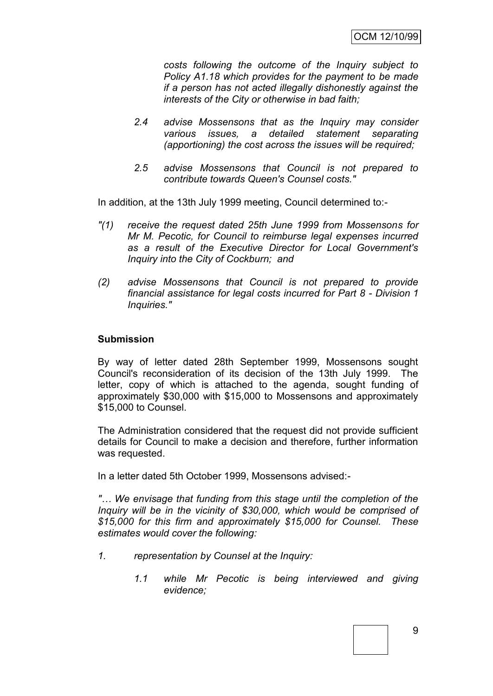*costs following the outcome of the Inquiry subject to Policy A1.18 which provides for the payment to be made if a person has not acted illegally dishonestly against the interests of the City or otherwise in bad faith;*

- *2.4 advise Mossensons that as the Inquiry may consider various issues, a detailed statement separating (apportioning) the cost across the issues will be required;*
- *2.5 advise Mossensons that Council is not prepared to contribute towards Queen's Counsel costs."*

In addition, at the 13th July 1999 meeting, Council determined to:-

- *"(1) receive the request dated 25th June 1999 from Mossensons for Mr M. Pecotic, for Council to reimburse legal expenses incurred as a result of the Executive Director for Local Government's Inquiry into the City of Cockburn; and*
- *(2) advise Mossensons that Council is not prepared to provide financial assistance for legal costs incurred for Part 8 - Division 1 Inquiries."*

#### **Submission**

By way of letter dated 28th September 1999, Mossensons sought Council's reconsideration of its decision of the 13th July 1999. The letter, copy of which is attached to the agenda, sought funding of approximately \$30,000 with \$15,000 to Mossensons and approximately \$15,000 to Counsel.

The Administration considered that the request did not provide sufficient details for Council to make a decision and therefore, further information was requested.

In a letter dated 5th October 1999, Mossensons advised:-

*"… We envisage that funding from this stage until the completion of the Inquiry will be in the vicinity of \$30,000, which would be comprised of \$15,000 for this firm and approximately \$15,000 for Counsel. These estimates would cover the following:*

- *1. representation by Counsel at the Inquiry:*
	- *1.1 while Mr Pecotic is being interviewed and giving evidence;*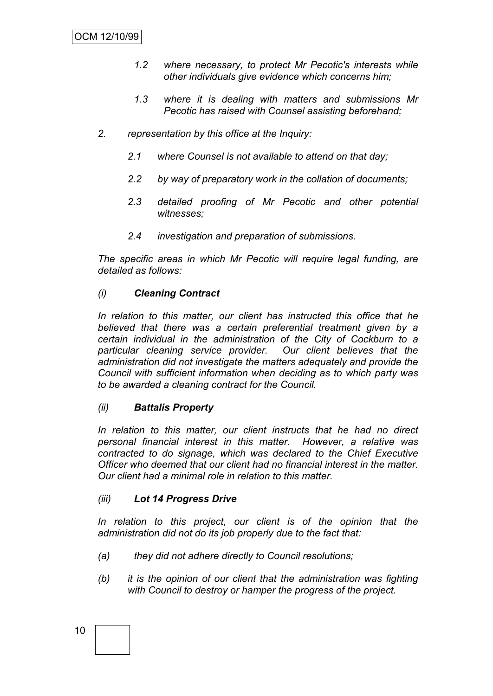- *1.2 where necessary, to protect Mr Pecotic's interests while other individuals give evidence which concerns him;*
- *1.3 where it is dealing with matters and submissions Mr Pecotic has raised with Counsel assisting beforehand;*
- *2. representation by this office at the Inquiry:*
	- *2.1 where Counsel is not available to attend on that day;*
	- *2.2 by way of preparatory work in the collation of documents;*
	- *2.3 detailed proofing of Mr Pecotic and other potential witnesses;*
	- *2.4 investigation and preparation of submissions.*

*The specific areas in which Mr Pecotic will require legal funding, are detailed as follows:*

# *(i) Cleaning Contract*

*In relation to this matter, our client has instructed this office that he believed that there was a certain preferential treatment given by a certain individual in the administration of the City of Cockburn to a particular cleaning service provider. Our client believes that the administration did not investigate the matters adequately and provide the Council with sufficient information when deciding as to which party was to be awarded a cleaning contract for the Council.*

#### *(ii) Battalis Property*

*In relation to this matter, our client instructs that he had no direct personal financial interest in this matter. However, a relative was contracted to do signage, which was declared to the Chief Executive Officer who deemed that our client had no financial interest in the matter. Our client had a minimal role in relation to this matter.*

#### *(iii) Lot 14 Progress Drive*

In relation to this project, our client is of the opinion that the *administration did not do its job properly due to the fact that:*

- *(a) they did not adhere directly to Council resolutions;*
- *(b) it is the opinion of our client that the administration was fighting with Council to destroy or hamper the progress of the project.*

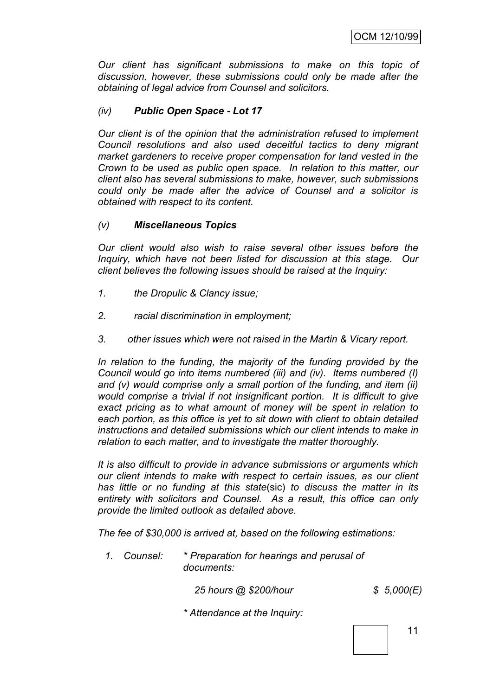*Our client has significant submissions to make on this topic of discussion, however, these submissions could only be made after the obtaining of legal advice from Counsel and solicitors.*

# *(iv) Public Open Space - Lot 17*

*Our client is of the opinion that the administration refused to implement Council resolutions and also used deceitful tactics to deny migrant market gardeners to receive proper compensation for land vested in the Crown to be used as public open space. In relation to this matter, our client also has several submissions to make, however, such submissions could only be made after the advice of Counsel and a solicitor is obtained with respect to its content.*

#### *(v) Miscellaneous Topics*

*Our client would also wish to raise several other issues before the Inquiry, which have not been listed for discussion at this stage. Our client believes the following issues should be raised at the Inquiry:*

- *1. the Dropulic & Clancy issue;*
- *2. racial discrimination in employment;*
- *3. other issues which were not raised in the Martin & Vicary report.*

In relation to the funding, the majority of the funding provided by the *Council would go into items numbered (iii) and (iv). Items numbered (I) and (v) would comprise only a small portion of the funding, and item (ii) would comprise a trivial if not insignificant portion. It is difficult to give exact pricing as to what amount of money will be spent in relation to each portion, as this office is yet to sit down with client to obtain detailed instructions and detailed submissions which our client intends to make in relation to each matter, and to investigate the matter thoroughly.*

*It is also difficult to provide in advance submissions or arguments which our client intends to make with respect to certain issues, as our client has little or no funding at this state*(sic) *to discuss the matter in its entirety with solicitors and Counsel. As a result, this office can only provide the limited outlook as detailed above.*

*The fee of \$30,000 is arrived at, based on the following estimations:*

*1. Counsel: \* Preparation for hearings and perusal of documents:*

 *25 hours @ \$200/hour*

*\$ 5,000(E)*

*\* Attendance at the Inquiry:*

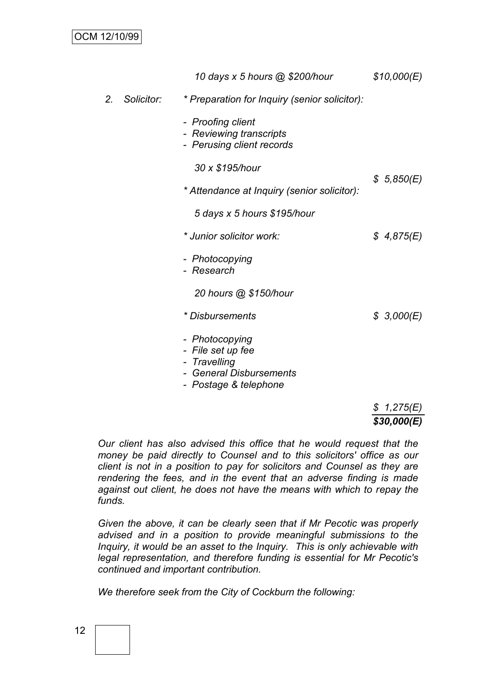|    |            | 10 days x 5 hours @ \$200/hour                                                                               | \$10,000(E) |
|----|------------|--------------------------------------------------------------------------------------------------------------|-------------|
| 2. | Solicitor: | * Preparation for Inquiry (senior solicitor):                                                                |             |
|    |            | - Proofing client<br>- Reviewing transcripts<br>- Perusing client records                                    |             |
|    |            | 30 x \$195/hour                                                                                              | \$5,850(E)  |
|    |            | * Attendance at Inquiry (senior solicitor):                                                                  |             |
|    |            | 5 days x 5 hours \$195/hour                                                                                  |             |
|    |            | * Junior solicitor work:                                                                                     | \$4,875(E)  |
|    |            | - Photocopying<br>- Research                                                                                 |             |
|    |            | 20 hours @ \$150/hour                                                                                        |             |
|    |            | * Disbursements                                                                                              | \$3,000(E)  |
|    |            | - Photocopying<br>- File set up fee<br>- Travelling<br><b>General Disbursements</b><br>- Postage & telephone |             |

#### *\$ 1,275(E) \$30,000(E)*

*Our client has also advised this office that he would request that the money be paid directly to Counsel and to this solicitors' office as our client is not in a position to pay for solicitors and Counsel as they are rendering the fees, and in the event that an adverse finding is made against out client, he does not have the means with which to repay the funds.*

*Given the above, it can be clearly seen that if Mr Pecotic was properly advised and in a position to provide meaningful submissions to the Inquiry, it would be an asset to the Inquiry. This is only achievable with legal representation, and therefore funding is essential for Mr Pecotic's continued and important contribution.*

*We therefore seek from the City of Cockburn the following:*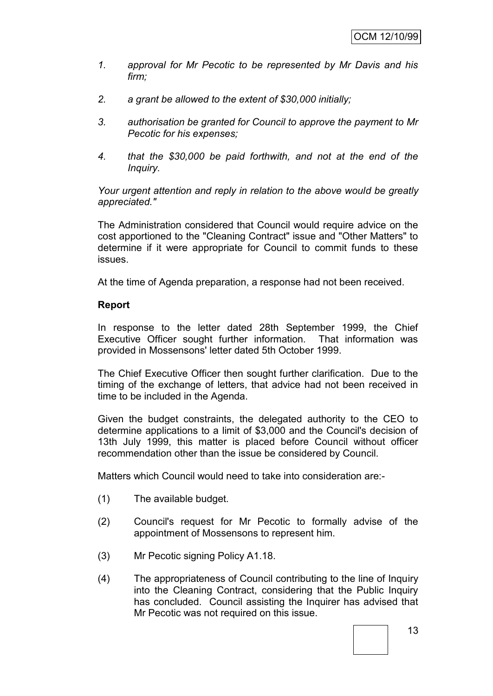- *1. approval for Mr Pecotic to be represented by Mr Davis and his firm;*
- *2. a grant be allowed to the extent of \$30,000 initially;*
- *3. authorisation be granted for Council to approve the payment to Mr Pecotic for his expenses;*
- *4. that the \$30,000 be paid forthwith, and not at the end of the Inquiry.*

*Your urgent attention and reply in relation to the above would be greatly appreciated."*

The Administration considered that Council would require advice on the cost apportioned to the "Cleaning Contract" issue and "Other Matters" to determine if it were appropriate for Council to commit funds to these issues.

At the time of Agenda preparation, a response had not been received.

#### **Report**

In response to the letter dated 28th September 1999, the Chief Executive Officer sought further information. That information was provided in Mossensons' letter dated 5th October 1999.

The Chief Executive Officer then sought further clarification. Due to the timing of the exchange of letters, that advice had not been received in time to be included in the Agenda.

Given the budget constraints, the delegated authority to the CEO to determine applications to a limit of \$3,000 and the Council's decision of 13th July 1999, this matter is placed before Council without officer recommendation other than the issue be considered by Council.

Matters which Council would need to take into consideration are:-

- (1) The available budget.
- (2) Council's request for Mr Pecotic to formally advise of the appointment of Mossensons to represent him.
- (3) Mr Pecotic signing Policy A1.18.
- (4) The appropriateness of Council contributing to the line of Inquiry into the Cleaning Contract, considering that the Public Inquiry has concluded. Council assisting the Inquirer has advised that Mr Pecotic was not required on this issue.

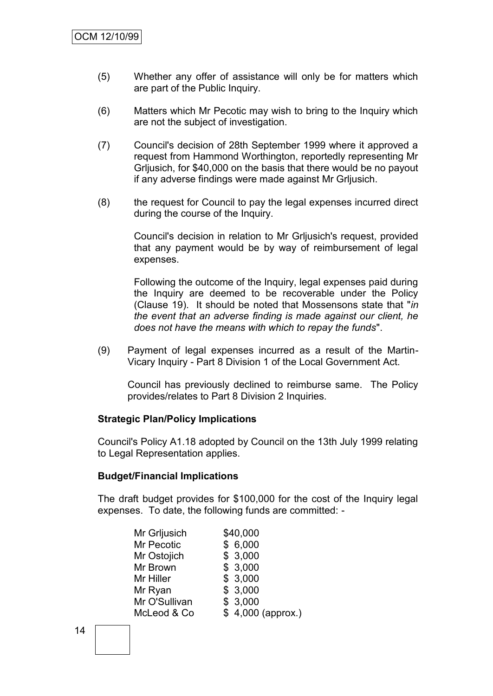- (5) Whether any offer of assistance will only be for matters which are part of the Public Inquiry.
- (6) Matters which Mr Pecotic may wish to bring to the Inquiry which are not the subject of investigation.
- (7) Council's decision of 28th September 1999 where it approved a request from Hammond Worthington, reportedly representing Mr Grljusich, for \$40,000 on the basis that there would be no payout if any adverse findings were made against Mr Grljusich.
- (8) the request for Council to pay the legal expenses incurred direct during the course of the Inquiry.

Council's decision in relation to Mr Grljusich's request, provided that any payment would be by way of reimbursement of legal expenses.

Following the outcome of the Inquiry, legal expenses paid during the Inquiry are deemed to be recoverable under the Policy (Clause 19). It should be noted that Mossensons state that "*in the event that an adverse finding is made against our client, he does not have the means with which to repay the funds*".

(9) Payment of legal expenses incurred as a result of the Martin-Vicary Inquiry - Part 8 Division 1 of the Local Government Act.

Council has previously declined to reimburse same. The Policy provides/relates to Part 8 Division 2 Inquiries.

#### **Strategic Plan/Policy Implications**

Council's Policy A1.18 adopted by Council on the 13th July 1999 relating to Legal Representation applies.

#### **Budget/Financial Implications**

The draft budget provides for \$100,000 for the cost of the Inquiry legal expenses. To date, the following funds are committed: -

| Mr Grljusich  | \$40,000          |
|---------------|-------------------|
| Mr Pecotic    | \$6,000           |
| Mr Ostojich   | \$3,000           |
| Mr Brown      | \$3,000           |
| Mr Hiller     | \$3,000           |
| Mr Ryan       | \$3,000           |
| Mr O'Sullivan | \$3,000           |
| McLeod & Co   | \$4,000 (approx.) |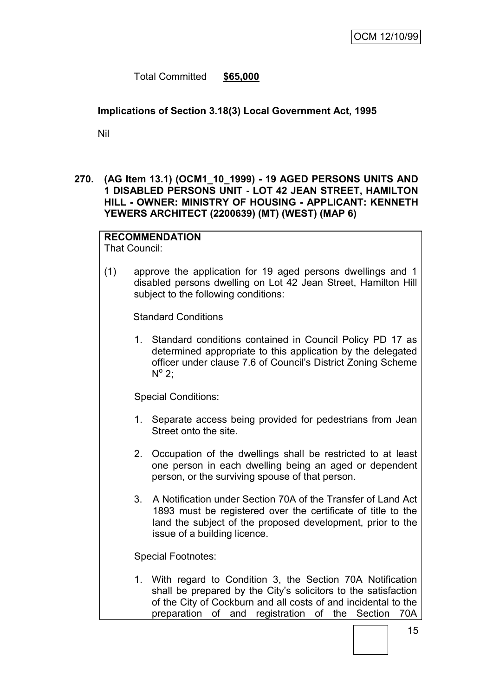Total Committed **\$65,000**

# **Implications of Section 3.18(3) Local Government Act, 1995**

Nil

**270. (AG Item 13.1) (OCM1\_10\_1999) - 19 AGED PERSONS UNITS AND 1 DISABLED PERSONS UNIT - LOT 42 JEAN STREET, HAMILTON HILL - OWNER: MINISTRY OF HOUSING - APPLICANT: KENNETH YEWERS ARCHITECT (2200639) (MT) (WEST) (MAP 6)**

# **RECOMMENDATION**

That Council:

(1) approve the application for 19 aged persons dwellings and 1 disabled persons dwelling on Lot 42 Jean Street, Hamilton Hill subject to the following conditions:

Standard Conditions

1. Standard conditions contained in Council Policy PD 17 as determined appropriate to this application by the delegated officer under clause 7.6 of Council"s District Zoning Scheme  $N^{\circ}$  2;

Special Conditions:

- 1. Separate access being provided for pedestrians from Jean Street onto the site.
- 2. Occupation of the dwellings shall be restricted to at least one person in each dwelling being an aged or dependent person, or the surviving spouse of that person.
- 3. A Notification under Section 70A of the Transfer of Land Act 1893 must be registered over the certificate of title to the land the subject of the proposed development, prior to the issue of a building licence.

Special Footnotes:

1. With regard to Condition 3, the Section 70A Notification shall be prepared by the City's solicitors to the satisfaction of the City of Cockburn and all costs of and incidental to the preparation of and registration of the Section 70A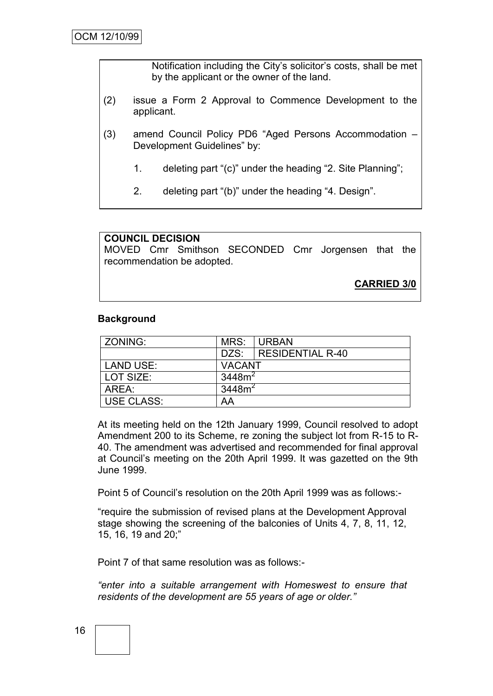Notification including the City"s solicitor"s costs, shall be met by the applicant or the owner of the land.

- (2) issue a Form 2 Approval to Commence Development to the applicant.
- (3) amend Council Policy PD6 "Aged Persons Accommodation Development Guidelines" by:
	- 1. deleting part "(c)" under the heading "2. Site Planning";
	- 2. deleting part "(b)" under the heading "4. Design".

**COUNCIL DECISION** MOVED Cmr Smithson SECONDED Cmr Jorgensen that the recommendation be adopted. **CARRIED 3/0**

#### **Background**

| ZONING:           | MRS:                | <b>URBAN</b>            |  |
|-------------------|---------------------|-------------------------|--|
|                   | DZS:                | <b>RESIDENTIAL R-40</b> |  |
| LAND USE:         | <b>VACANT</b>       |                         |  |
| LOT SIZE:         | 3448 $\mathsf{m}^2$ |                         |  |
| AREA:             | 3448m <sup>2</sup>  |                         |  |
| <b>USE CLASS:</b> | AA                  |                         |  |

At its meeting held on the 12th January 1999, Council resolved to adopt Amendment 200 to its Scheme, re zoning the subject lot from R-15 to R-40. The amendment was advertised and recommended for final approval at Council"s meeting on the 20th April 1999. It was gazetted on the 9th June 1999.

Point 5 of Council"s resolution on the 20th April 1999 was as follows:-

"require the submission of revised plans at the Development Approval stage showing the screening of the balconies of Units 4, 7, 8, 11, 12, 15, 16, 19 and 20;"

Point 7 of that same resolution was as follows:-

*"enter into a suitable arrangement with Homeswest to ensure that residents of the development are 55 years of age or older."*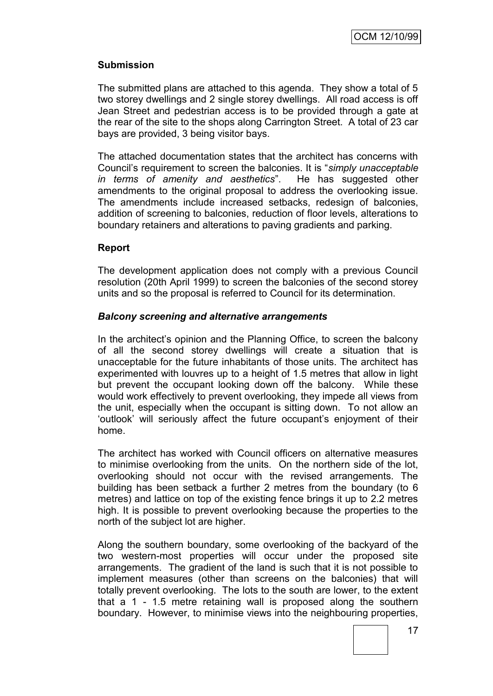#### **Submission**

The submitted plans are attached to this agenda. They show a total of 5 two storey dwellings and 2 single storey dwellings. All road access is off Jean Street and pedestrian access is to be provided through a gate at the rear of the site to the shops along Carrington Street. A total of 23 car bays are provided, 3 being visitor bays.

The attached documentation states that the architect has concerns with Council"s requirement to screen the balconies. It is "*simply unacceptable in terms of amenity and aesthetics*". He has suggested other amendments to the original proposal to address the overlooking issue. The amendments include increased setbacks, redesign of balconies, addition of screening to balconies, reduction of floor levels, alterations to boundary retainers and alterations to paving gradients and parking.

#### **Report**

The development application does not comply with a previous Council resolution (20th April 1999) to screen the balconies of the second storey units and so the proposal is referred to Council for its determination.

#### *Balcony screening and alternative arrangements*

In the architect"s opinion and the Planning Office, to screen the balcony of all the second storey dwellings will create a situation that is unacceptable for the future inhabitants of those units. The architect has experimented with louvres up to a height of 1.5 metres that allow in light but prevent the occupant looking down off the balcony. While these would work effectively to prevent overlooking, they impede all views from the unit, especially when the occupant is sitting down. To not allow an "outlook" will seriously affect the future occupant"s enjoyment of their home.

The architect has worked with Council officers on alternative measures to minimise overlooking from the units. On the northern side of the lot, overlooking should not occur with the revised arrangements. The building has been setback a further 2 metres from the boundary (to 6 metres) and lattice on top of the existing fence brings it up to 2.2 metres high. It is possible to prevent overlooking because the properties to the north of the subject lot are higher.

Along the southern boundary, some overlooking of the backyard of the two western-most properties will occur under the proposed site arrangements. The gradient of the land is such that it is not possible to implement measures (other than screens on the balconies) that will totally prevent overlooking. The lots to the south are lower, to the extent that a 1 - 1.5 metre retaining wall is proposed along the southern boundary. However, to minimise views into the neighbouring properties,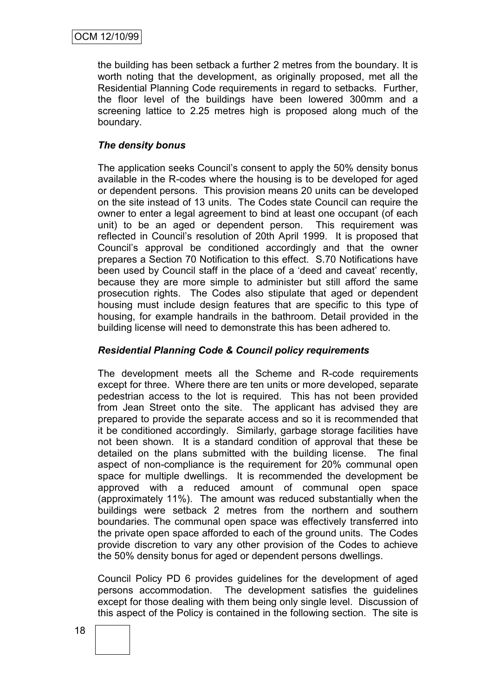the building has been setback a further 2 metres from the boundary. It is worth noting that the development, as originally proposed, met all the Residential Planning Code requirements in regard to setbacks. Further, the floor level of the buildings have been lowered 300mm and a screening lattice to 2.25 metres high is proposed along much of the boundary.

# *The density bonus*

The application seeks Council"s consent to apply the 50% density bonus available in the R-codes where the housing is to be developed for aged or dependent persons. This provision means 20 units can be developed on the site instead of 13 units. The Codes state Council can require the owner to enter a legal agreement to bind at least one occupant (of each unit) to be an aged or dependent person. This requirement was reflected in Council"s resolution of 20th April 1999. It is proposed that Council"s approval be conditioned accordingly and that the owner prepares a Section 70 Notification to this effect. S.70 Notifications have been used by Council staff in the place of a "deed and caveat" recently, because they are more simple to administer but still afford the same prosecution rights. The Codes also stipulate that aged or dependent housing must include design features that are specific to this type of housing, for example handrails in the bathroom. Detail provided in the building license will need to demonstrate this has been adhered to.

# *Residential Planning Code & Council policy requirements*

The development meets all the Scheme and R-code requirements except for three. Where there are ten units or more developed, separate pedestrian access to the lot is required. This has not been provided from Jean Street onto the site. The applicant has advised they are prepared to provide the separate access and so it is recommended that it be conditioned accordingly. Similarly, garbage storage facilities have not been shown. It is a standard condition of approval that these be detailed on the plans submitted with the building license. The final aspect of non-compliance is the requirement for 20% communal open space for multiple dwellings. It is recommended the development be approved with a reduced amount of communal open space (approximately 11%). The amount was reduced substantially when the buildings were setback 2 metres from the northern and southern boundaries. The communal open space was effectively transferred into the private open space afforded to each of the ground units. The Codes provide discretion to vary any other provision of the Codes to achieve the 50% density bonus for aged or dependent persons dwellings.

Council Policy PD 6 provides guidelines for the development of aged persons accommodation. The development satisfies the guidelines except for those dealing with them being only single level. Discussion of this aspect of the Policy is contained in the following section. The site is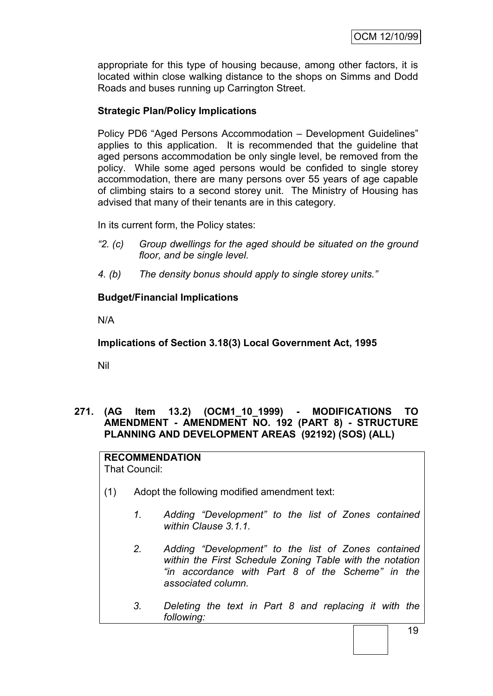appropriate for this type of housing because, among other factors, it is located within close walking distance to the shops on Simms and Dodd Roads and buses running up Carrington Street.

# **Strategic Plan/Policy Implications**

Policy PD6 "Aged Persons Accommodation – Development Guidelines" applies to this application. It is recommended that the guideline that aged persons accommodation be only single level, be removed from the policy. While some aged persons would be confided to single storey accommodation, there are many persons over 55 years of age capable of climbing stairs to a second storey unit. The Ministry of Housing has advised that many of their tenants are in this category.

In its current form, the Policy states:

- *"2. (c) Group dwellings for the aged should be situated on the ground floor, and be single level.*
- *4. (b) The density bonus should apply to single storey units."*

# **Budget/Financial Implications**

N/A

**Implications of Section 3.18(3) Local Government Act, 1995**

Nil

# **271. (AG Item 13.2) (OCM1\_10\_1999) - MODIFICATIONS TO AMENDMENT - AMENDMENT NO. 192 (PART 8) - STRUCTURE PLANNING AND DEVELOPMENT AREAS (92192) (SOS) (ALL)**

**RECOMMENDATION** That Council:

- (1) Adopt the following modified amendment text:
	- *1. Adding "Development" to the list of Zones contained within Clause 3.1.1.*
	- *2. Adding "Development" to the list of Zones contained within the First Schedule Zoning Table with the notation "in accordance with Part 8 of the Scheme" in the associated column.*
	- *3. Deleting the text in Part 8 and replacing it with the following:*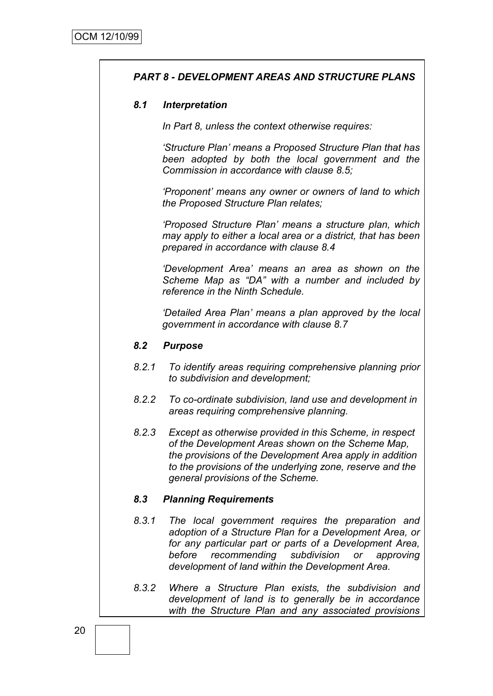# *PART 8 - DEVELOPMENT AREAS AND STRUCTURE PLANS*

#### *8.1 Interpretation*

*In Part 8, unless the context otherwise requires:*

*"Structure Plan" means a Proposed Structure Plan that has been adopted by both the local government and the Commission in accordance with clause 8.5;*

*"Proponent" means any owner or owners of land to which the Proposed Structure Plan relates;*

*"Proposed Structure Plan" means a structure plan, which may apply to either a local area or a district, that has been prepared in accordance with clause 8.4*

*"Development Area" means an area as shown on the Scheme Map as "DA" with a number and included by reference in the Ninth Schedule.*

*"Detailed Area Plan" means a plan approved by the local government in accordance with clause 8.7*

#### *8.2 Purpose*

- *8.2.1 To identify areas requiring comprehensive planning prior to subdivision and development;*
- *8.2.2 To co-ordinate subdivision, land use and development in areas requiring comprehensive planning.*
- *8.2.3 Except as otherwise provided in this Scheme, in respect of the Development Areas shown on the Scheme Map, the provisions of the Development Area apply in addition to the provisions of the underlying zone, reserve and the general provisions of the Scheme.*

#### *8.3 Planning Requirements*

- *8.3.1 The local government requires the preparation and adoption of a Structure Plan for a Development Area, or for any particular part or parts of a Development Area, before recommending subdivision or approving development of land within the Development Area.*
- *8.3.2 Where a Structure Plan exists, the subdivision and development of land is to generally be in accordance with the Structure Plan and any associated provisions*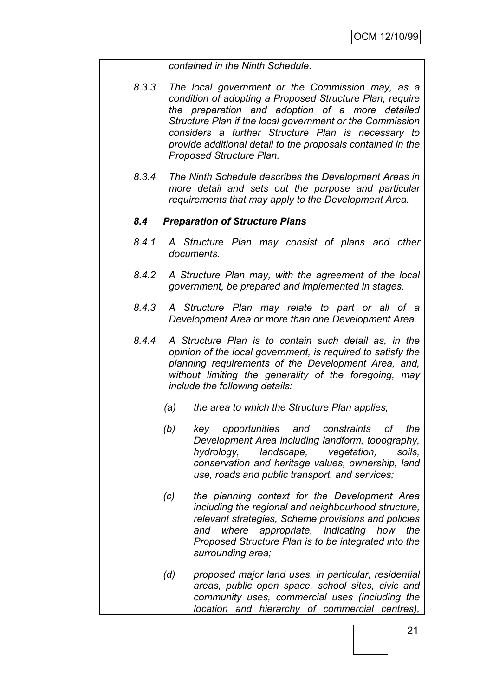#### *contained in the Ninth Schedule.*

- *8.3.3 The local government or the Commission may, as a condition of adopting a Proposed Structure Plan, require the preparation and adoption of a more detailed Structure Plan if the local government or the Commission considers a further Structure Plan is necessary to provide additional detail to the proposals contained in the Proposed Structure Plan.*
- *8.3.4 The Ninth Schedule describes the Development Areas in more detail and sets out the purpose and particular requirements that may apply to the Development Area.*

#### *8.4 Preparation of Structure Plans*

- *8.4.1 A Structure Plan may consist of plans and other documents.*
- *8.4.2 A Structure Plan may, with the agreement of the local government, be prepared and implemented in stages.*
- *8.4.3 A Structure Plan may relate to part or all of a Development Area or more than one Development Area.*
- *8.4.4 A Structure Plan is to contain such detail as, in the opinion of the local government, is required to satisfy the planning requirements of the Development Area, and, without limiting the generality of the foregoing, may include the following details:*
	- *(a) the area to which the Structure Plan applies;*
	- *(b) key opportunities and constraints of the Development Area including landform, topography, hydrology, landscape, vegetation, soils, conservation and heritage values, ownership, land use, roads and public transport, and services;*
	- *(c) the planning context for the Development Area including the regional and neighbourhood structure, relevant strategies, Scheme provisions and policies and where appropriate, indicating how the Proposed Structure Plan is to be integrated into the surrounding area;*
	- *(d) proposed major land uses, in particular, residential areas, public open space, school sites, civic and community uses, commercial uses (including the location and hierarchy of commercial centres),*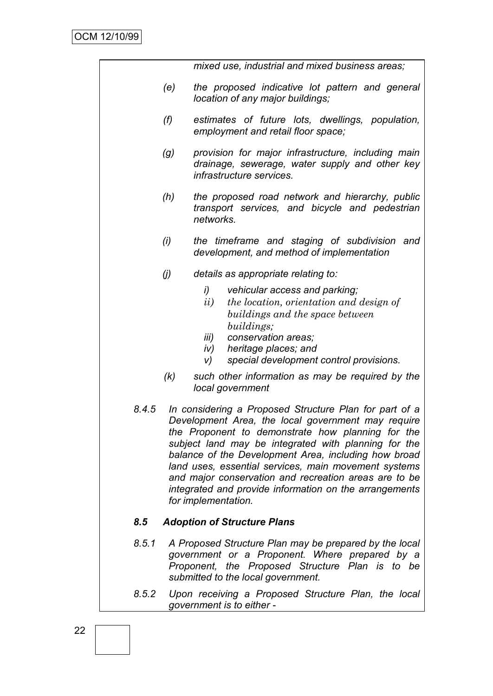*mixed use, industrial and mixed business areas;*

- *(e) the proposed indicative lot pattern and general location of any major buildings;*
- *(f) estimates of future lots, dwellings, population, employment and retail floor space;*
- *(g) provision for major infrastructure, including main drainage, sewerage, water supply and other key infrastructure services.*
- *(h) the proposed road network and hierarchy, public transport services, and bicycle and pedestrian networks.*
- *(i) the timeframe and staging of subdivision and development, and method of implementation*
- *(j) details as appropriate relating to:*
	- *i) vehicular access and parking;*
	- *ii) the location, orientation and design of buildings and the space between buildings;*
	- *iii) conservation areas;*
	- *iv) heritage places; and*
	- *v) special development control provisions.*
- *(k) such other information as may be required by the local government*
- *8.4.5 In considering a Proposed Structure Plan for part of a Development Area, the local government may require the Proponent to demonstrate how planning for the subject land may be integrated with planning for the balance of the Development Area, including how broad land uses, essential services, main movement systems and major conservation and recreation areas are to be integrated and provide information on the arrangements for implementation.*

#### *8.5 Adoption of Structure Plans*

- *8.5.1 A Proposed Structure Plan may be prepared by the local government or a Proponent. Where prepared by a Proponent, the Proposed Structure Plan is to be submitted to the local government.*
- *8.5.2 Upon receiving a Proposed Structure Plan, the local government is to either -*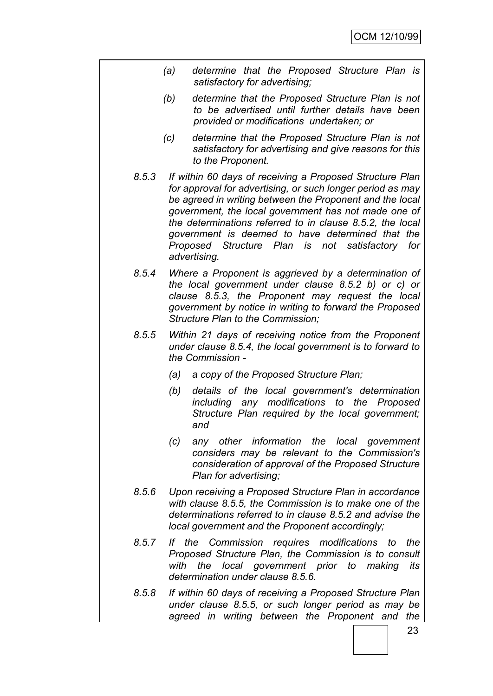- *(a) determine that the Proposed Structure Plan is satisfactory for advertising;*
- *(b) determine that the Proposed Structure Plan is not to be advertised until further details have been provided or modifications undertaken; or*
- *(c) determine that the Proposed Structure Plan is not satisfactory for advertising and give reasons for this to the Proponent.*
- *8.5.3 If within 60 days of receiving a Proposed Structure Plan for approval for advertising, or such longer period as may be agreed in writing between the Proponent and the local government, the local government has not made one of the determinations referred to in clause 8.5.2, the local government is deemed to have determined that the Proposed Structure Plan is not satisfactory for advertising.*
- *8.5.4 Where a Proponent is aggrieved by a determination of the local government under clause 8.5.2 b) or c) or clause 8.5.3, the Proponent may request the local government by notice in writing to forward the Proposed Structure Plan to the Commission;*
- *8.5.5 Within 21 days of receiving notice from the Proponent under clause 8.5.4, the local government is to forward to the Commission -*
	- *(a) a copy of the Proposed Structure Plan;*
	- *(b) details of the local government's determination including any modifications to the Proposed Structure Plan required by the local government; and*
	- *(c) any other information the local government considers may be relevant to the Commission's consideration of approval of the Proposed Structure Plan for advertising;*
- *8.5.6 Upon receiving a Proposed Structure Plan in accordance with clause 8.5.5, the Commission is to make one of the determinations referred to in clause 8.5.2 and advise the local government and the Proponent accordingly;*
- *8.5.7 If the Commission requires modifications to the Proposed Structure Plan, the Commission is to consult with the local government prior to making its determination under clause 8.5.6.*
- *8.5.8 If within 60 days of receiving a Proposed Structure Plan under clause 8.5.5, or such longer period as may be agreed in writing between the Proponent and the*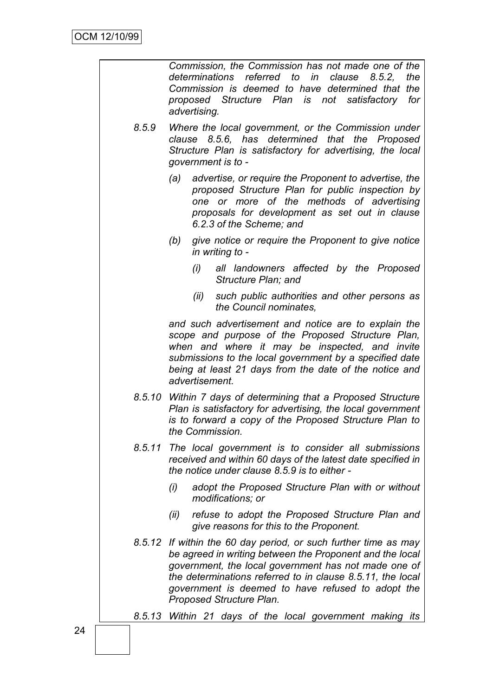|        | Commission, the Commission has not made one of the<br>determinations referred to in clause 8.5.2.<br>the<br>Commission is deemed to have determined that the<br>proposed Structure Plan is not satisfactory for<br>advertising.                                                                                                    |
|--------|------------------------------------------------------------------------------------------------------------------------------------------------------------------------------------------------------------------------------------------------------------------------------------------------------------------------------------|
| 8.5.9  | Where the local government, or the Commission under<br>clause 8.5.6, has determined that the Proposed<br>Structure Plan is satisfactory for advertising, the local<br>government is to -                                                                                                                                           |
|        | advertise, or require the Proponent to advertise, the<br>(a)<br>proposed Structure Plan for public inspection by<br>one or more of the methods of advertising<br>proposals for development as set out in clause<br>6.2.3 of the Scheme; and                                                                                        |
|        | give notice or require the Proponent to give notice<br>(b)<br>in writing to -                                                                                                                                                                                                                                                      |
|        | all landowners affected by the Proposed<br>(i)<br>Structure Plan; and                                                                                                                                                                                                                                                              |
|        | such public authorities and other persons as<br>(ii)<br>the Council nominates,                                                                                                                                                                                                                                                     |
|        | and such advertisement and notice are to explain the<br>scope and purpose of the Proposed Structure Plan,<br>when and where it may be inspected, and invite<br>submissions to the local government by a specified date<br>being at least 21 days from the date of the notice and<br>advertisement.                                 |
|        | 8.5.10 Within 7 days of determining that a Proposed Structure<br>Plan is satisfactory for advertising, the local government<br>is to forward a copy of the Proposed Structure Plan to<br>the Commission.                                                                                                                           |
| 8.5.11 | The local government is to consider all submissions<br>received and within 60 days of the latest date specified in<br>the notice under clause 8.5.9 is to either -                                                                                                                                                                 |
|        | (i)<br>adopt the Proposed Structure Plan with or without<br>modifications; or                                                                                                                                                                                                                                                      |
|        | refuse to adopt the Proposed Structure Plan and<br>(ii)<br>give reasons for this to the Proponent.                                                                                                                                                                                                                                 |
|        | 8.5.12 If within the 60 day period, or such further time as may<br>be agreed in writing between the Proponent and the local<br>government, the local government has not made one of<br>the determinations referred to in clause 8.5.11, the local<br>government is deemed to have refused to adopt the<br>Proposed Structure Plan. |
|        | 8.5.13 Within 21 days of the local government making its                                                                                                                                                                                                                                                                           |
|        |                                                                                                                                                                                                                                                                                                                                    |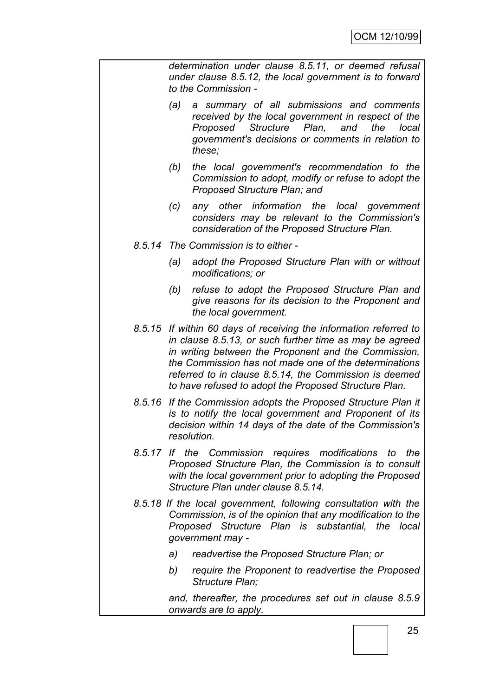*determination under clause 8.5.11, or deemed refusal under clause 8.5.12, the local government is to forward to the Commission -*

- *(a) a summary of all submissions and comments received by the local government in respect of the Proposed Structure Plan, and the local government's decisions or comments in relation to these;*
- *(b) the local government's recommendation to the Commission to adopt, modify or refuse to adopt the Proposed Structure Plan; and*
- *(c) any other information the local government considers may be relevant to the Commission's consideration of the Proposed Structure Plan.*
- *8.5.14 The Commission is to either -*
	- *(a) adopt the Proposed Structure Plan with or without modifications; or*
	- *(b) refuse to adopt the Proposed Structure Plan and give reasons for its decision to the Proponent and the local government.*
- *8.5.15 If within 60 days of receiving the information referred to in clause 8.5.13, or such further time as may be agreed in writing between the Proponent and the Commission, the Commission has not made one of the determinations referred to in clause 8.5.14, the Commission is deemed to have refused to adopt the Proposed Structure Plan.*
- *8.5.16 If the Commission adopts the Proposed Structure Plan it is to notify the local government and Proponent of its decision within 14 days of the date of the Commission's resolution.*
- *8.5.17 If the Commission requires modifications to the Proposed Structure Plan, the Commission is to consult with the local government prior to adopting the Proposed Structure Plan under clause 8.5.14.*
- *8.5.18 If the local government, following consultation with the Commission, is of the opinion that any modification to the Proposed Structure Plan is substantial, the local government may* 
	- *a) readvertise the Proposed Structure Plan; or*
	- *b) require the Proponent to readvertise the Proposed Structure Plan;*

*and, thereafter, the procedures set out in clause 8.5.9 onwards are to apply.*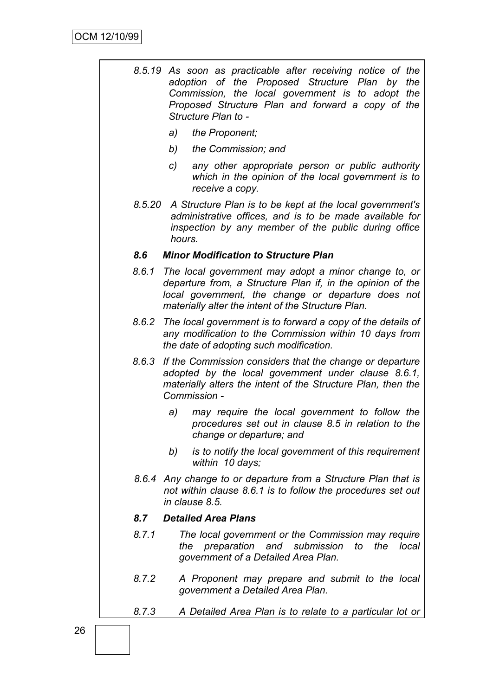| 8.5.19 As soon as practicable after receiving notice of the |
|-------------------------------------------------------------|
| adoption of the Proposed Structure Plan by the              |
| Commission, the local government is to adopt the            |
| Proposed Structure Plan and forward a copy of the           |
| Structure Plan to -                                         |

- *a) the Proponent;*
- *b) the Commission; and*
- *c) any other appropriate person or public authority which in the opinion of the local government is to receive a copy.*
- *8.5.20 A Structure Plan is to be kept at the local government's administrative offices, and is to be made available for inspection by any member of the public during office hours.*

#### *8.6 Minor Modification to Structure Plan*

- *8.6.1 The local government may adopt a minor change to, or departure from, a Structure Plan if, in the opinion of the local government, the change or departure does not materially alter the intent of the Structure Plan.*
- *8.6.2 The local government is to forward a copy of the details of any modification to the Commission within 10 days from the date of adopting such modification.*
- *8.6.3 If the Commission considers that the change or departure adopted by the local government under clause 8.6.1, materially alters the intent of the Structure Plan, then the Commission* 
	- *a) may require the local government to follow the procedures set out in clause 8.5 in relation to the change or departure; and*
	- *b) is to notify the local government of this requirement within 10 days;*
- *8.6.4 Any change to or departure from a Structure Plan that is not within clause 8.6.1 is to follow the procedures set out in clause 8.5.*

#### *8.7 Detailed Area Plans*

- *8.7.1 The local government or the Commission may require the preparation and submission to the local government of a Detailed Area Plan.*
- *8.7.2 A Proponent may prepare and submit to the local government a Detailed Area Plan.*
- *8.7.3 A Detailed Area Plan is to relate to a particular lot or*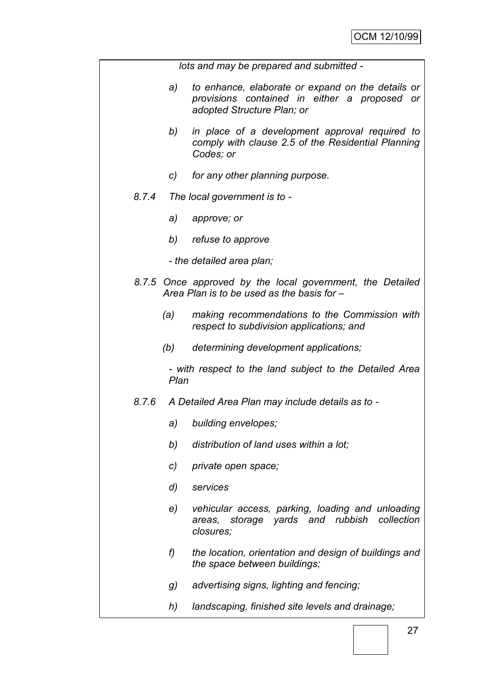*lots and may be prepared and submitted -*

- *a) to enhance, elaborate or expand on the details or provisions contained in either a proposed or adopted Structure Plan; or*
- *b) in place of a development approval required to comply with clause 2.5 of the Residential Planning Codes; or*
- *c) for any other planning purpose.*
- *8.7.4 The local government is to* 
	- *a) approve; or*
	- *b) refuse to approve*
	- *- the detailed area plan;*
- *8.7.5 Once approved by the local government, the Detailed Area Plan is to be used as the basis for –*
	- *(a) making recommendations to the Commission with respect to subdivision applications; and*
	- *(b) determining development applications;*

*- with respect to the land subject to the Detailed Area Plan*

#### *8.7.6 A Detailed Area Plan may include details as to -*

- *a) building envelopes;*
- *b) distribution of land uses within a lot;*
- *c) private open space;*
- *d) services*
- *e) vehicular access, parking, loading and unloading areas, storage yards and rubbish collection closures;*
- *f) the location, orientation and design of buildings and the space between buildings;*
- *g) advertising signs, lighting and fencing;*
- *h) landscaping, finished site levels and drainage;*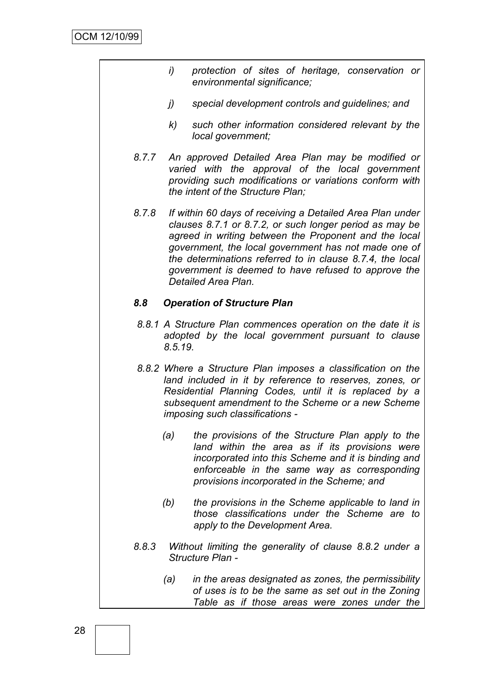- *i) protection of sites of heritage, conservation or environmental significance;*
- *j) special development controls and guidelines; and*
- *k) such other information considered relevant by the local government;*
- *8.7.7 An approved Detailed Area Plan may be modified or varied with the approval of the local government providing such modifications or variations conform with the intent of the Structure Plan;*
- *8.7.8 If within 60 days of receiving a Detailed Area Plan under clauses 8.7.1 or 8.7.2, or such longer period as may be agreed in writing between the Proponent and the local government, the local government has not made one of the determinations referred to in clause 8.7.4, the local government is deemed to have refused to approve the Detailed Area Plan.*

#### *8.8 Operation of Structure Plan*

- *8.8.1 A Structure Plan commences operation on the date it is adopted by the local government pursuant to clause 8.5.19.*
- *8.8.2 Where a Structure Plan imposes a classification on the land included in it by reference to reserves, zones, or Residential Planning Codes, until it is replaced by a subsequent amendment to the Scheme or a new Scheme imposing such classifications -*
	- *(a) the provisions of the Structure Plan apply to the land within the area as if its provisions were incorporated into this Scheme and it is binding and enforceable in the same way as corresponding provisions incorporated in the Scheme; and*
	- *(b) the provisions in the Scheme applicable to land in those classifications under the Scheme are to apply to the Development Area.*
- *8.8.3 Without limiting the generality of clause 8.8.2 under a Structure Plan -*
	- *(a) in the areas designated as zones, the permissibility of uses is to be the same as set out in the Zoning Table as if those areas were zones under the*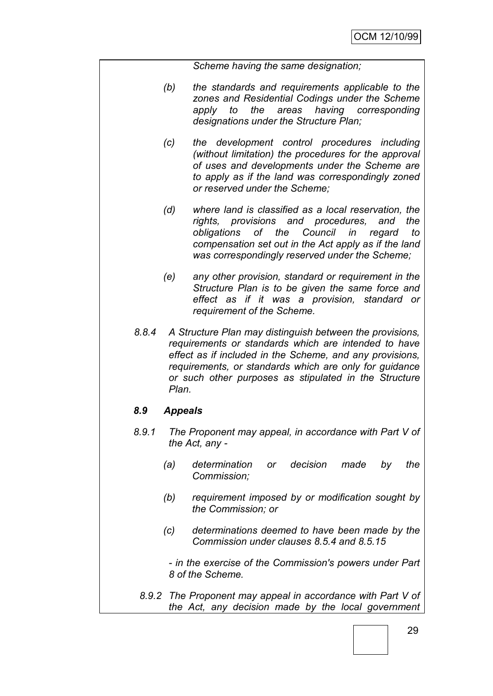*Scheme having the same designation;*

- *(b) the standards and requirements applicable to the zones and Residential Codings under the Scheme apply to the areas having corresponding designations under the Structure Plan;*
- *(c) the development control procedures including (without limitation) the procedures for the approval of uses and developments under the Scheme are to apply as if the land was correspondingly zoned or reserved under the Scheme;*
- *(d) where land is classified as a local reservation, the rights, provisions and procedures, and the obligations of the Council in regard to compensation set out in the Act apply as if the land was correspondingly reserved under the Scheme;*
- *(e) any other provision, standard or requirement in the Structure Plan is to be given the same force and effect as if it was a provision, standard or requirement of the Scheme.*
- *8.8.4 A Structure Plan may distinguish between the provisions, requirements or standards which are intended to have effect as if included in the Scheme, and any provisions, requirements, or standards which are only for guidance or such other purposes as stipulated in the Structure Plan.*

#### *8.9 Appeals*

- *8.9.1 The Proponent may appeal, in accordance with Part V of the Act, any -*
	- *(a) determination or decision made by the Commission;*
	- *(b) requirement imposed by or modification sought by the Commission; or*
	- *(c) determinations deemed to have been made by the Commission under clauses 8.5.4 and 8.5.15*

*- in the exercise of the Commission's powers under Part 8 of the Scheme.*

*8.9.2 The Proponent may appeal in accordance with Part V of the Act, any decision made by the local government*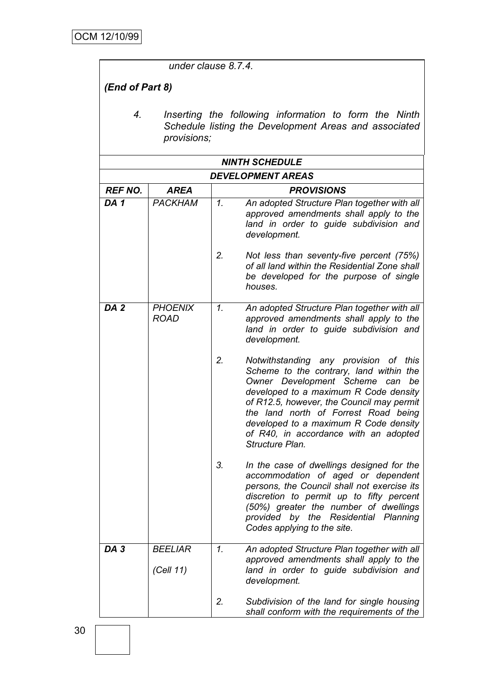*under clause 8.7.4.*

# *(End of Part 8)*

*4. Inserting the following information to form the Ninth Schedule listing the Development Areas and associated provisions;*

| <b>NINTH SCHEDULE</b>    |                               |                 |                                                                                                                                                                                                                                                                                                                                                              |
|--------------------------|-------------------------------|-----------------|--------------------------------------------------------------------------------------------------------------------------------------------------------------------------------------------------------------------------------------------------------------------------------------------------------------------------------------------------------------|
| <b>DEVELOPMENT AREAS</b> |                               |                 |                                                                                                                                                                                                                                                                                                                                                              |
| <b>REF NO.</b>           | <b>AREA</b>                   |                 | <b>PROVISIONS</b>                                                                                                                                                                                                                                                                                                                                            |
| DA <sub>1</sub>          | <b>PACKHAM</b>                | $\mathcal{I}$ . | An adopted Structure Plan together with all<br>approved amendments shall apply to the<br>land in order to guide subdivision and<br>development.                                                                                                                                                                                                              |
|                          |                               | 2.              | Not less than seventy-five percent (75%)<br>of all land within the Residential Zone shall<br>be developed for the purpose of single<br>houses.                                                                                                                                                                                                               |
| DA <sub>2</sub>          | <b>PHOENIX</b><br><b>ROAD</b> | $\mathcal{I}$ . | An adopted Structure Plan together with all<br>approved amendments shall apply to the<br>land in order to guide subdivision and<br>development.                                                                                                                                                                                                              |
|                          |                               | 2.              | Notwithstanding any provision of this<br>Scheme to the contrary, land within the<br>Owner Development Scheme<br>be<br>can<br>developed to a maximum R Code density<br>of R12.5, however, the Council may permit<br>the land north of Forrest Road being<br>developed to a maximum R Code density<br>of R40, in accordance with an adopted<br>Structure Plan. |
|                          |                               | 3.              | In the case of dwellings designed for the<br>accommodation of aged or dependent<br>persons, the Council shall not exercise its<br>discretion to permit up to fifty percent<br>(50%) greater the number of dwellings<br>provided by the Residential Planning<br>Codes applying to the site.                                                                   |
| DA <sub>3</sub>          | <b>BEELIAR</b><br>(Cell 11)   | $\mathbf{1}$ .  | An adopted Structure Plan together with all<br>approved amendments shall apply to the<br>land in order to guide subdivision and<br>development.                                                                                                                                                                                                              |
|                          |                               | 2.              | Subdivision of the land for single housing<br>shall conform with the requirements of the                                                                                                                                                                                                                                                                     |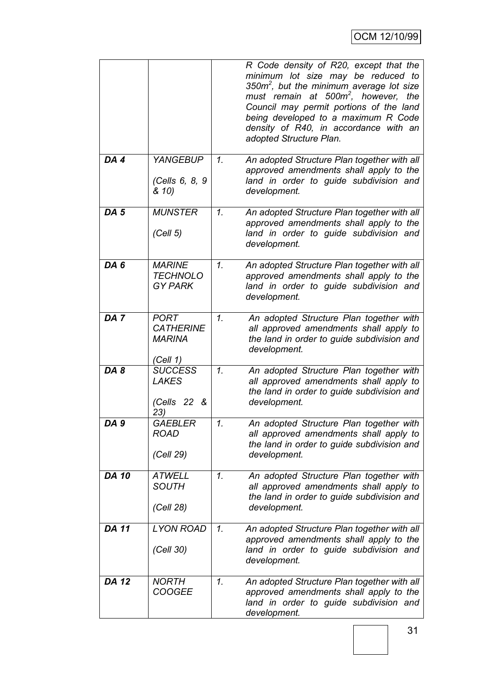|                 |                                                              |                 | R Code density of R20, except that the<br>minimum lot size may be reduced to<br>350 $m^2$ , but the minimum average lot size<br>must remain at 500m <sup>2</sup> , however,<br>the<br>Council may permit portions of the land<br>being developed to a maximum R Code<br>density of R40, in accordance with an<br>adopted Structure Plan. |
|-----------------|--------------------------------------------------------------|-----------------|------------------------------------------------------------------------------------------------------------------------------------------------------------------------------------------------------------------------------------------------------------------------------------------------------------------------------------------|
| DA 4            | <b>YANGEBUP</b><br>(Cells 6, 8, 9<br>& 10)                   | $\mathcal{I}$ . | An adopted Structure Plan together with all<br>approved amendments shall apply to the<br>land in order to guide subdivision and<br>development.                                                                                                                                                                                          |
| DA <sub>5</sub> | <b>MUNSTER</b><br>(Cell 5)                                   | $\mathcal{I}$ . | An adopted Structure Plan together with all<br>approved amendments shall apply to the<br>land in order to guide subdivision and<br>development.                                                                                                                                                                                          |
| DA 6            | <b>MARINE</b><br><b>TECHNOLO</b><br><b>GY PARK</b>           | 1.              | An adopted Structure Plan together with all<br>approved amendments shall apply to the<br>land in order to guide subdivision and<br>development.                                                                                                                                                                                          |
| DA <sub>7</sub> | <b>PORT</b><br><b>CATHERINE</b><br><b>MARINA</b><br>(Cell 1) | $\mathcal{I}$ . | An adopted Structure Plan together with<br>all approved amendments shall apply to<br>the land in order to guide subdivision and<br>development.                                                                                                                                                                                          |
| DA8             | <b>SUCCESS</b><br><b>LAKES</b><br>(Cells 22 &<br>23)         | $\mathcal{I}$ . | An adopted Structure Plan together with<br>all approved amendments shall apply to<br>the land in order to guide subdivision and<br>development.                                                                                                                                                                                          |
| DA <sub>9</sub> | <b>GAEBLER</b><br><b>ROAD</b><br>(Cell 29)                   | 1.              | An adopted Structure Plan together with<br>all approved amendments shall apply to<br>the land in order to guide subdivision and<br>development.                                                                                                                                                                                          |
| <b>DA 10</b>    | <b>ATWELL</b><br><b>SOUTH</b><br>(Cell 28)                   | $\mathcal{I}$ . | An adopted Structure Plan together with<br>all approved amendments shall apply to<br>the land in order to guide subdivision and<br>development.                                                                                                                                                                                          |
| <b>DA 11</b>    | <b>LYON ROAD</b><br>(Cell 30)                                | $\mathcal{I}$ . | An adopted Structure Plan together with all<br>approved amendments shall apply to the<br>land in order to guide subdivision and<br>development.                                                                                                                                                                                          |
| <b>DA 12</b>    | <b>NORTH</b><br><b>COOGEE</b>                                | $\mathcal{I}$ . | An adopted Structure Plan together with all<br>approved amendments shall apply to the<br>land in order to guide subdivision and<br>development.                                                                                                                                                                                          |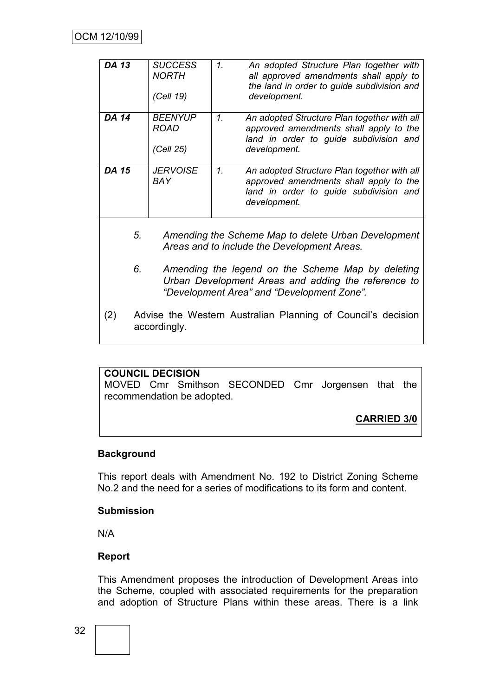| <b>DA 13</b>                                                                                                                                                 | <b>SUCCESS</b><br><b>NORTH</b><br>(Cell 19) | 1.<br>An adopted Structure Plan together with<br>all approved amendments shall apply to<br>the land in order to guide subdivision and<br>development. |  |
|--------------------------------------------------------------------------------------------------------------------------------------------------------------|---------------------------------------------|-------------------------------------------------------------------------------------------------------------------------------------------------------|--|
| <b>DA 14</b>                                                                                                                                                 | <b>BEENYUP</b><br><b>ROAD</b><br>(Cell 25)  | 1.<br>An adopted Structure Plan together with all<br>approved amendments shall apply to the<br>land in order to guide subdivision and<br>development. |  |
| <b>DA 15</b>                                                                                                                                                 | <b>JERVOISE</b><br>BAY                      | 1.<br>An adopted Structure Plan together with all<br>approved amendments shall apply to the<br>land in order to guide subdivision and<br>development. |  |
| 5.<br>Amending the Scheme Map to delete Urban Development<br>Areas and to include the Development Areas.                                                     |                                             |                                                                                                                                                       |  |
| 6.<br>Amending the legend on the Scheme Map by deleting<br>Urban Development Areas and adding the reference to<br>"Development Area" and "Development Zone". |                                             |                                                                                                                                                       |  |
| Advise the Western Australian Planning of Council's decision<br>(2)<br>accordingly.                                                                          |                                             |                                                                                                                                                       |  |

#### **COUNCIL DECISION**

MOVED Cmr Smithson SECONDED Cmr Jorgensen that the recommendation be adopted.

**CARRIED 3/0**

#### **Background**

This report deals with Amendment No. 192 to District Zoning Scheme No.2 and the need for a series of modifications to its form and content.

#### **Submission**

N/A

#### **Report**

This Amendment proposes the introduction of Development Areas into the Scheme, coupled with associated requirements for the preparation and adoption of Structure Plans within these areas. There is a link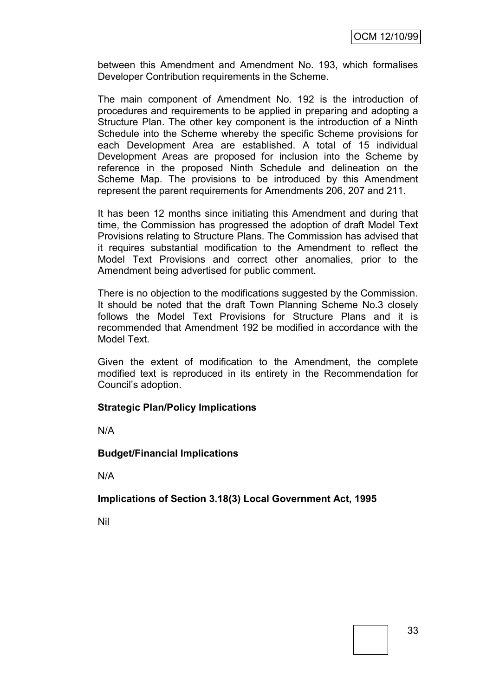between this Amendment and Amendment No. 193, which formalises Developer Contribution requirements in the Scheme.

The main component of Amendment No. 192 is the introduction of procedures and requirements to be applied in preparing and adopting a Structure Plan. The other key component is the introduction of a Ninth Schedule into the Scheme whereby the specific Scheme provisions for each Development Area are established. A total of 15 individual Development Areas are proposed for inclusion into the Scheme by reference in the proposed Ninth Schedule and delineation on the Scheme Map. The provisions to be introduced by this Amendment represent the parent requirements for Amendments 206, 207 and 211.

It has been 12 months since initiating this Amendment and during that time, the Commission has progressed the adoption of draft Model Text Provisions relating to Structure Plans. The Commission has advised that it requires substantial modification to the Amendment to reflect the Model Text Provisions and correct other anomalies, prior to the Amendment being advertised for public comment.

There is no objection to the modifications suggested by the Commission. It should be noted that the draft Town Planning Scheme No.3 closely follows the Model Text Provisions for Structure Plans and it is recommended that Amendment 192 be modified in accordance with the Model Text.

Given the extent of modification to the Amendment, the complete modified text is reproduced in its entirety in the Recommendation for Council"s adoption.

#### **Strategic Plan/Policy Implications**

N/A

**Budget/Financial Implications**

N/A

#### **Implications of Section 3.18(3) Local Government Act, 1995**

Nil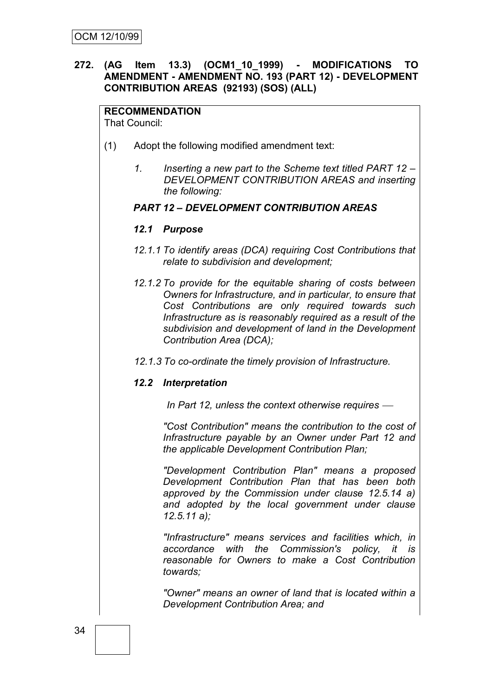# **272. (AG Item 13.3) (OCM1\_10\_1999) - MODIFICATIONS TO AMENDMENT - AMENDMENT NO. 193 (PART 12) - DEVELOPMENT CONTRIBUTION AREAS (92193) (SOS) (ALL)**

# **RECOMMENDATION**

That Council:

- (1) Adopt the following modified amendment text:
	- *1. Inserting a new part to the Scheme text titled PART 12 – DEVELOPMENT CONTRIBUTION AREAS and inserting the following:*

#### *PART 12 – DEVELOPMENT CONTRIBUTION AREAS*

#### *12.1 Purpose*

- *12.1.1 To identify areas (DCA) requiring Cost Contributions that relate to subdivision and development;*
- *12.1.2 To provide for the equitable sharing of costs between Owners for Infrastructure, and in particular, to ensure that Cost Contributions are only required towards such Infrastructure as is reasonably required as a result of the subdivision and development of land in the Development Contribution Area (DCA);*
- *12.1.3 To co-ordinate the timely provision of Infrastructure.*

#### *12.2 Interpretation*

*In Part 12, unless the context otherwise requires* 

*"Cost Contribution" means the contribution to the cost of Infrastructure payable by an Owner under Part 12 and the applicable Development Contribution Plan;*

*"Development Contribution Plan" means a proposed Development Contribution Plan that has been both approved by the Commission under clause 12.5.14 a) and adopted by the local government under clause 12.5.11 a);*

*"Infrastructure" means services and facilities which, in accordance with the Commission's policy, it is reasonable for Owners to make a Cost Contribution towards;*

*"Owner" means an owner of land that is located within a Development Contribution Area; and*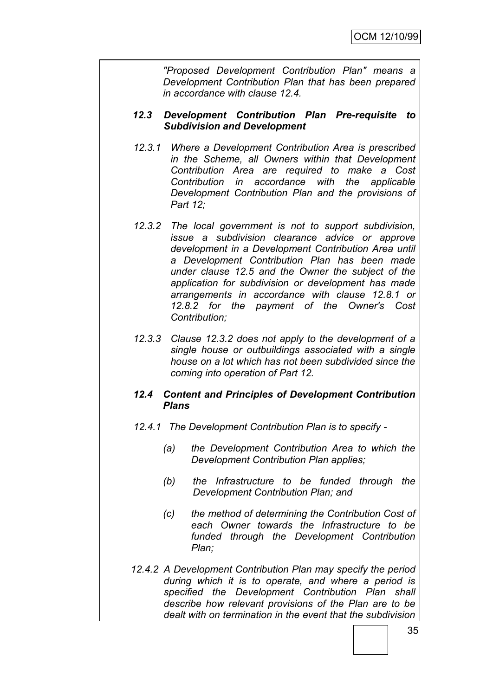*"Proposed Development Contribution Plan" means a Development Contribution Plan that has been prepared in accordance with clause 12.4.*

#### *12.3 Development Contribution Plan Pre-requisite to Subdivision and Development*

- *12.3.1 Where a Development Contribution Area is prescribed in the Scheme, all Owners within that Development Contribution Area are required to make a Cost Contribution in accordance with the applicable Development Contribution Plan and the provisions of Part 12;*
- *12.3.2 The local government is not to support subdivision, issue a subdivision clearance advice or approve development in a Development Contribution Area until a Development Contribution Plan has been made under clause 12.5 and the Owner the subject of the application for subdivision or development has made arrangements in accordance with clause 12.8.1 or 12.8.2 for the payment of the Owner's Cost Contribution;*
- *12.3.3 Clause 12.3.2 does not apply to the development of a single house or outbuildings associated with a single house on a lot which has not been subdivided since the coming into operation of Part 12.*

# *12.4 Content and Principles of Development Contribution Plans*

- *12.4.1 The Development Contribution Plan is to specify -*
	- *(a) the Development Contribution Area to which the Development Contribution Plan applies;*
	- *(b) the Infrastructure to be funded through the Development Contribution Plan; and*
	- *(c) the method of determining the Contribution Cost of each Owner towards the Infrastructure to be funded through the Development Contribution Plan;*
- *12.4.2 A Development Contribution Plan may specify the period during which it is to operate, and where a period is specified the Development Contribution Plan shall describe how relevant provisions of the Plan are to be dealt with on termination in the event that the subdivision*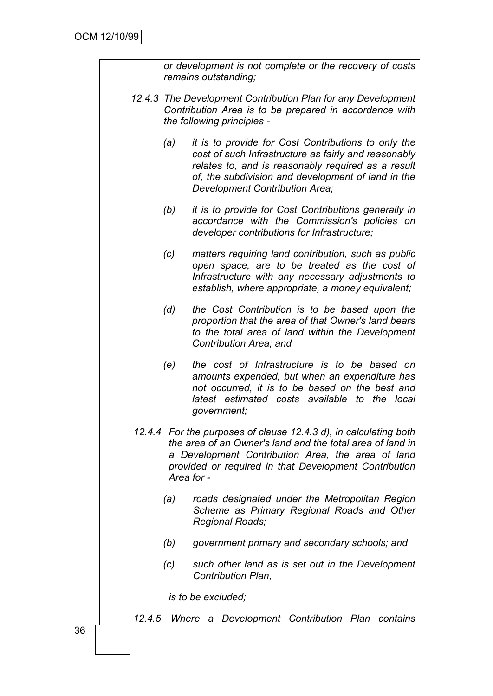|  |     | or development is not complete or the recovery of costs<br>remains outstanding;                                                                                                                                                                           |
|--|-----|-----------------------------------------------------------------------------------------------------------------------------------------------------------------------------------------------------------------------------------------------------------|
|  |     | 12.4.3 The Development Contribution Plan for any Development<br>Contribution Area is to be prepared in accordance with<br>the following principles -                                                                                                      |
|  | (a) | it is to provide for Cost Contributions to only the<br>cost of such Infrastructure as fairly and reasonably<br>relates to, and is reasonably required as a result<br>of, the subdivision and development of land in the<br>Development Contribution Area; |
|  | (b) | it is to provide for Cost Contributions generally in<br>accordance with the Commission's policies on<br>developer contributions for Infrastructure;                                                                                                       |
|  | (c) | matters requiring land contribution, such as public<br>open space, are to be treated as the cost of<br>Infrastructure with any necessary adjustments to<br>establish, where appropriate, a money equivalent;                                              |
|  | (d) | the Cost Contribution is to be based upon the<br>proportion that the area of that Owner's land bears<br>to the total area of land within the Development<br>Contribution Area; and                                                                        |
|  | (e) | the cost of Infrastructure is to be based on<br>amounts expended, but when an expenditure has<br>not occurred, it is to be based on the best and<br>latest estimated costs available to the local<br>government;                                          |
|  |     | 12.4.4 For the purposes of clause 12.4.3 d), in calculating both<br>the area of an Owner's land and the total area of land in<br>a Development Contribution Area, the area of land<br>provided or required in that Development Contribution<br>Area for - |
|  | (a) | roads designated under the Metropolitan Region<br>Scheme as Primary Regional Roads and Other<br>Regional Roads;                                                                                                                                           |
|  | (b) | government primary and secondary schools; and                                                                                                                                                                                                             |
|  | (c) | such other land as is set out in the Development<br><b>Contribution Plan,</b>                                                                                                                                                                             |
|  |     | is to be excluded;                                                                                                                                                                                                                                        |
|  |     | 12.4.5 Where a Development Contribution Plan contains                                                                                                                                                                                                     |
|  |     |                                                                                                                                                                                                                                                           |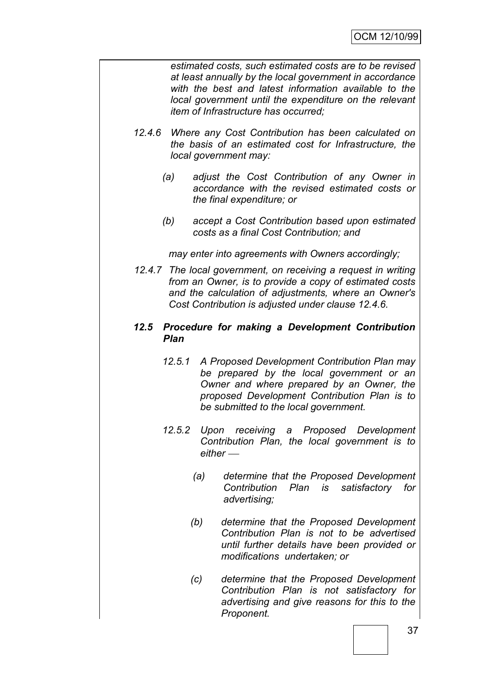*estimated costs, such estimated costs are to be revised at least annually by the local government in accordance with the best and latest information available to the local government until the expenditure on the relevant item of Infrastructure has occurred;*

- *12.4.6 Where any Cost Contribution has been calculated on the basis of an estimated cost for Infrastructure, the local government may:*
	- *(a) adjust the Cost Contribution of any Owner in accordance with the revised estimated costs or the final expenditure; or*
	- *(b) accept a Cost Contribution based upon estimated costs as a final Cost Contribution; and*

*may enter into agreements with Owners accordingly;*

*12.4.7 The local government, on receiving a request in writing from an Owner, is to provide a copy of estimated costs and the calculation of adjustments, where an Owner's Cost Contribution is adjusted under clause 12.4.6.*

#### *12.5 Procedure for making a Development Contribution Plan*

- *12.5.1 A Proposed Development Contribution Plan may be prepared by the local government or an Owner and where prepared by an Owner, the proposed Development Contribution Plan is to be submitted to the local government.*
- *12.5.2 Upon receiving a Proposed Development Contribution Plan, the local government is to either* 
	- *(a) determine that the Proposed Development Contribution Plan is satisfactory for advertising;*
	- *(b) determine that the Proposed Development Contribution Plan is not to be advertised until further details have been provided or modifications undertaken; or*
	- *(c) determine that the Proposed Development Contribution Plan is not satisfactory for advertising and give reasons for this to the Proponent.*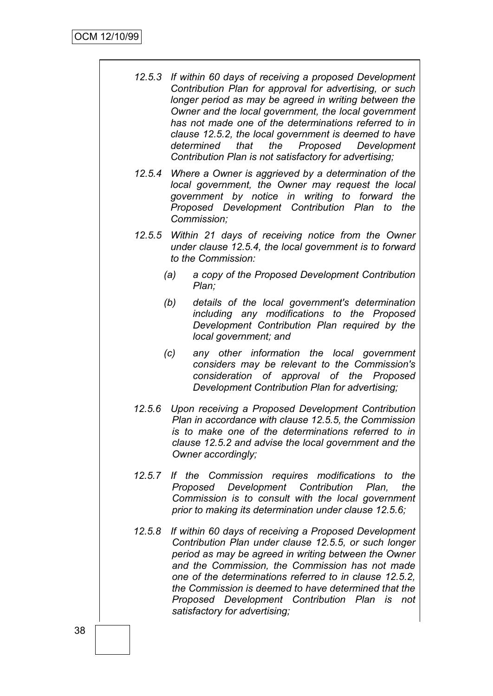- *12.5.3 If within 60 days of receiving a proposed Development Contribution Plan for approval for advertising, or such*  longer period as may be agreed in writing between the *Owner and the local government, the local government has not made one of the determinations referred to in clause 12.5.2, the local government is deemed to have determined that the Proposed Development Contribution Plan is not satisfactory for advertising;*
- *12.5.4 Where a Owner is aggrieved by a determination of the local government, the Owner may request the local government by notice in writing to forward the Proposed Development Contribution Plan to the Commission;*
- *12.5.5 Within 21 days of receiving notice from the Owner under clause 12.5.4, the local government is to forward to the Commission:*
	- *(a) a copy of the Proposed Development Contribution Plan;*
	- *(b) details of the local government's determination including any modifications to the Proposed Development Contribution Plan required by the local government; and*
	- *(c) any other information the local government considers may be relevant to the Commission's consideration of approval of the Proposed Development Contribution Plan for advertising;*
- *12.5.6 Upon receiving a Proposed Development Contribution Plan in accordance with clause 12.5.5, the Commission is to make one of the determinations referred to in clause 12.5.2 and advise the local government and the Owner accordingly;*
- *12.5.7 If the Commission requires modifications to the Proposed Development Contribution Plan, the Commission is to consult with the local government prior to making its determination under clause 12.5.6;*
- *12.5.8 If within 60 days of receiving a Proposed Development Contribution Plan under clause 12.5.5, or such longer period as may be agreed in writing between the Owner and the Commission, the Commission has not made one of the determinations referred to in clause 12.5.2, the Commission is deemed to have determined that the Proposed Development Contribution Plan is not satisfactory for advertising;*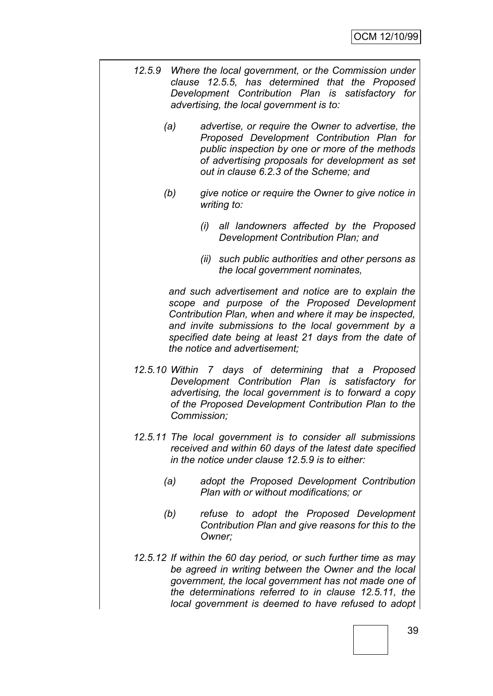- *12.5.9 Where the local government, or the Commission under clause 12.5.5, has determined that the Proposed Development Contribution Plan is satisfactory for advertising, the local government is to:*
	- *(a) advertise, or require the Owner to advertise, the Proposed Development Contribution Plan for public inspection by one or more of the methods of advertising proposals for development as set out in clause 6.2.3 of the Scheme; and*
	- *(b) give notice or require the Owner to give notice in writing to:*
		- *(i) all landowners affected by the Proposed Development Contribution Plan; and*
		- *(ii) such public authorities and other persons as the local government nominates,*

*and such advertisement and notice are to explain the scope and purpose of the Proposed Development Contribution Plan, when and where it may be inspected, and invite submissions to the local government by a specified date being at least 21 days from the date of the notice and advertisement;*

- *12.5.10 Within 7 days of determining that a Proposed Development Contribution Plan is satisfactory for advertising, the local government is to forward a copy of the Proposed Development Contribution Plan to the Commission;*
- *12.5.11 The local government is to consider all submissions received and within 60 days of the latest date specified in the notice under clause 12.5.9 is to either:*
	- *(a) adopt the Proposed Development Contribution Plan with or without modifications; or*
	- *(b) refuse to adopt the Proposed Development Contribution Plan and give reasons for this to the Owner;*
- *12.5.12 If within the 60 day period, or such further time as may be agreed in writing between the Owner and the local government, the local government has not made one of the determinations referred to in clause 12.5.11, the local government is deemed to have refused to adopt*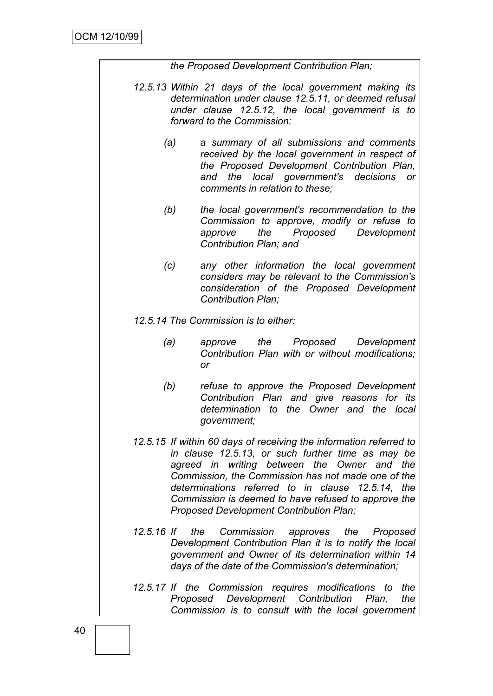*the Proposed Development Contribution Plan;*

- *12.5.13 Within 21 days of the local government making its determination under clause 12.5.11, or deemed refusal under clause 12.5.12, the local government is to forward to the Commission:*
	- *(a) a summary of all submissions and comments received by the local government in respect of the Proposed Development Contribution Plan, and the local government's decisions or comments in relation to these;*
	- *(b) the local government's recommendation to the Commission to approve, modify or refuse to approve the Proposed Development Contribution Plan; and*
	- *(c) any other information the local government considers may be relevant to the Commission's consideration of the Proposed Development Contribution Plan;*

*12.5.14 The Commission is to either:*

- *(a) approve the Proposed Development Contribution Plan with or without modifications; or*
- *(b) refuse to approve the Proposed Development Contribution Plan and give reasons for its determination to the Owner and the local government;*
- *12.5.15 If within 60 days of receiving the information referred to in clause 12.5.13, or such further time as may be agreed in writing between the Owner and the Commission, the Commission has not made one of the determinations referred to in clause 12.5.14, the Commission is deemed to have refused to approve the Proposed Development Contribution Plan;*
- *12.5.16 If the Commission approves the Proposed Development Contribution Plan it is to notify the local government and Owner of its determination within 14 days of the date of the Commission's determination;*
- *12.5.17 If the Commission requires modifications to the Proposed Development Contribution Plan, the Commission is to consult with the local government*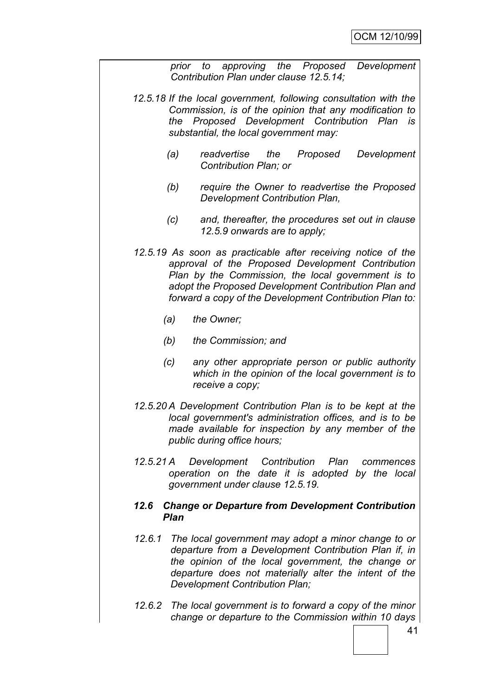*prior to approving the Proposed Development Contribution Plan under clause 12.5.14;*

- *12.5.18 If the local government, following consultation with the Commission, is of the opinion that any modification to the Proposed Development Contribution Plan is substantial, the local government may:*
	- *(a) readvertise the Proposed Development Contribution Plan; or*
	- *(b) require the Owner to readvertise the Proposed Development Contribution Plan,*
	- *(c) and, thereafter, the procedures set out in clause 12.5.9 onwards are to apply;*
- *12.5.19 As soon as practicable after receiving notice of the approval of the Proposed Development Contribution Plan by the Commission, the local government is to adopt the Proposed Development Contribution Plan and forward a copy of the Development Contribution Plan to:*
	- *(a) the Owner;*
	- *(b) the Commission; and*
	- *(c) any other appropriate person or public authority which in the opinion of the local government is to receive a copy;*
- *12.5.20 A Development Contribution Plan is to be kept at the local government's administration offices, and is to be made available for inspection by any member of the public during office hours;*
- *12.5.21 A Development Contribution Plan commences operation on the date it is adopted by the local government under clause 12.5.19.*

#### *12.6 Change or Departure from Development Contribution Plan*

- *12.6.1 The local government may adopt a minor change to or departure from a Development Contribution Plan if, in the opinion of the local government, the change or departure does not materially alter the intent of the Development Contribution Plan;*
- *12.6.2 The local government is to forward a copy of the minor change or departure to the Commission within 10 days*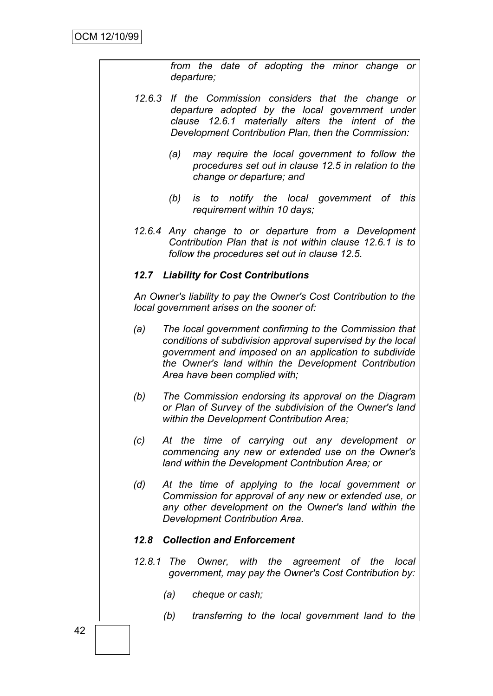|     | departure;                                   |                                               | from the date of adopting the minor change or                                                                                                                                                                                         |  |
|-----|----------------------------------------------|-----------------------------------------------|---------------------------------------------------------------------------------------------------------------------------------------------------------------------------------------------------------------------------------------|--|
|     |                                              |                                               | 12.6.3 If the Commission considers that the change or<br>departure adopted by the local government under<br>clause 12.6.1 materially alters the intent of the<br>Development Contribution Plan, then the Commission:                  |  |
|     | (a)                                          | change or departure; and                      | may require the local government to follow the<br>procedures set out in clause 12.5 in relation to the                                                                                                                                |  |
|     | (b)                                          | requirement within 10 days;                   | is to notify the local government of this                                                                                                                                                                                             |  |
|     |                                              | follow the procedures set out in clause 12.5. | 12.6.4 Any change to or departure from a Development<br>Contribution Plan that is not within clause 12.6.1 is to                                                                                                                      |  |
|     | <b>12.7 Liability for Cost Contributions</b> |                                               |                                                                                                                                                                                                                                       |  |
|     | local government arises on the sooner of:    |                                               | An Owner's liability to pay the Owner's Cost Contribution to the                                                                                                                                                                      |  |
| (a) |                                              | Area have been complied with;                 | The local government confirming to the Commission that<br>conditions of subdivision approval supervised by the local<br>government and imposed on an application to subdivide<br>the Owner's land within the Development Contribution |  |
| (b) |                                              | within the Development Contribution Area;     | The Commission endorsing its approval on the Diagram<br>or Plan of Survey of the subdivision of the Owner's land                                                                                                                      |  |
| (c) |                                              |                                               | At the time of carrying out any development or<br>commencing any new or extended use on the Owner's<br>land within the Development Contribution Area; or                                                                              |  |
| (d) |                                              | Development Contribution Area.                | At the time of applying to the local government or<br>Commission for approval of any new or extended use, or<br>any other development on the Owner's land within the                                                                  |  |
|     | <b>Collection and Enforcement</b><br>12.8    |                                               |                                                                                                                                                                                                                                       |  |
|     |                                              |                                               | 12.8.1 The Owner, with the agreement of the local<br>government, may pay the Owner's Cost Contribution by:                                                                                                                            |  |
|     | (a)<br>cheque or cash;                       |                                               |                                                                                                                                                                                                                                       |  |
|     | (b)                                          |                                               | transferring to the local government land to the                                                                                                                                                                                      |  |
|     |                                              |                                               |                                                                                                                                                                                                                                       |  |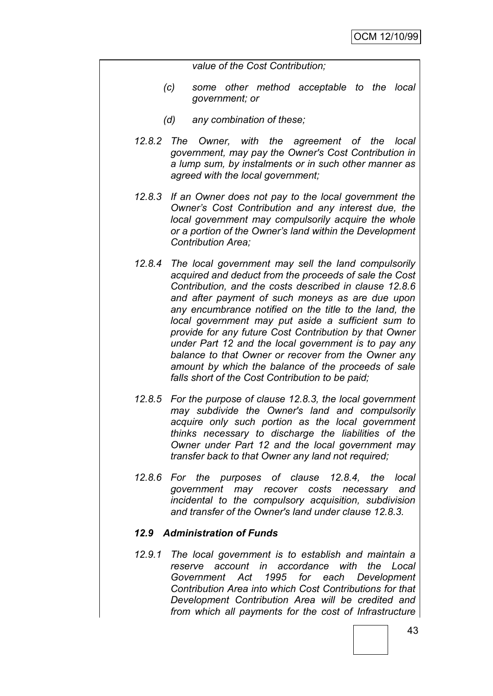*value of the Cost Contribution;*

- *(c) some other method acceptable to the local government; or*
- *(d) any combination of these;*
- *12.8.2 The Owner, with the agreement of the local government, may pay the Owner's Cost Contribution in a lump sum, by instalments or in such other manner as agreed with the local government;*
- *12.8.3 If an Owner does not pay to the local government the Owner"s Cost Contribution and any interest due, the local government may compulsorily acquire the whole or a portion of the Owner"s land within the Development Contribution Area;*
- *12.8.4 The local government may sell the land compulsorily acquired and deduct from the proceeds of sale the Cost Contribution, and the costs described in clause 12.8.6 and after payment of such moneys as are due upon any encumbrance notified on the title to the land, the local government may put aside a sufficient sum to provide for any future Cost Contribution by that Owner under Part 12 and the local government is to pay any balance to that Owner or recover from the Owner any amount by which the balance of the proceeds of sale falls short of the Cost Contribution to be paid;*
- *12.8.5 For the purpose of clause 12.8.3, the local government may subdivide the Owner's land and compulsorily acquire only such portion as the local government thinks necessary to discharge the liabilities of the Owner under Part 12 and the local government may transfer back to that Owner any land not required;*
- *12.8.6 For the purposes of clause 12.8.4, the local government may recover costs necessary and incidental to the compulsory acquisition, subdivision and transfer of the Owner's land under clause 12.8.3.*

#### *12.9 Administration of Funds*

*12.9.1 The local government is to establish and maintain a reserve account in accordance with the Local Government Act 1995 for each Development Contribution Area into which Cost Contributions for that Development Contribution Area will be credited and from which all payments for the cost of Infrastructure*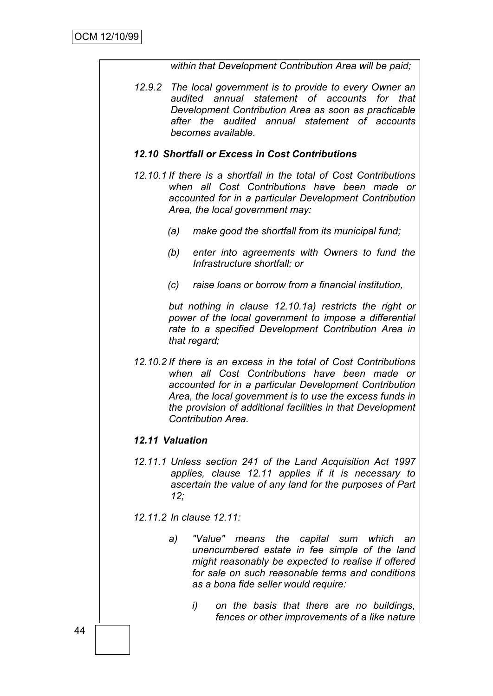*within that Development Contribution Area will be paid;*

*12.9.2 The local government is to provide to every Owner an audited annual statement of accounts for that Development Contribution Area as soon as practicable after the audited annual statement of accounts becomes available.*

# *12.10 Shortfall or Excess in Cost Contributions*

- *12.10.1 If there is a shortfall in the total of Cost Contributions when all Cost Contributions have been made or accounted for in a particular Development Contribution Area, the local government may:*
	- *(a) make good the shortfall from its municipal fund;*
	- *(b) enter into agreements with Owners to fund the Infrastructure shortfall; or*
	- *(c) raise loans or borrow from a financial institution,*

*but nothing in clause 12.10.1a) restricts the right or power of the local government to impose a differential rate to a specified Development Contribution Area in that regard;*

*12.10.2 If there is an excess in the total of Cost Contributions when all Cost Contributions have been made or accounted for in a particular Development Contribution Area, the local government is to use the excess funds in the provision of additional facilities in that Development Contribution Area.*

# *12.11 Valuation*

*12.11.1 Unless section 241 of the Land Acquisition Act 1997 applies, clause 12.11 applies if it is necessary to ascertain the value of any land for the purposes of Part 12;*

*12.11.2 In clause 12.11:*

- *a) "Value" means the capital sum which an unencumbered estate in fee simple of the land might reasonably be expected to realise if offered for sale on such reasonable terms and conditions as a bona fide seller would require:*
	- *i) on the basis that there are no buildings, fences or other improvements of a like nature*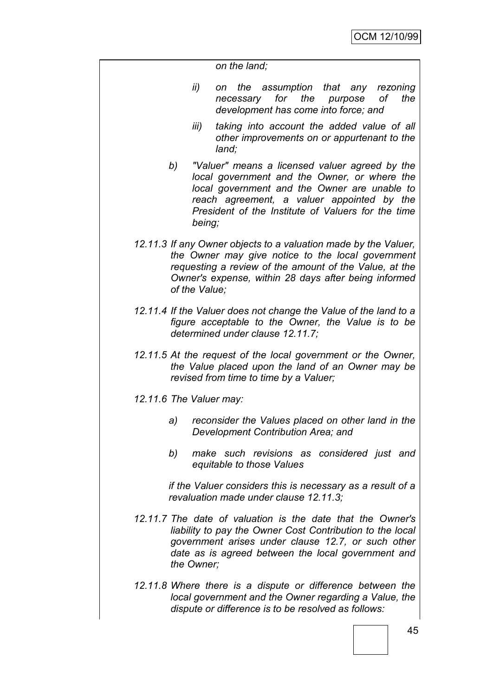*on the land;*

- *ii) on the assumption that any rezoning necessary for the purpose of the development has come into force; and*
- *iii) taking into account the added value of all other improvements on or appurtenant to the land;*
- *b) "Valuer" means a licensed valuer agreed by the local government and the Owner, or where the local government and the Owner are unable to reach agreement, a valuer appointed by the President of the Institute of Valuers for the time being;*
- *12.11.3 If any Owner objects to a valuation made by the Valuer, the Owner may give notice to the local government requesting a review of the amount of the Value, at the Owner's expense, within 28 days after being informed of the Value;*
- *12.11.4 If the Valuer does not change the Value of the land to a figure acceptable to the Owner, the Value is to be determined under clause 12.11.7;*
- *12.11.5 At the request of the local government or the Owner, the Value placed upon the land of an Owner may be revised from time to time by a Valuer;*
- *12.11.6 The Valuer may:*
	- *a) reconsider the Values placed on other land in the Development Contribution Area; and*
	- *b) make such revisions as considered just and equitable to those Values*

*if the Valuer considers this is necessary as a result of a revaluation made under clause 12.11.3;*

- *12.11.7 The date of valuation is the date that the Owner's liability to pay the Owner Cost Contribution to the local government arises under clause 12.7, or such other date as is agreed between the local government and the Owner;*
- *12.11.8 Where there is a dispute or difference between the local government and the Owner regarding a Value, the dispute or difference is to be resolved as follows:*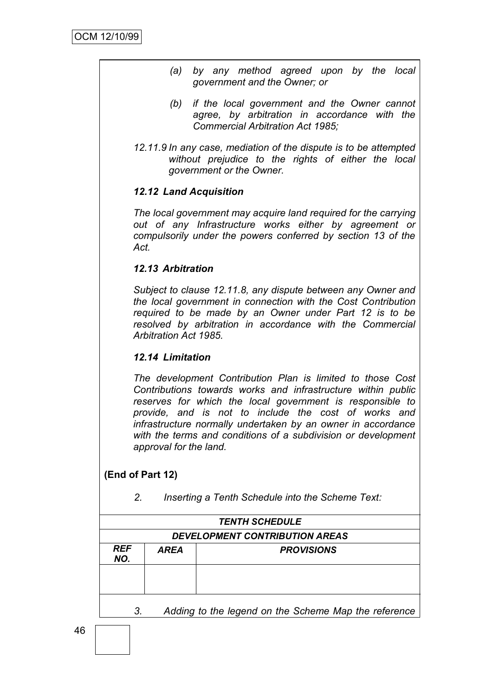- *(a) by any method agreed upon by the local government and the Owner; or*
- *(b) if the local government and the Owner cannot agree, by arbitration in accordance with the Commercial Arbitration Act 1985;*
- *12.11.9 In any case, mediation of the dispute is to be attempted without prejudice to the rights of either the local government or the Owner.*

# *12.12 Land Acquisition*

*The local government may acquire land required for the carrying out of any Infrastructure works either by agreement or compulsorily under the powers conferred by section 13 of the Act.*

# *12.13 Arbitration*

*Subject to clause 12.11.8, any dispute between any Owner and the local government in connection with the Cost Contribution required to be made by an Owner under Part 12 is to be resolved by arbitration in accordance with the Commercial Arbitration Act 1985.*

# *12.14 Limitation*

*The development Contribution Plan is limited to those Cost Contributions towards works and infrastructure within public reserves for which the local government is responsible to provide, and is not to include the cost of works and infrastructure normally undertaken by an owner in accordance with the terms and conditions of a subdivision or development approval for the land.*

# **(End of Part 12)**

*2. Inserting a Tenth Schedule into the Scheme Text:*

| <b>TENTH SCHEDULE</b>                 |             |                   |  |  |
|---------------------------------------|-------------|-------------------|--|--|
| <b>DEVELOPMENT CONTRIBUTION AREAS</b> |             |                   |  |  |
| <b>REF</b><br>NO.                     | <b>AREA</b> | <b>PROVISIONS</b> |  |  |
|                                       |             |                   |  |  |
|                                       |             |                   |  |  |
|                                       |             |                   |  |  |

*3. Adding to the legend on the Scheme Map the reference*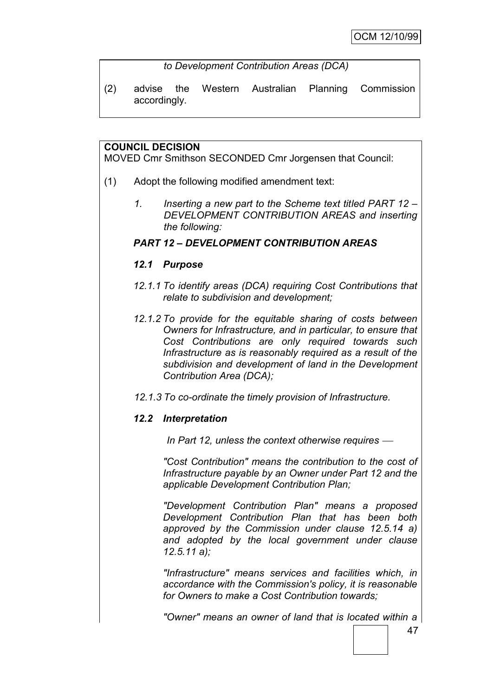*to Development Contribution Areas (DCA)*

(2) advise the Western Australian Planning Commission accordingly.

# **COUNCIL DECISION**

MOVED Cmr Smithson SECONDED Cmr Jorgensen that Council:

- (1) Adopt the following modified amendment text:
	- *1. Inserting a new part to the Scheme text titled PART 12 – DEVELOPMENT CONTRIBUTION AREAS and inserting the following:*

# *PART 12 – DEVELOPMENT CONTRIBUTION AREAS*

# *12.1 Purpose*

- *12.1.1 To identify areas (DCA) requiring Cost Contributions that relate to subdivision and development;*
- *12.1.2 To provide for the equitable sharing of costs between Owners for Infrastructure, and in particular, to ensure that Cost Contributions are only required towards such Infrastructure as is reasonably required as a result of the subdivision and development of land in the Development Contribution Area (DCA);*
- *12.1.3 To co-ordinate the timely provision of Infrastructure.*

# *12.2 Interpretation*

*In Part 12, unless the context otherwise requires* 

*"Cost Contribution" means the contribution to the cost of Infrastructure payable by an Owner under Part 12 and the applicable Development Contribution Plan;*

*"Development Contribution Plan" means a proposed Development Contribution Plan that has been both approved by the Commission under clause 12.5.14 a) and adopted by the local government under clause 12.5.11 a);*

*"Infrastructure" means services and facilities which, in accordance with the Commission's policy, it is reasonable for Owners to make a Cost Contribution towards;*

*"Owner" means an owner of land that is located within a*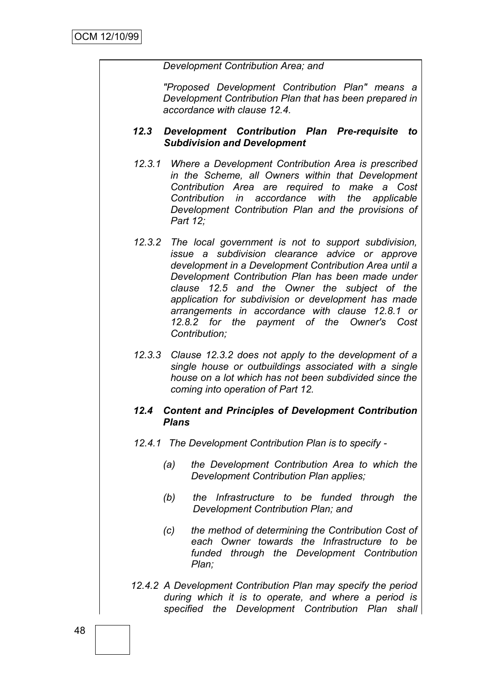#### *Development Contribution Area; and*

*"Proposed Development Contribution Plan" means a Development Contribution Plan that has been prepared in accordance with clause 12.4.*

# *12.3 Development Contribution Plan Pre-requisite to Subdivision and Development*

- *12.3.1 Where a Development Contribution Area is prescribed in the Scheme, all Owners within that Development Contribution Area are required to make a Cost Contribution in accordance with the applicable Development Contribution Plan and the provisions of Part 12;*
- *12.3.2 The local government is not to support subdivision, issue a subdivision clearance advice or approve development in a Development Contribution Area until a Development Contribution Plan has been made under clause 12.5 and the Owner the subject of the application for subdivision or development has made arrangements in accordance with clause 12.8.1 or 12.8.2 for the payment of the Owner's Cost Contribution;*
- *12.3.3 Clause 12.3.2 does not apply to the development of a single house or outbuildings associated with a single house on a lot which has not been subdivided since the coming into operation of Part 12.*

# *12.4 Content and Principles of Development Contribution Plans*

- *12.4.1 The Development Contribution Plan is to specify -*
	- *(a) the Development Contribution Area to which the Development Contribution Plan applies;*
	- *(b) the Infrastructure to be funded through the Development Contribution Plan; and*
	- *(c) the method of determining the Contribution Cost of each Owner towards the Infrastructure to be funded through the Development Contribution Plan;*
- *12.4.2 A Development Contribution Plan may specify the period during which it is to operate, and where a period is specified the Development Contribution Plan shall*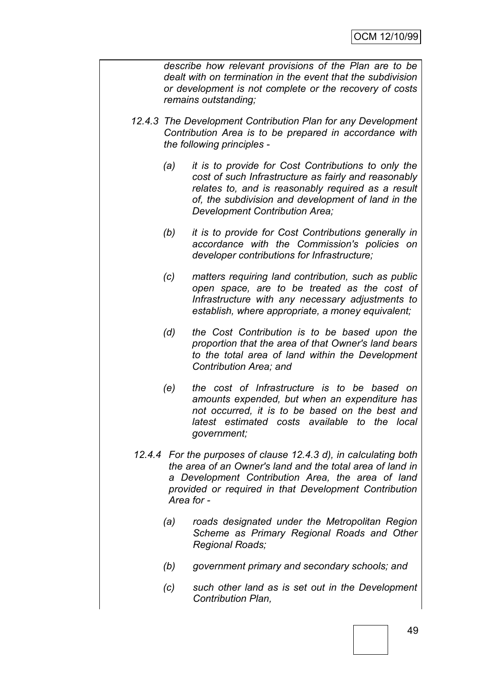*describe how relevant provisions of the Plan are to be dealt with on termination in the event that the subdivision or development is not complete or the recovery of costs remains outstanding;*

- *12.4.3 The Development Contribution Plan for any Development Contribution Area is to be prepared in accordance with the following principles -*
	- *(a) it is to provide for Cost Contributions to only the cost of such Infrastructure as fairly and reasonably relates to, and is reasonably required as a result of, the subdivision and development of land in the Development Contribution Area;*
	- *(b) it is to provide for Cost Contributions generally in accordance with the Commission's policies on developer contributions for Infrastructure;*
	- *(c) matters requiring land contribution, such as public open space, are to be treated as the cost of Infrastructure with any necessary adjustments to establish, where appropriate, a money equivalent;*
	- *(d) the Cost Contribution is to be based upon the proportion that the area of that Owner's land bears to the total area of land within the Development Contribution Area; and*
	- *(e) the cost of Infrastructure is to be based on amounts expended, but when an expenditure has not occurred, it is to be based on the best and latest estimated costs available to the local government;*
- *12.4.4 For the purposes of clause 12.4.3 d), in calculating both the area of an Owner's land and the total area of land in a Development Contribution Area, the area of land provided or required in that Development Contribution Area for -*
	- *(a) roads designated under the Metropolitan Region Scheme as Primary Regional Roads and Other Regional Roads;*
	- *(b) government primary and secondary schools; and*
	- *(c) such other land as is set out in the Development Contribution Plan,*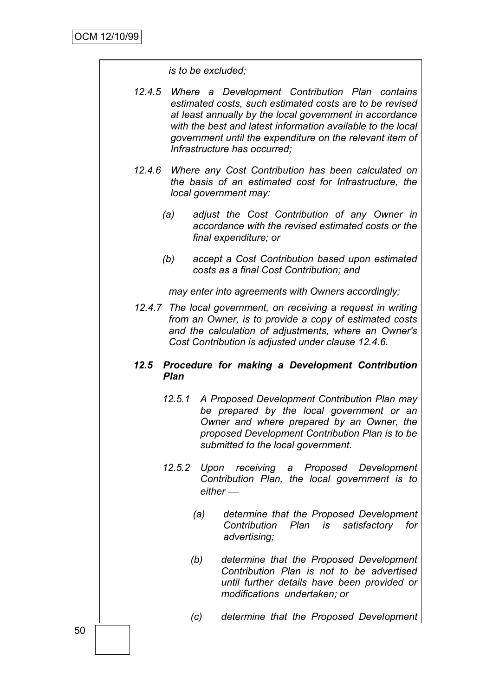*is to be excluded;*

- *12.4.5 Where a Development Contribution Plan contains estimated costs, such estimated costs are to be revised at least annually by the local government in accordance with the best and latest information available to the local government until the expenditure on the relevant item of Infrastructure has occurred;*
- *12.4.6 Where any Cost Contribution has been calculated on the basis of an estimated cost for Infrastructure, the local government may:*
	- *(a) adjust the Cost Contribution of any Owner in accordance with the revised estimated costs or the final expenditure; or*
	- *(b) accept a Cost Contribution based upon estimated costs as a final Cost Contribution; and*

*may enter into agreements with Owners accordingly;*

*12.4.7 The local government, on receiving a request in writing from an Owner, is to provide a copy of estimated costs and the calculation of adjustments, where an Owner's Cost Contribution is adjusted under clause 12.4.6.*

# *12.5 Procedure for making a Development Contribution Plan*

- *12.5.1 A Proposed Development Contribution Plan may be prepared by the local government or an Owner and where prepared by an Owner, the proposed Development Contribution Plan is to be submitted to the local government.*
- *12.5.2 Upon receiving a Proposed Development Contribution Plan, the local government is to either* 
	- *(a) determine that the Proposed Development Contribution Plan is satisfactory for advertising;*
	- *(b) determine that the Proposed Development Contribution Plan is not to be advertised until further details have been provided or modifications undertaken; or*
	- *(c) determine that the Proposed Development*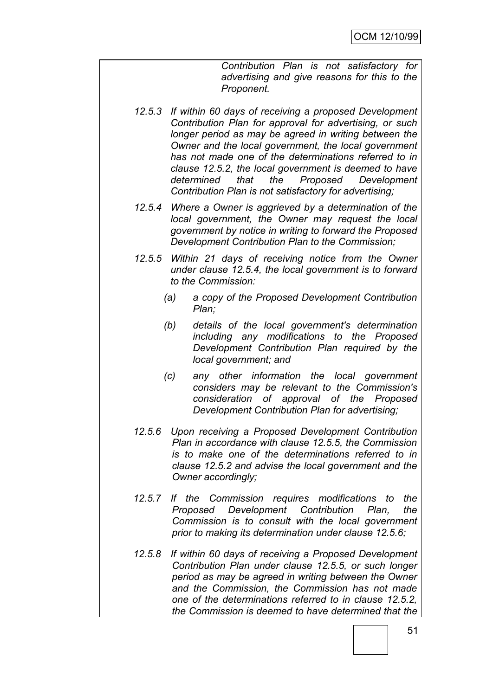*Contribution Plan is not satisfactory for advertising and give reasons for this to the Proponent.*

- *12.5.3 If within 60 days of receiving a proposed Development Contribution Plan for approval for advertising, or such longer period as may be agreed in writing between the Owner and the local government, the local government has not made one of the determinations referred to in clause 12.5.2, the local government is deemed to have determined that the Proposed Development Contribution Plan is not satisfactory for advertising;*
- *12.5.4 Where a Owner is aggrieved by a determination of the local government, the Owner may request the local government by notice in writing to forward the Proposed Development Contribution Plan to the Commission;*
- *12.5.5 Within 21 days of receiving notice from the Owner under clause 12.5.4, the local government is to forward to the Commission:*
	- *(a) a copy of the Proposed Development Contribution Plan;*
	- *(b) details of the local government's determination including any modifications to the Proposed Development Contribution Plan required by the local government; and*
	- *(c) any other information the local government considers may be relevant to the Commission's consideration of approval of the Proposed Development Contribution Plan for advertising;*
- *12.5.6 Upon receiving a Proposed Development Contribution Plan in accordance with clause 12.5.5, the Commission is to make one of the determinations referred to in clause 12.5.2 and advise the local government and the Owner accordingly;*
- *12.5.7 If the Commission requires modifications to the Proposed Development Contribution Plan, the Commission is to consult with the local government prior to making its determination under clause 12.5.6;*
- *12.5.8 If within 60 days of receiving a Proposed Development Contribution Plan under clause 12.5.5, or such longer period as may be agreed in writing between the Owner and the Commission, the Commission has not made one of the determinations referred to in clause 12.5.2, the Commission is deemed to have determined that the*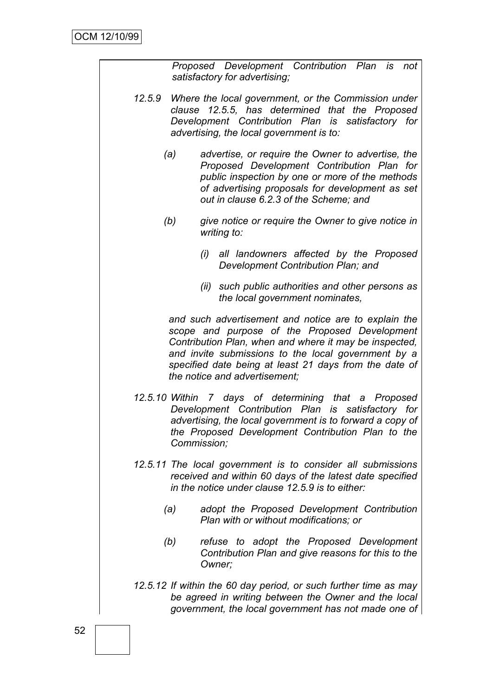*Proposed Development Contribution Plan is not satisfactory for advertising;*

- *12.5.9 Where the local government, or the Commission under clause 12.5.5, has determined that the Proposed Development Contribution Plan is satisfactory for advertising, the local government is to:*
	- *(a) advertise, or require the Owner to advertise, the Proposed Development Contribution Plan for public inspection by one or more of the methods of advertising proposals for development as set out in clause 6.2.3 of the Scheme; and*
	- *(b) give notice or require the Owner to give notice in writing to:*
		- *(i) all landowners affected by the Proposed Development Contribution Plan; and*
		- *(ii) such public authorities and other persons as the local government nominates,*

*and such advertisement and notice are to explain the scope and purpose of the Proposed Development Contribution Plan, when and where it may be inspected, and invite submissions to the local government by a specified date being at least 21 days from the date of the notice and advertisement;*

- *12.5.10 Within 7 days of determining that a Proposed Development Contribution Plan is satisfactory for advertising, the local government is to forward a copy of the Proposed Development Contribution Plan to the Commission;*
- *12.5.11 The local government is to consider all submissions received and within 60 days of the latest date specified in the notice under clause 12.5.9 is to either:*
	- *(a) adopt the Proposed Development Contribution Plan with or without modifications; or*
	- *(b) refuse to adopt the Proposed Development Contribution Plan and give reasons for this to the Owner;*
- *12.5.12 If within the 60 day period, or such further time as may be agreed in writing between the Owner and the local government, the local government has not made one of*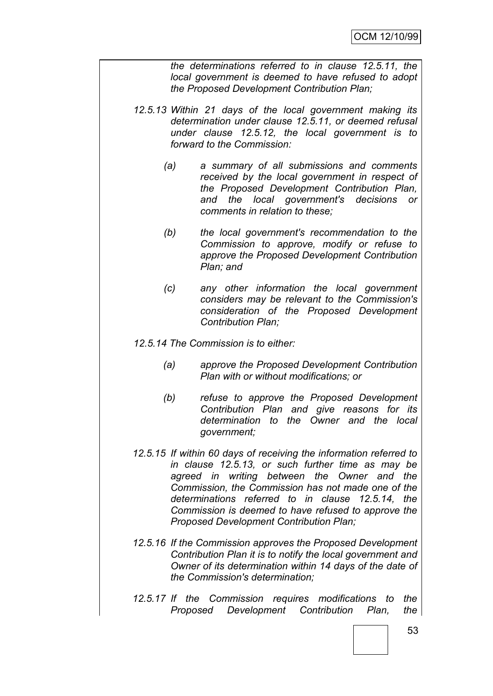*the determinations referred to in clause 12.5.11, the local government is deemed to have refused to adopt the Proposed Development Contribution Plan;*

- *12.5.13 Within 21 days of the local government making its determination under clause 12.5.11, or deemed refusal under clause 12.5.12, the local government is to forward to the Commission:*
	- *(a) a summary of all submissions and comments received by the local government in respect of the Proposed Development Contribution Plan, and the local government's decisions or comments in relation to these;*
	- *(b) the local government's recommendation to the Commission to approve, modify or refuse to approve the Proposed Development Contribution Plan; and*
	- *(c) any other information the local government considers may be relevant to the Commission's consideration of the Proposed Development Contribution Plan;*

*12.5.14 The Commission is to either:*

- *(a) approve the Proposed Development Contribution Plan with or without modifications; or*
- *(b) refuse to approve the Proposed Development Contribution Plan and give reasons for its determination to the Owner and the local government;*
- *12.5.15 If within 60 days of receiving the information referred to in clause 12.5.13, or such further time as may be agreed in writing between the Owner and the Commission, the Commission has not made one of the determinations referred to in clause 12.5.14, the Commission is deemed to have refused to approve the Proposed Development Contribution Plan;*
- *12.5.16 If the Commission approves the Proposed Development Contribution Plan it is to notify the local government and Owner of its determination within 14 days of the date of the Commission's determination;*
- *12.5.17 If the Commission requires modifications to the Proposed Development Contribution Plan, the*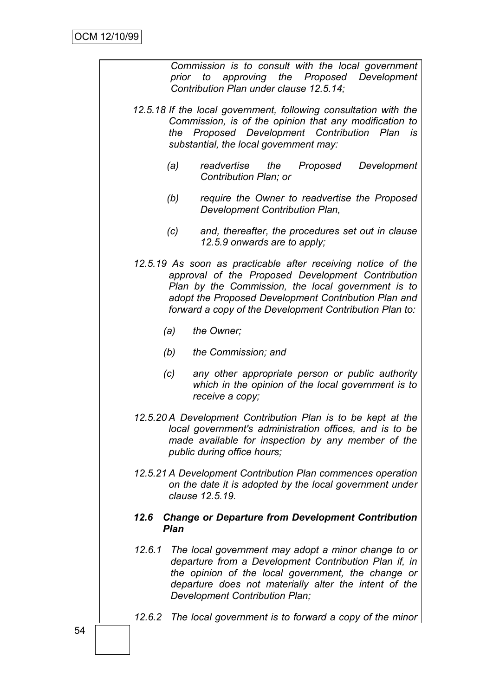|        |             | Commission is to consult with the local government<br>prior to approving the Proposed Development<br>Contribution Plan under clause 12.5.14;                                                                                                                                               |
|--------|-------------|--------------------------------------------------------------------------------------------------------------------------------------------------------------------------------------------------------------------------------------------------------------------------------------------|
|        |             | 12.5.18 If the local government, following consultation with the<br>Commission, is of the opinion that any modification to<br>the Proposed Development Contribution Plan is<br>substantial, the local government may:                                                                      |
|        | (a)         | readvertise<br>the<br>Proposed<br>Development<br>Contribution Plan; or                                                                                                                                                                                                                     |
|        | (b)         | require the Owner to readvertise the Proposed<br>Development Contribution Plan,                                                                                                                                                                                                            |
|        | (c)         | and, thereafter, the procedures set out in clause<br>12.5.9 onwards are to apply;                                                                                                                                                                                                          |
|        |             | 12.5.19 As soon as practicable after receiving notice of the<br>approval of the Proposed Development Contribution<br>Plan by the Commission, the local government is to<br>adopt the Proposed Development Contribution Plan and<br>forward a copy of the Development Contribution Plan to: |
|        | (a)         | the Owner;                                                                                                                                                                                                                                                                                 |
|        | (b)         | the Commission; and                                                                                                                                                                                                                                                                        |
|        | (c)         | any other appropriate person or public authority<br>which in the opinion of the local government is to<br>receive a copy;                                                                                                                                                                  |
|        |             | 12.5.20 A Development Contribution Plan is to be kept at the<br>local government's administration offices, and is to be<br>made available for inspection by any member of the<br>public during office hours;                                                                               |
|        |             | 12.5.21 A Development Contribution Plan commences operation<br>on the date it is adopted by the local government under<br>clause 12.5.19.                                                                                                                                                  |
| 12.6   | <b>Plan</b> | <b>Change or Departure from Development Contribution</b>                                                                                                                                                                                                                                   |
| 12.6.1 |             | The local government may adopt a minor change to or<br>departure from a Development Contribution Plan if, in<br>the opinion of the local government, the change or<br>departure does not materially alter the intent of the<br>Development Contribution Plan;                              |
| 12.6.2 |             | The local government is to forward a copy of the minor                                                                                                                                                                                                                                     |
|        |             |                                                                                                                                                                                                                                                                                            |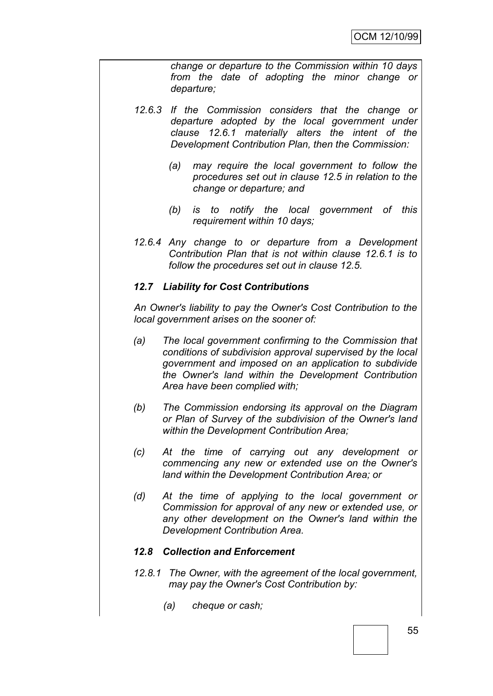*change or departure to the Commission within 10 days from the date of adopting the minor change or departure;*

- *12.6.3 If the Commission considers that the change or departure adopted by the local government under clause 12.6.1 materially alters the intent of the Development Contribution Plan, then the Commission:*
	- *(a) may require the local government to follow the procedures set out in clause 12.5 in relation to the change or departure; and*
	- *(b) is to notify the local government of this requirement within 10 days;*
- *12.6.4 Any change to or departure from a Development Contribution Plan that is not within clause 12.6.1 is to follow the procedures set out in clause 12.5.*

#### *12.7 Liability for Cost Contributions*

*An Owner's liability to pay the Owner's Cost Contribution to the local government arises on the sooner of:*

- *(a) The local government confirming to the Commission that conditions of subdivision approval supervised by the local government and imposed on an application to subdivide the Owner's land within the Development Contribution Area have been complied with;*
- *(b) The Commission endorsing its approval on the Diagram or Plan of Survey of the subdivision of the Owner's land within the Development Contribution Area;*
- *(c) At the time of carrying out any development or commencing any new or extended use on the Owner's land within the Development Contribution Area; or*
- *(d) At the time of applying to the local government or Commission for approval of any new or extended use, or any other development on the Owner's land within the Development Contribution Area.*

#### *12.8 Collection and Enforcement*

- *12.8.1 The Owner, with the agreement of the local government, may pay the Owner's Cost Contribution by:*
	- *(a) cheque or cash;*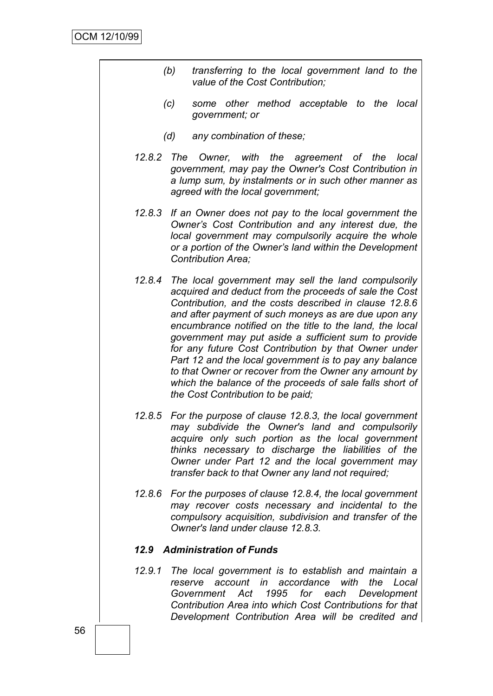- *(b) transferring to the local government land to the value of the Cost Contribution;*
- *(c) some other method acceptable to the local government; or*
- *(d) any combination of these;*
- *12.8.2 The Owner, with the agreement of the local government, may pay the Owner's Cost Contribution in a lump sum, by instalments or in such other manner as agreed with the local government;*
- *12.8.3 If an Owner does not pay to the local government the Owner"s Cost Contribution and any interest due, the local government may compulsorily acquire the whole or a portion of the Owner"s land within the Development Contribution Area;*
- *12.8.4 The local government may sell the land compulsorily acquired and deduct from the proceeds of sale the Cost Contribution, and the costs described in clause 12.8.6 and after payment of such moneys as are due upon any encumbrance notified on the title to the land, the local government may put aside a sufficient sum to provide for any future Cost Contribution by that Owner under Part 12 and the local government is to pay any balance to that Owner or recover from the Owner any amount by which the balance of the proceeds of sale falls short of the Cost Contribution to be paid;*
- *12.8.5 For the purpose of clause 12.8.3, the local government may subdivide the Owner's land and compulsorily acquire only such portion as the local government thinks necessary to discharge the liabilities of the Owner under Part 12 and the local government may transfer back to that Owner any land not required;*
- *12.8.6 For the purposes of clause 12.8.4, the local government may recover costs necessary and incidental to the compulsory acquisition, subdivision and transfer of the Owner's land under clause 12.8.3.*

#### *12.9 Administration of Funds*

*12.9.1 The local government is to establish and maintain a reserve account in accordance with the Local Government Act 1995 for each Development Contribution Area into which Cost Contributions for that Development Contribution Area will be credited and*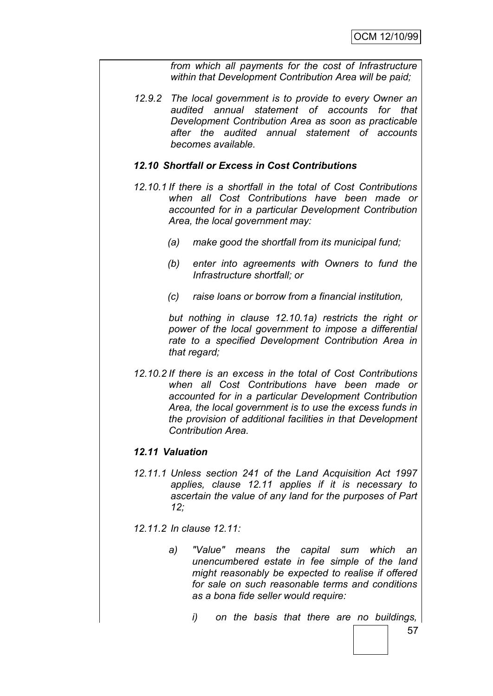*from which all payments for the cost of Infrastructure within that Development Contribution Area will be paid;*

*12.9.2 The local government is to provide to every Owner an audited annual statement of accounts for that Development Contribution Area as soon as practicable after the audited annual statement of accounts becomes available.*

#### *12.10 Shortfall or Excess in Cost Contributions*

- *12.10.1 If there is a shortfall in the total of Cost Contributions when all Cost Contributions have been made or accounted for in a particular Development Contribution Area, the local government may:*
	- *(a) make good the shortfall from its municipal fund;*
	- *(b) enter into agreements with Owners to fund the Infrastructure shortfall; or*
	- *(c) raise loans or borrow from a financial institution,*

*but nothing in clause 12.10.1a) restricts the right or power of the local government to impose a differential rate to a specified Development Contribution Area in that regard;*

*12.10.2 If there is an excess in the total of Cost Contributions when all Cost Contributions have been made or accounted for in a particular Development Contribution Area, the local government is to use the excess funds in the provision of additional facilities in that Development Contribution Area.*

# *12.11 Valuation*

*12.11.1 Unless section 241 of the Land Acquisition Act 1997 applies, clause 12.11 applies if it is necessary to ascertain the value of any land for the purposes of Part 12;*

*12.11.2 In clause 12.11:*

- *a) "Value" means the capital sum which an unencumbered estate in fee simple of the land might reasonably be expected to realise if offered for sale on such reasonable terms and conditions as a bona fide seller would require:*
	- *i) on the basis that there are no buildings,*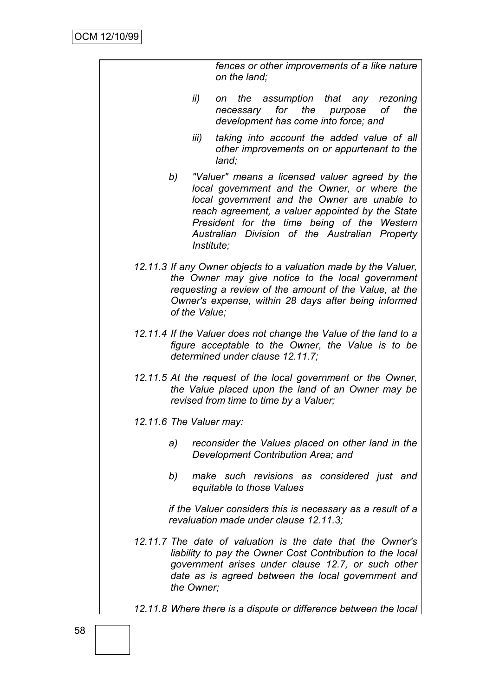| fences or other improvements of a like nature |  |
|-----------------------------------------------|--|
| on the land;                                  |  |

- *ii) on the assumption that any rezoning necessary for the purpose of the development has come into force; and*
- *iii) taking into account the added value of all other improvements on or appurtenant to the land;*
- *b) "Valuer" means a licensed valuer agreed by the local government and the Owner, or where the local government and the Owner are unable to reach agreement, a valuer appointed by the State President for the time being of the Western Australian Division of the Australian Property Institute;*
- *12.11.3 If any Owner objects to a valuation made by the Valuer, the Owner may give notice to the local government requesting a review of the amount of the Value, at the Owner's expense, within 28 days after being informed of the Value;*
- *12.11.4 If the Valuer does not change the Value of the land to a figure acceptable to the Owner, the Value is to be determined under clause 12.11.7;*
- *12.11.5 At the request of the local government or the Owner, the Value placed upon the land of an Owner may be revised from time to time by a Valuer;*
- *12.11.6 The Valuer may:*
	- *a) reconsider the Values placed on other land in the Development Contribution Area; and*
	- *b) make such revisions as considered just and equitable to those Values*

*if the Valuer considers this is necessary as a result of a revaluation made under clause 12.11.3;*

- *12.11.7 The date of valuation is the date that the Owner's liability to pay the Owner Cost Contribution to the local government arises under clause 12.7, or such other date as is agreed between the local government and the Owner;*
- *12.11.8 Where there is a dispute or difference between the local*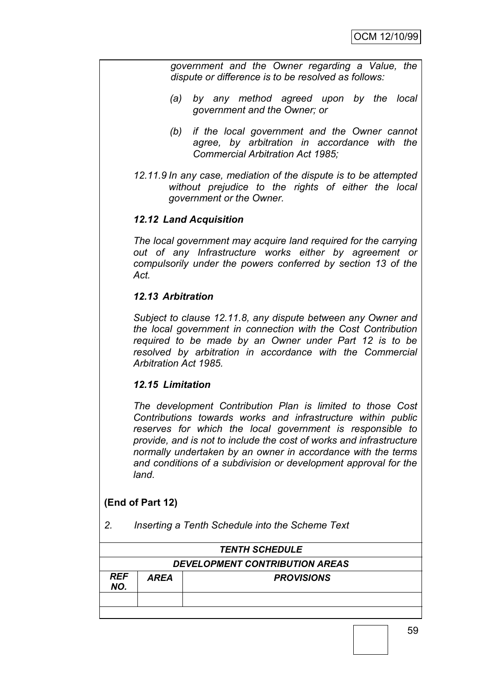*government and the Owner regarding a Value, the dispute or difference is to be resolved as follows:*

- *(a) by any method agreed upon by the local government and the Owner; or*
- *(b) if the local government and the Owner cannot agree, by arbitration in accordance with the Commercial Arbitration Act 1985;*
- *12.11.9 In any case, mediation of the dispute is to be attempted without prejudice to the rights of either the local government or the Owner.*

# *12.12 Land Acquisition*

*The local government may acquire land required for the carrying out of any Infrastructure works either by agreement or compulsorily under the powers conferred by section 13 of the Act.*

# *12.13 Arbitration*

*Subject to clause 12.11.8, any dispute between any Owner and the local government in connection with the Cost Contribution required to be made by an Owner under Part 12 is to be resolved by arbitration in accordance with the Commercial Arbitration Act 1985.*

# *12.15 Limitation*

*The development Contribution Plan is limited to those Cost Contributions towards works and infrastructure within public reserves for which the local government is responsible to provide, and is not to include the cost of works and infrastructure normally undertaken by an owner in accordance with the terms and conditions of a subdivision or development approval for the land.*

# **(End of Part 12)**

*2. Inserting a Tenth Schedule into the Scheme Text*

|                   | <b>TENTH SCHEDULE</b>                 |                   |  |  |
|-------------------|---------------------------------------|-------------------|--|--|
|                   | <b>DEVELOPMENT CONTRIBUTION AREAS</b> |                   |  |  |
| <b>REF</b><br>NO. | AREA                                  | <b>PROVISIONS</b> |  |  |
|                   |                                       |                   |  |  |
|                   |                                       |                   |  |  |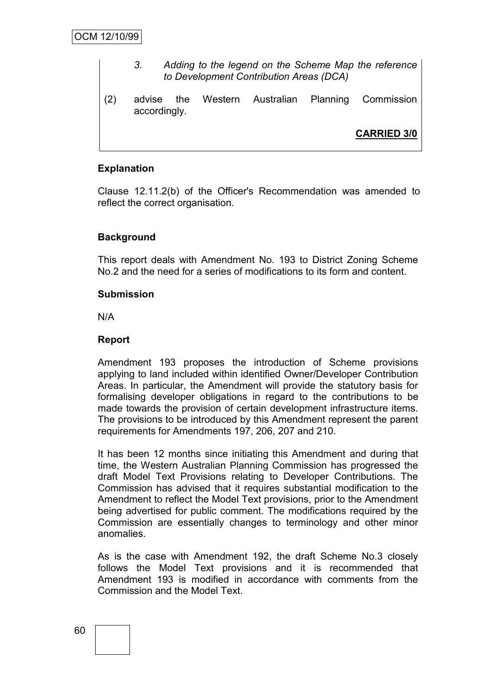- *3. Adding to the legend on the Scheme Map the reference to Development Contribution Areas (DCA)*
- (2) advise the Western Australian Planning Commission accordingly.

**CARRIED 3/0**

# **Explanation**

Clause 12.11.2(b) of the Officer's Recommendation was amended to reflect the correct organisation.

# **Background**

This report deals with Amendment No. 193 to District Zoning Scheme No.2 and the need for a series of modifications to its form and content.

#### **Submission**

N/A

# **Report**

Amendment 193 proposes the introduction of Scheme provisions applying to land included within identified Owner/Developer Contribution Areas. In particular, the Amendment will provide the statutory basis for formalising developer obligations in regard to the contributions to be made towards the provision of certain development infrastructure items. The provisions to be introduced by this Amendment represent the parent requirements for Amendments 197, 206, 207 and 210.

It has been 12 months since initiating this Amendment and during that time, the Western Australian Planning Commission has progressed the draft Model Text Provisions relating to Developer Contributions. The Commission has advised that it requires substantial modification to the Amendment to reflect the Model Text provisions, prior to the Amendment being advertised for public comment. The modifications required by the Commission are essentially changes to terminology and other minor anomalies.

As is the case with Amendment 192, the draft Scheme No.3 closely follows the Model Text provisions and it is recommended that Amendment 193 is modified in accordance with comments from the Commission and the Model Text.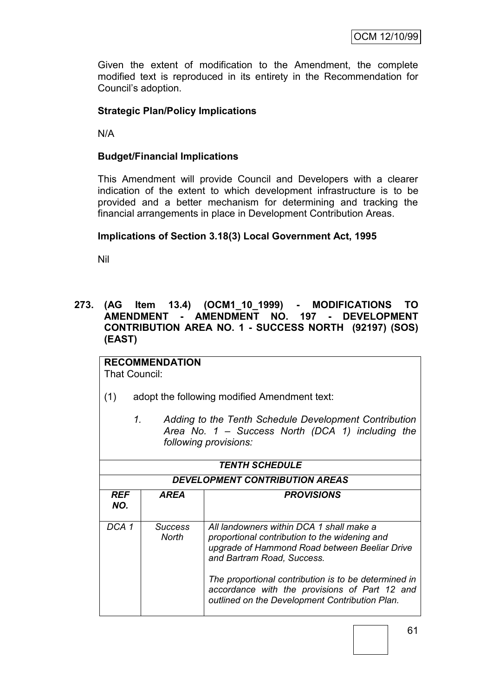Given the extent of modification to the Amendment, the complete modified text is reproduced in its entirety in the Recommendation for Council"s adoption.

# **Strategic Plan/Policy Implications**

N/A

# **Budget/Financial Implications**

This Amendment will provide Council and Developers with a clearer indication of the extent to which development infrastructure is to be provided and a better mechanism for determining and tracking the financial arrangements in place in Development Contribution Areas.

#### **Implications of Section 3.18(3) Local Government Act, 1995**

Nil

# **273. (AG Item 13.4) (OCM1\_10\_1999) - MODIFICATIONS TO AMENDMENT - AMENDMENT NO. 197 - DEVELOPMENT CONTRIBUTION AREA NO. 1 - SUCCESS NORTH (92197) (SOS) (EAST)**

**RECOMMENDATION** That Council:

- (1) adopt the following modified Amendment text:
	- *1. Adding to the Tenth Schedule Development Contribution Area No. 1 – Success North (DCA 1) including the following provisions:*

| <b>TENTH SCHEDULE</b><br><b>DEVELOPMENT CONTRIBUTION AREAS</b> |                  |                                                                                                                                                                          |  |
|----------------------------------------------------------------|------------------|--------------------------------------------------------------------------------------------------------------------------------------------------------------------------|--|
| <b>REF</b><br>NO.                                              | AREA             | <b>PROVISIONS</b>                                                                                                                                                        |  |
| DCA 1                                                          | Success<br>North | All landowners within DCA 1 shall make a<br>proportional contribution to the widening and<br>upgrade of Hammond Road between Beeliar Drive<br>and Bartram Road, Success. |  |
|                                                                |                  | The proportional contribution is to be determined in<br>accordance with the provisions of Part 12 and<br>outlined on the Development Contribution Plan.                  |  |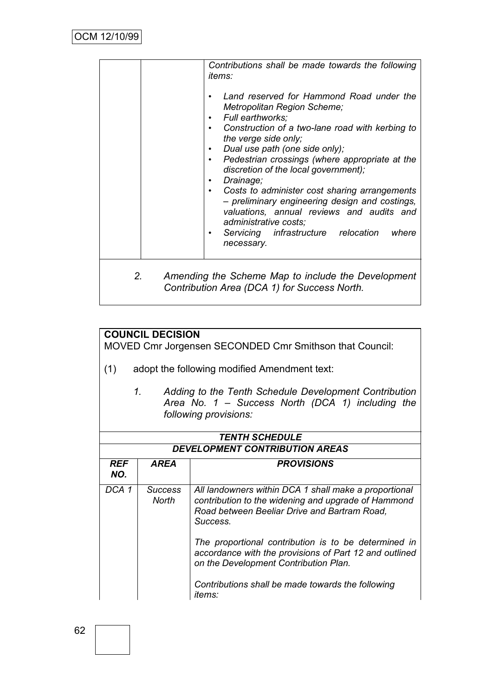|    | Contributions shall be made towards the following<br><i>items:</i>                                                                                                    |
|----|-----------------------------------------------------------------------------------------------------------------------------------------------------------------------|
|    | Land reserved for Hammond Road under the<br>Metropolitan Region Scheme;<br>Full earthworks;                                                                           |
|    | Construction of a two-lane road with kerbing to<br>the verge side only;<br>Dual use path (one side only);                                                             |
|    | Pedestrian crossings (where appropriate at the<br>discretion of the local government);<br>Drainage;                                                                   |
|    | Costs to administer cost sharing arrangements<br>- preliminary engineering design and costings,<br>valuations, annual reviews and audits and<br>administrative costs; |
|    | Servicing infrastructure relocation<br>where<br>necessary.                                                                                                            |
| 2. | Amending the Scheme Map to include the Development<br>Contribution Area (DCA 1) for Success North.                                                                    |

# **COUNCIL DECISION**

MOVED Cmr Jorgensen SECONDED Cmr Smithson that Council:

- (1) adopt the following modified Amendment text:
	- *1. Adding to the Tenth Schedule Development Contribution Area No. 1 – Success North (DCA 1) including the following provisions:*

| <b>TENTH SCHEDULE</b><br><b>DEVELOPMENT CONTRIBUTION AREAS</b> |                         |                                                                                                                                                                          |  |
|----------------------------------------------------------------|-------------------------|--------------------------------------------------------------------------------------------------------------------------------------------------------------------------|--|
| <b>REF</b><br>NO.                                              | <b>AREA</b>             | <b>PROVISIONS</b>                                                                                                                                                        |  |
| DCA 1                                                          | <b>Success</b><br>North | All landowners within DCA 1 shall make a proportional<br>contribution to the widening and upgrade of Hammond<br>Road between Beeliar Drive and Bartram Road.<br>Success. |  |
|                                                                |                         | The proportional contribution is to be determined in<br>accordance with the provisions of Part 12 and outlined<br>on the Development Contribution Plan.                  |  |
|                                                                |                         | Contributions shall be made towards the following<br>items:                                                                                                              |  |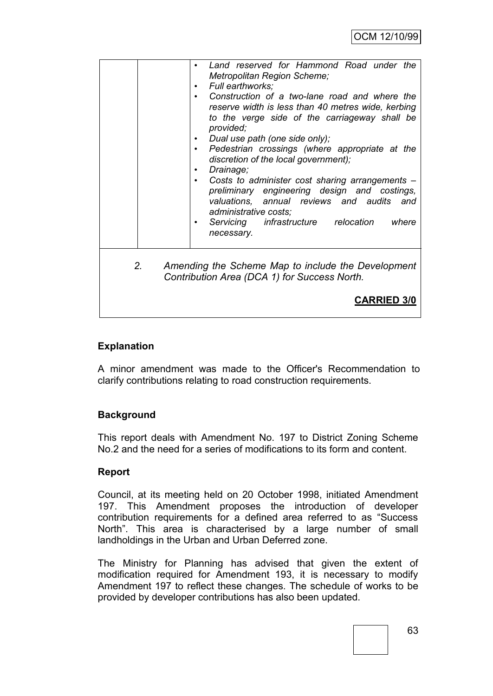|                | Land reserved for Hammond Road under the<br>Metropolitan Region Scheme;<br>Full earthworks;<br>Construction of a two-lane road and where the<br>reserve width is less than 40 metres wide, kerbing<br>to the verge side of the carriageway shall be<br>provided;<br>Dual use path (one side only);<br>Pedestrian crossings (where appropriate at the<br>$\bullet$<br>discretion of the local government);<br>Drainage;<br>Costs to administer cost sharing arrangements -<br>preliminary engineering design and costings,<br>valuations, annual reviews and audits and<br>administrative costs;<br>Servicing infrastructure relocation<br>where |
|----------------|-------------------------------------------------------------------------------------------------------------------------------------------------------------------------------------------------------------------------------------------------------------------------------------------------------------------------------------------------------------------------------------------------------------------------------------------------------------------------------------------------------------------------------------------------------------------------------------------------------------------------------------------------|
| 2 <sub>1</sub> | necessary.<br>Amending the Scheme Map to include the Development<br>Contribution Area (DCA 1) for Success North.<br><b>CARRIED 3/0</b>                                                                                                                                                                                                                                                                                                                                                                                                                                                                                                          |

# **Explanation**

A minor amendment was made to the Officer's Recommendation to clarify contributions relating to road construction requirements.

# **Background**

This report deals with Amendment No. 197 to District Zoning Scheme No.2 and the need for a series of modifications to its form and content.

# **Report**

Council, at its meeting held on 20 October 1998, initiated Amendment 197. This Amendment proposes the introduction of developer contribution requirements for a defined area referred to as "Success North". This area is characterised by a large number of small landholdings in the Urban and Urban Deferred zone.

The Ministry for Planning has advised that given the extent of modification required for Amendment 193, it is necessary to modify Amendment 197 to reflect these changes. The schedule of works to be provided by developer contributions has also been updated.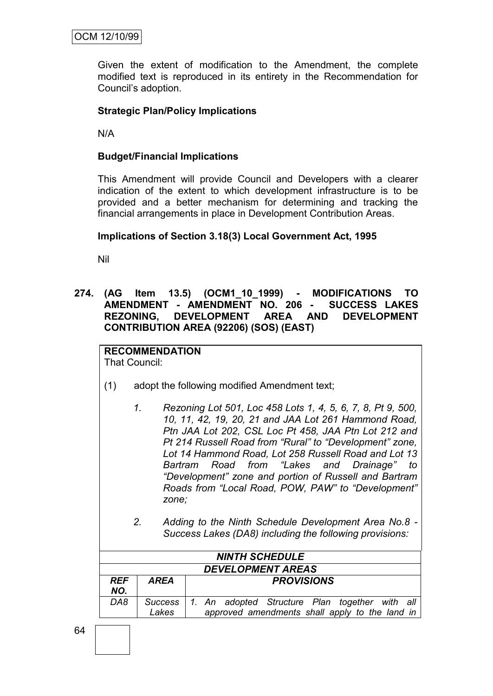Given the extent of modification to the Amendment, the complete modified text is reproduced in its entirety in the Recommendation for Council"s adoption.

# **Strategic Plan/Policy Implications**

N/A

# **Budget/Financial Implications**

This Amendment will provide Council and Developers with a clearer indication of the extent to which development infrastructure is to be provided and a better mechanism for determining and tracking the financial arrangements in place in Development Contribution Areas.

#### **Implications of Section 3.18(3) Local Government Act, 1995**

Nil

**274. (AG Item 13.5) (OCM1\_10\_1999) - MODIFICATIONS TO AMENDMENT - AMENDMENT NO. 206 - SUCCESS LAKES REZONING, DEVELOPMENT AREA AND DEVELOPMENT CONTRIBUTION AREA (92206) (SOS) (EAST)**

# **RECOMMENDATION**

That Council:

- (1) adopt the following modified Amendment text;
	- *1. Rezoning Lot 501, Loc 458 Lots 1, 4, 5, 6, 7, 8, Pt 9, 500, 10, 11, 42, 19, 20, 21 and JAA Lot 261 Hammond Road, Ptn JAA Lot 202, CSL Loc Pt 458, JAA Ptn Lot 212 and Pt 214 Russell Road from "Rural" to "Development" zone, Lot 14 Hammond Road, Lot 258 Russell Road and Lot 13 Bartram Road from "Lakes and Drainage" to "Development" zone and portion of Russell and Bartram Roads from "Local Road, POW, PAW" to "Development" zone;*
	- *2. Adding to the Ninth Schedule Development Area No.8 - Success Lakes (DA8) including the following provisions:*

|                   | <b>NINTH SCHEDULE</b>    |                                                                                                            |  |  |  |
|-------------------|--------------------------|------------------------------------------------------------------------------------------------------------|--|--|--|
|                   | <b>DEVELOPMENT AREAS</b> |                                                                                                            |  |  |  |
| <b>REF</b><br>NO. | AREA                     | <b>PROVISIONS</b>                                                                                          |  |  |  |
| DA8               | Lakes                    | Success   1. An adopted Structure Plan together with all<br>approved amendments shall apply to the land in |  |  |  |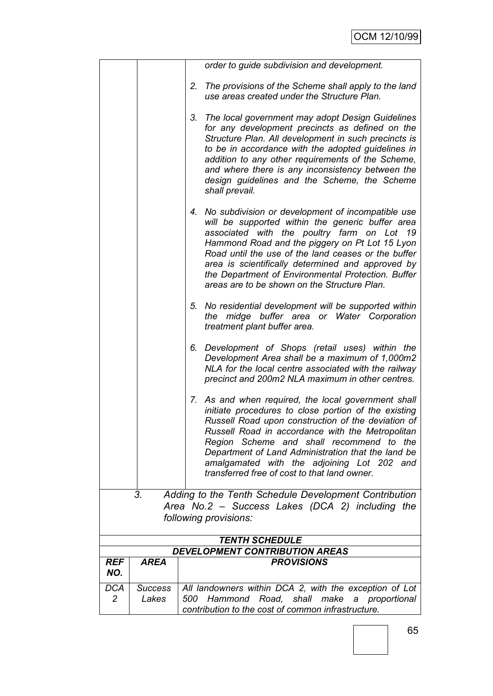|            |                | order to guide subdivision and development.                                                                                                                                                                                                                                                                                                                                                                                   |
|------------|----------------|-------------------------------------------------------------------------------------------------------------------------------------------------------------------------------------------------------------------------------------------------------------------------------------------------------------------------------------------------------------------------------------------------------------------------------|
|            |                | The provisions of the Scheme shall apply to the land<br>2.<br>use areas created under the Structure Plan.                                                                                                                                                                                                                                                                                                                     |
|            |                | The local government may adopt Design Guidelines<br>3.<br>for any development precincts as defined on the<br>Structure Plan. All development in such precincts is<br>to be in accordance with the adopted guidelines in<br>addition to any other requirements of the Scheme,<br>and where there is any inconsistency between the<br>design guidelines and the Scheme, the Scheme<br>shall prevail.                            |
|            |                | No subdivision or development of incompatible use<br>4.<br>will be supported within the generic buffer area<br>associated with the poultry farm on Lot 19<br>Hammond Road and the piggery on Pt Lot 15 Lyon<br>Road until the use of the land ceases or the buffer<br>area is scientifically determined and approved by<br>the Department of Environmental Protection. Buffer<br>areas are to be shown on the Structure Plan. |
|            |                | 5. No residential development will be supported within<br>midge buffer area or Water Corporation<br>the<br>treatment plant buffer area.                                                                                                                                                                                                                                                                                       |
|            |                | 6. Development of Shops (retail uses) within the<br>Development Area shall be a maximum of 1,000m2<br>NLA for the local centre associated with the railway<br>precinct and 200m2 NLA maximum in other centres.                                                                                                                                                                                                                |
|            |                | 7. As and when required, the local government shall<br>initiate procedures to close portion of the existing<br>Russell Road upon construction of the deviation of<br>Russell Road in accordance with the Metropolitan<br>Region Scheme and shall recommend to the<br>Department of Land Administration that the land be<br>amalgamated with the adjoining Lot 202 and<br>transferred free of cost to that land owner.         |
|            | 3.             | Adding to the Tenth Schedule Development Contribution                                                                                                                                                                                                                                                                                                                                                                         |
|            |                | Area No.2 - Success Lakes (DCA 2) including the<br>following provisions:                                                                                                                                                                                                                                                                                                                                                      |
|            |                | <b>TENTH SCHEDULE</b>                                                                                                                                                                                                                                                                                                                                                                                                         |
| <b>REF</b> | <b>AREA</b>    | <b>DEVELOPMENT CONTRIBUTION AREAS</b><br><b>PROVISIONS</b>                                                                                                                                                                                                                                                                                                                                                                    |
| NO.        |                |                                                                                                                                                                                                                                                                                                                                                                                                                               |
| DCA        | <b>Success</b> | All landowners within DCA 2, with the exception of Lot                                                                                                                                                                                                                                                                                                                                                                        |
| 2          | Lakes          | Hammond Road, shall make<br>500<br>a proportional                                                                                                                                                                                                                                                                                                                                                                             |
|            |                | contribution to the cost of common infrastructure.                                                                                                                                                                                                                                                                                                                                                                            |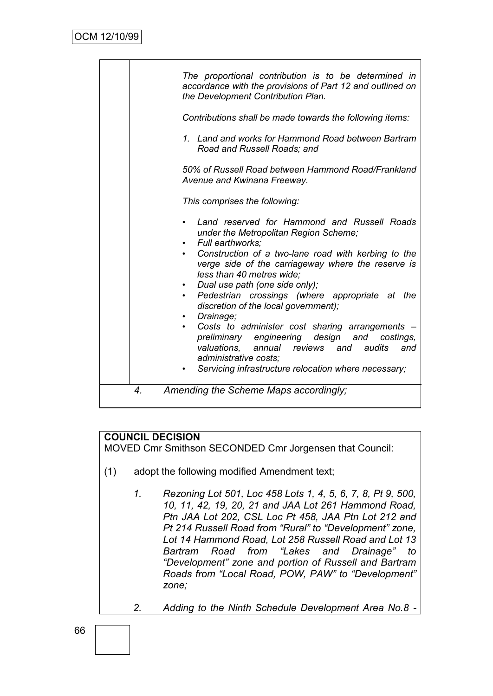|                    | The proportional contribution is to be determined in<br>accordance with the provisions of Part 12 and outlined on<br>the Development Contribution Plan.                                                                                    |
|--------------------|--------------------------------------------------------------------------------------------------------------------------------------------------------------------------------------------------------------------------------------------|
|                    | Contributions shall be made towards the following items:                                                                                                                                                                                   |
|                    | 1. Land and works for Hammond Road between Bartram<br>Road and Russell Roads; and                                                                                                                                                          |
|                    | 50% of Russell Road between Hammond Road/Frankland<br>Avenue and Kwinana Freeway.                                                                                                                                                          |
|                    | This comprises the following:                                                                                                                                                                                                              |
|                    | Land reserved for Hammond and Russell Roads<br>under the Metropolitan Region Scheme;<br>Full earthworks:                                                                                                                                   |
|                    | Construction of a two-lane road with kerbing to the<br>verge side of the carriageway where the reserve is<br>less than 40 metres wide;                                                                                                     |
|                    | Dual use path (one side only);<br>Pedestrian crossings (where appropriate at the<br>discretion of the local government);<br>Drainage;                                                                                                      |
|                    | Costs to administer cost sharing arrangements<br>design<br>preliminary engineering<br>and<br>costings,<br>valuations, annual reviews and<br>audits<br>and<br>administrative costs;<br>Servicing infrastructure relocation where necessary; |
| $\boldsymbol{4}$ . | Amending the Scheme Maps accordingly;                                                                                                                                                                                                      |

# **COUNCIL DECISION**

MOVED Cmr Smithson SECONDED Cmr Jorgensen that Council:

- (1) adopt the following modified Amendment text;
	- *1. Rezoning Lot 501, Loc 458 Lots 1, 4, 5, 6, 7, 8, Pt 9, 500, 10, 11, 42, 19, 20, 21 and JAA Lot 261 Hammond Road, Ptn JAA Lot 202, CSL Loc Pt 458, JAA Ptn Lot 212 and Pt 214 Russell Road from "Rural" to "Development" zone, Lot 14 Hammond Road, Lot 258 Russell Road and Lot 13 Bartram Road from "Lakes and Drainage" to "Development" zone and portion of Russell and Bartram Roads from "Local Road, POW, PAW" to "Development" zone;*

*2. Adding to the Ninth Schedule Development Area No.8 -*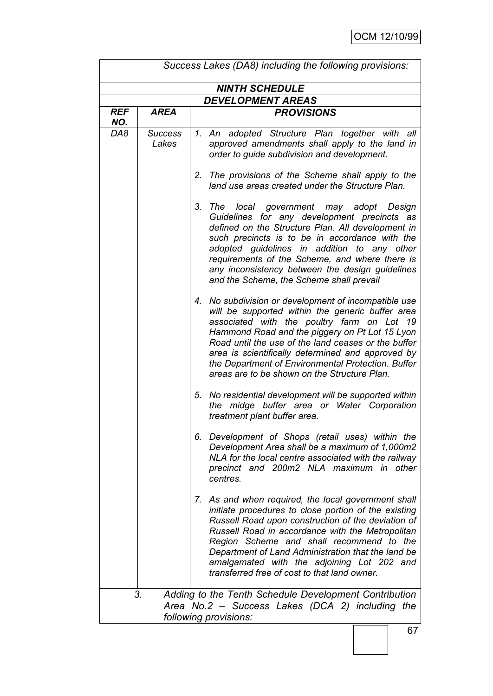| Success Lakes (DA8) including the following provisions:                                                                                 |                         |                                                                                                                                                                                                                                                                                                                                                                                                                               |  |  |
|-----------------------------------------------------------------------------------------------------------------------------------------|-------------------------|-------------------------------------------------------------------------------------------------------------------------------------------------------------------------------------------------------------------------------------------------------------------------------------------------------------------------------------------------------------------------------------------------------------------------------|--|--|
| <b>NINTH SCHEDULE</b>                                                                                                                   |                         |                                                                                                                                                                                                                                                                                                                                                                                                                               |  |  |
| <b>DEVELOPMENT AREAS</b>                                                                                                                |                         |                                                                                                                                                                                                                                                                                                                                                                                                                               |  |  |
| <b>REF</b><br>NO.                                                                                                                       | <b>AREA</b>             | <b>PROVISIONS</b>                                                                                                                                                                                                                                                                                                                                                                                                             |  |  |
| DA8                                                                                                                                     | <b>Success</b><br>Lakes | 1. An adopted Structure Plan together with all<br>approved amendments shall apply to the land in<br>order to guide subdivision and development.                                                                                                                                                                                                                                                                               |  |  |
|                                                                                                                                         |                         | 2.<br>The provisions of the Scheme shall apply to the<br>land use areas created under the Structure Plan.                                                                                                                                                                                                                                                                                                                     |  |  |
|                                                                                                                                         |                         | 3.<br>The local government may adopt Design<br>Guidelines for any development precincts as<br>defined on the Structure Plan. All development in<br>such precincts is to be in accordance with the<br>adopted guidelines in addition to any other<br>requirements of the Scheme, and where there is<br>any inconsistency between the design guidelines<br>and the Scheme, the Scheme shall prevail                             |  |  |
|                                                                                                                                         |                         | No subdivision or development of incompatible use<br>4.<br>will be supported within the generic buffer area<br>associated with the poultry farm on Lot 19<br>Hammond Road and the piggery on Pt Lot 15 Lyon<br>Road until the use of the land ceases or the buffer<br>area is scientifically determined and approved by<br>the Department of Environmental Protection. Buffer<br>areas are to be shown on the Structure Plan. |  |  |
|                                                                                                                                         |                         | 5. No residential development will be supported within<br>the midge buffer area or Water Corporation<br>treatment plant buffer area.                                                                                                                                                                                                                                                                                          |  |  |
|                                                                                                                                         |                         | 6. Development of Shops (retail uses) within the<br>Development Area shall be a maximum of 1,000m2<br>NLA for the local centre associated with the railway<br>precinct and 200m2 NLA maximum in other<br>centres.                                                                                                                                                                                                             |  |  |
|                                                                                                                                         |                         | 7. As and when required, the local government shall<br>initiate procedures to close portion of the existing<br>Russell Road upon construction of the deviation of<br>Russell Road in accordance with the Metropolitan<br>Region Scheme and shall recommend to the<br>Department of Land Administration that the land be<br>amalgamated with the adjoining Lot 202 and<br>transferred free of cost to that land owner.         |  |  |
| Adding to the Tenth Schedule Development Contribution<br>3.<br>Area No.2 - Success Lakes (DCA 2) including the<br>following provisions: |                         |                                                                                                                                                                                                                                                                                                                                                                                                                               |  |  |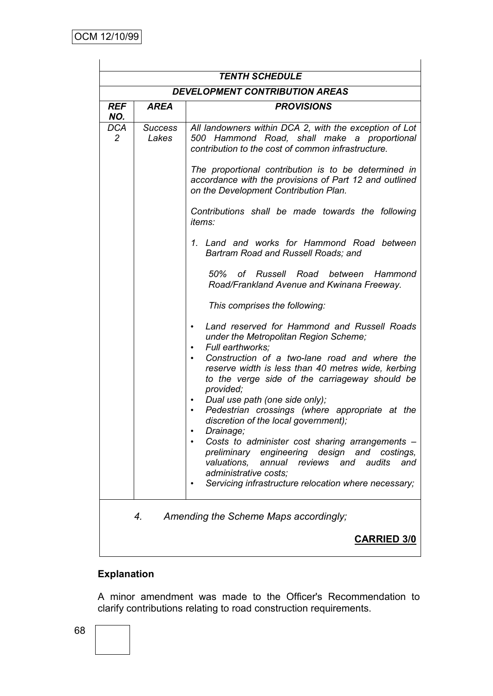| <b>DEVELOPMENT CONTRIBUTION AREAS</b><br><b>PROVISIONS</b><br><b>AREA</b><br><b>REF</b><br>NO.<br><b>DCA</b><br><b>Success</b><br>$\overline{2}$<br>Lakes<br>contribution to the cost of common infrastructure.                                                                                                                                                                                             | <b>TENTH SCHEDULE</b> |  |                                                                                                                                                                                                                                                                                                                                                                                                                                                                                                                                                                                                                                                                                                                                                    |  |  |
|-------------------------------------------------------------------------------------------------------------------------------------------------------------------------------------------------------------------------------------------------------------------------------------------------------------------------------------------------------------------------------------------------------------|-----------------------|--|----------------------------------------------------------------------------------------------------------------------------------------------------------------------------------------------------------------------------------------------------------------------------------------------------------------------------------------------------------------------------------------------------------------------------------------------------------------------------------------------------------------------------------------------------------------------------------------------------------------------------------------------------------------------------------------------------------------------------------------------------|--|--|
|                                                                                                                                                                                                                                                                                                                                                                                                             |                       |  |                                                                                                                                                                                                                                                                                                                                                                                                                                                                                                                                                                                                                                                                                                                                                    |  |  |
|                                                                                                                                                                                                                                                                                                                                                                                                             |                       |  |                                                                                                                                                                                                                                                                                                                                                                                                                                                                                                                                                                                                                                                                                                                                                    |  |  |
| <i>items:</i><br>Bartram Road and Russell Roads; and<br>50% of Russell<br>Road between<br>Road/Frankland Avenue and Kwinana Freeway.<br>This comprises the following:<br>under the Metropolitan Region Scheme;<br>Full earthworks:<br>provided;<br>Dual use path (one side only);<br>discretion of the local government);<br>Drainage;<br>valuations.<br>annual reviews and audits<br>administrative costs: |                       |  | All landowners within DCA 2, with the exception of Lot<br>500 Hammond Road, shall make a proportional<br>The proportional contribution is to be determined in<br>accordance with the provisions of Part 12 and outlined<br>on the Development Contribution Plan.<br>Contributions shall be made towards the following<br>1. Land and works for Hammond Road between<br>Hammond<br>Land reserved for Hammond and Russell Roads<br>Construction of a two-lane road and where the<br>reserve width is less than 40 metres wide, kerbing<br>to the verge side of the carriageway should be<br>Pedestrian crossings (where appropriate at the<br>Costs to administer cost sharing arrangements -<br>preliminary engineering design and costings,<br>and |  |  |
|                                                                                                                                                                                                                                                                                                                                                                                                             |                       |  | Servicing infrastructure relocation where necessary;                                                                                                                                                                                                                                                                                                                                                                                                                                                                                                                                                                                                                                                                                               |  |  |
| 4.<br>Amending the Scheme Maps accordingly;<br><b>CARRIED 3/0</b>                                                                                                                                                                                                                                                                                                                                           |                       |  |                                                                                                                                                                                                                                                                                                                                                                                                                                                                                                                                                                                                                                                                                                                                                    |  |  |

# **Explanation**

A minor amendment was made to the Officer's Recommendation to clarify contributions relating to road construction requirements.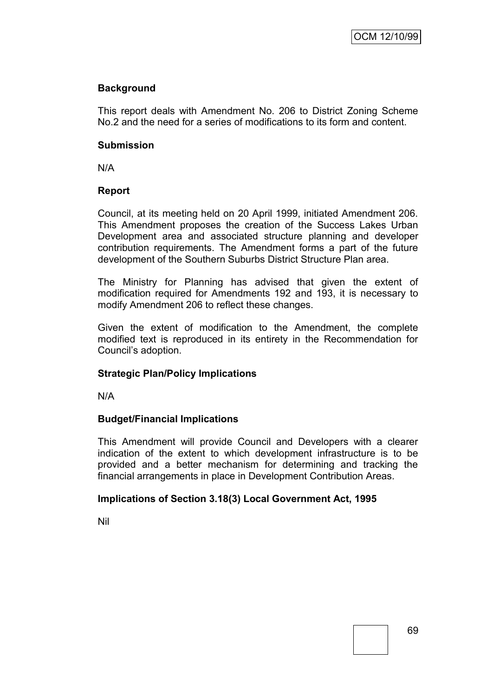# **Background**

This report deals with Amendment No. 206 to District Zoning Scheme No.2 and the need for a series of modifications to its form and content.

### **Submission**

N/A

# **Report**

Council, at its meeting held on 20 April 1999, initiated Amendment 206. This Amendment proposes the creation of the Success Lakes Urban Development area and associated structure planning and developer contribution requirements. The Amendment forms a part of the future development of the Southern Suburbs District Structure Plan area.

The Ministry for Planning has advised that given the extent of modification required for Amendments 192 and 193, it is necessary to modify Amendment 206 to reflect these changes.

Given the extent of modification to the Amendment, the complete modified text is reproduced in its entirety in the Recommendation for Council"s adoption.

# **Strategic Plan/Policy Implications**

N/A

# **Budget/Financial Implications**

This Amendment will provide Council and Developers with a clearer indication of the extent to which development infrastructure is to be provided and a better mechanism for determining and tracking the financial arrangements in place in Development Contribution Areas.

# **Implications of Section 3.18(3) Local Government Act, 1995**

Nil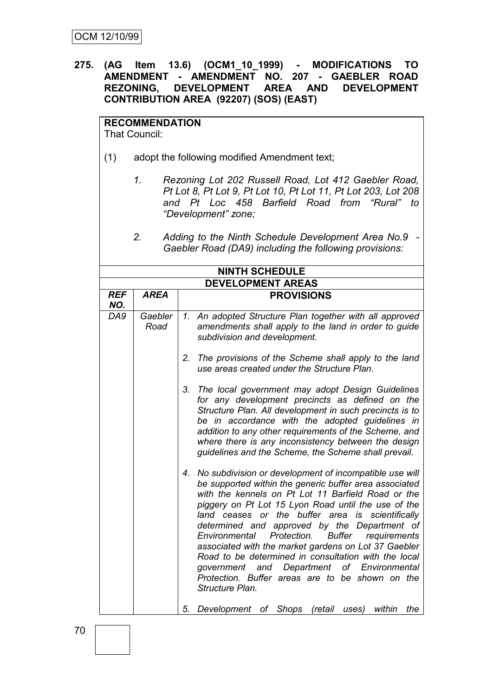# **275. (AG Item 13.6) (OCM1\_10\_1999) - MODIFICATIONS TO AMENDMENT - AMENDMENT NO. 207 - GAEBLER ROAD REZONING, DEVELOPMENT AREA AND DEVELOPMENT CONTRIBUTION AREA (92207) (SOS) (EAST)**

# **RECOMMENDATION**

That Council:

- (1) adopt the following modified Amendment text;
	- *1. Rezoning Lot 202 Russell Road, Lot 412 Gaebler Road, Pt Lot 8, Pt Lot 9, Pt Lot 10, Pt Lot 11, Pt Lot 203, Lot 208 and Pt Loc 458 Barfield Road from "Rural" to "Development" zone;*
	- *2. Adding to the Ninth Schedule Development Area No.9 - Gaebler Road (DA9) including the following provisions:*

| <b>NINTH SCHEDULE</b>    |                 |                                                                                                                                                                                                                                                                                                                                                                                                                                                                                                                                                                                                                                              |  |  |
|--------------------------|-----------------|----------------------------------------------------------------------------------------------------------------------------------------------------------------------------------------------------------------------------------------------------------------------------------------------------------------------------------------------------------------------------------------------------------------------------------------------------------------------------------------------------------------------------------------------------------------------------------------------------------------------------------------------|--|--|
| <b>DEVELOPMENT AREAS</b> |                 |                                                                                                                                                                                                                                                                                                                                                                                                                                                                                                                                                                                                                                              |  |  |
| <b>REF</b><br>NO.        | <b>AREA</b>     | <b>PROVISIONS</b>                                                                                                                                                                                                                                                                                                                                                                                                                                                                                                                                                                                                                            |  |  |
| DA9                      | Gaebler<br>Road | 1. An adopted Structure Plan together with all approved<br>amendments shall apply to the land in order to guide<br>subdivision and development.                                                                                                                                                                                                                                                                                                                                                                                                                                                                                              |  |  |
|                          |                 | The provisions of the Scheme shall apply to the land<br>2.<br>use areas created under the Structure Plan.                                                                                                                                                                                                                                                                                                                                                                                                                                                                                                                                    |  |  |
|                          |                 | The local government may adopt Design Guidelines<br>3.<br>for any development precincts as defined on the<br>Structure Plan. All development in such precincts is to<br>be in accordance with the adopted guidelines in<br>addition to any other requirements of the Scheme, and<br>where there is any inconsistency between the design<br>guidelines and the Scheme, the Scheme shall prevail.                                                                                                                                                                                                                                              |  |  |
|                          |                 | No subdivision or development of incompatible use will<br>4.<br>be supported within the generic buffer area associated<br>with the kennels on Pt Lot 11 Barfield Road or the<br>piggery on Pt Lot 15 Lyon Road until the use of the<br>land ceases or the buffer area is scientifically<br>determined and approved by the Department of<br><b>Buffer</b><br>Protection.<br>requirements<br>Environmental<br>associated with the market gardens on Lot 37 Gaebler<br>Road to be determined in consultation with the local<br>government and Department of Environmental<br>Protection. Buffer areas are to be shown on the<br>Structure Plan. |  |  |
|                          |                 | 5.<br>Development of Shops<br>(retail<br>within<br>the<br>uses)                                                                                                                                                                                                                                                                                                                                                                                                                                                                                                                                                                              |  |  |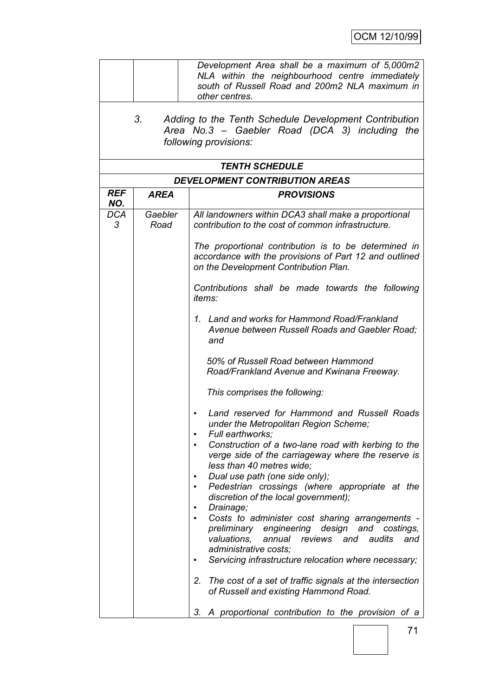|                   | Development Area shall be a maximum of 5,000m2<br>NLA within the neighbourhood centre immediately<br>south of Russell Road and 200m2 NLA maximum in<br>other centres. |                                                                                                                                                                                                |  |  |  |  |
|-------------------|-----------------------------------------------------------------------------------------------------------------------------------------------------------------------|------------------------------------------------------------------------------------------------------------------------------------------------------------------------------------------------|--|--|--|--|
|                   | 3.<br>Adding to the Tenth Schedule Development Contribution<br>Area No.3 - Gaebler Road (DCA 3) including the<br>following provisions:                                |                                                                                                                                                                                                |  |  |  |  |
|                   |                                                                                                                                                                       | <b>TENTH SCHEDULE</b>                                                                                                                                                                          |  |  |  |  |
|                   |                                                                                                                                                                       | <b>DEVELOPMENT CONTRIBUTION AREAS</b>                                                                                                                                                          |  |  |  |  |
| <b>REF</b><br>NO. | AREA                                                                                                                                                                  | <b>PROVISIONS</b>                                                                                                                                                                              |  |  |  |  |
| <b>DCA</b><br>3   | Gaebler<br>Road                                                                                                                                                       | All landowners within DCA3 shall make a proportional<br>contribution to the cost of common infrastructure.                                                                                     |  |  |  |  |
|                   |                                                                                                                                                                       | The proportional contribution is to be determined in<br>accordance with the provisions of Part 12 and outlined<br>on the Development Contribution Plan.                                        |  |  |  |  |
|                   |                                                                                                                                                                       | Contributions shall be made towards the following<br>items:                                                                                                                                    |  |  |  |  |
|                   |                                                                                                                                                                       | 1. Land and works for Hammond Road/Frankland<br>Avenue between Russell Roads and Gaebler Road;<br>and                                                                                          |  |  |  |  |
|                   |                                                                                                                                                                       | 50% of Russell Road between Hammond<br>Road/Frankland Avenue and Kwinana Freeway.                                                                                                              |  |  |  |  |
|                   |                                                                                                                                                                       | This comprises the following:                                                                                                                                                                  |  |  |  |  |
|                   |                                                                                                                                                                       | Land reserved for Hammond and Russell Roads<br>under the Metropolitan Region Scheme;<br>Full earthworks;                                                                                       |  |  |  |  |
|                   |                                                                                                                                                                       | Construction of a two-lane road with kerbing to the<br>verge side of the carriageway where the reserve is<br>less than 40 metres wide;                                                         |  |  |  |  |
|                   |                                                                                                                                                                       | Dual use path (one side only);<br>Pedestrian crossings (where appropriate at the<br>discretion of the local government);                                                                       |  |  |  |  |
|                   |                                                                                                                                                                       | Drainage;<br>Costs to administer cost sharing arrangements -<br>preliminary engineering design<br>and costings,<br>valuations,<br>annual<br>reviews and audits<br>and<br>administrative costs; |  |  |  |  |
|                   |                                                                                                                                                                       | Servicing infrastructure relocation where necessary;                                                                                                                                           |  |  |  |  |
|                   |                                                                                                                                                                       | 2.<br>The cost of a set of traffic signals at the intersection<br>of Russell and existing Hammond Road.                                                                                        |  |  |  |  |
|                   |                                                                                                                                                                       | 3. A proportional contribution to the provision of a                                                                                                                                           |  |  |  |  |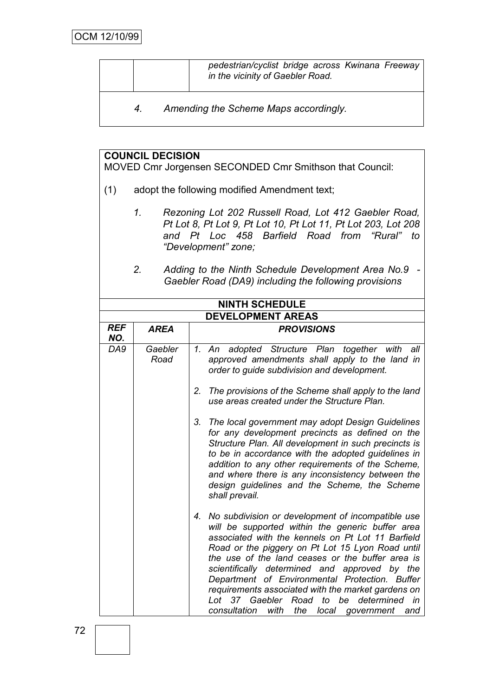|    | pedestrian/cyclist bridge across Kwinana Freeway<br>in the vicinity of Gaebler Road. |
|----|--------------------------------------------------------------------------------------|
| 4. | Amending the Scheme Maps accordingly.                                                |

# **COUNCIL DECISION**

MOVED Cmr Jorgensen SECONDED Cmr Smithson that Council:

- (1) adopt the following modified Amendment text;
	- *1. Rezoning Lot 202 Russell Road, Lot 412 Gaebler Road, Pt Lot 8, Pt Lot 9, Pt Lot 10, Pt Lot 11, Pt Lot 203, Lot 208 and Pt Loc 458 Barfield Road from "Rural" to "Development" zone;*
	- *2. Adding to the Ninth Schedule Development Area No.9 - Gaebler Road (DA9) including the following provisions*

| <b>NINTH SCHEDULE</b>    |                 |                                                                                                                                                                                                                                                                                                                                                                                                                                                                                                                                              |  |
|--------------------------|-----------------|----------------------------------------------------------------------------------------------------------------------------------------------------------------------------------------------------------------------------------------------------------------------------------------------------------------------------------------------------------------------------------------------------------------------------------------------------------------------------------------------------------------------------------------------|--|
| <b>DEVELOPMENT AREAS</b> |                 |                                                                                                                                                                                                                                                                                                                                                                                                                                                                                                                                              |  |
| <b>REF</b><br>NO.        | <b>AREA</b>     | <b>PROVISIONS</b>                                                                                                                                                                                                                                                                                                                                                                                                                                                                                                                            |  |
| DA9                      | Gaebler<br>Road | adopted Structure Plan together with all<br>1. An<br>approved amendments shall apply to the land in<br>order to guide subdivision and development.                                                                                                                                                                                                                                                                                                                                                                                           |  |
|                          |                 | The provisions of the Scheme shall apply to the land<br>2.<br>use areas created under the Structure Plan.                                                                                                                                                                                                                                                                                                                                                                                                                                    |  |
|                          |                 | 3. The local government may adopt Design Guidelines<br>for any development precincts as defined on the<br>Structure Plan. All development in such precincts is<br>to be in accordance with the adopted guidelines in<br>addition to any other requirements of the Scheme,<br>and where there is any inconsistency between the<br>design guidelines and the Scheme, the Scheme<br>shall prevail.                                                                                                                                              |  |
|                          |                 | No subdivision or development of incompatible use<br>4.<br>will be supported within the generic buffer area<br>associated with the kennels on Pt Lot 11 Barfield<br>Road or the piggery on Pt Lot 15 Lyon Road until<br>the use of the land ceases or the buffer area is<br>scientifically determined and approved by the<br>Department of Environmental Protection. Buffer<br>requirements associated with the market gardens on<br>Lot 37 Gaebler Road to be determined<br>in<br>consultation<br>with<br>the<br>local<br>government<br>and |  |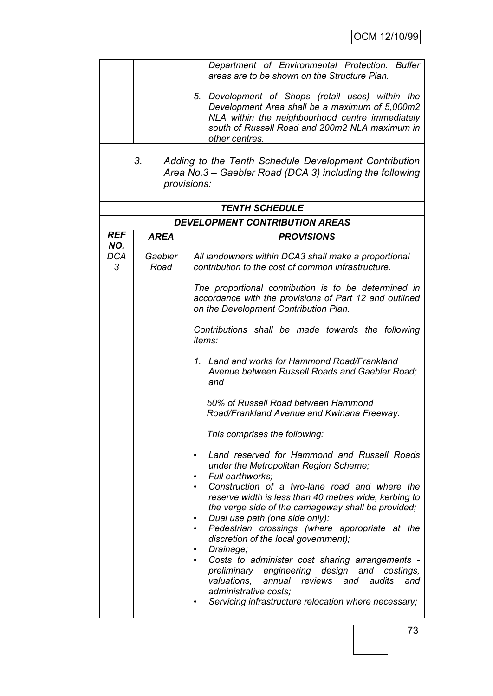|                   | 3.<br>provisions: | Department of Environmental Protection. Buffer<br>areas are to be shown on the Structure Plan.<br>5. Development of Shops (retail uses) within the<br>Development Area shall be a maximum of 5,000m2<br>NLA within the neighbourhood centre immediately<br>south of Russell Road and 200m2 NLA maximum in<br>other centres.<br>Adding to the Tenth Schedule Development Contribution<br>Area No.3 – Gaebler Road (DCA 3) including the following<br><b>TENTH SCHEDULE</b>                                                                                                                                                                                                                                             |
|-------------------|-------------------|-----------------------------------------------------------------------------------------------------------------------------------------------------------------------------------------------------------------------------------------------------------------------------------------------------------------------------------------------------------------------------------------------------------------------------------------------------------------------------------------------------------------------------------------------------------------------------------------------------------------------------------------------------------------------------------------------------------------------|
|                   |                   | <b>DEVELOPMENT CONTRIBUTION AREAS</b>                                                                                                                                                                                                                                                                                                                                                                                                                                                                                                                                                                                                                                                                                 |
| <b>REF</b><br>NO. | <b>AREA</b>       | <b>PROVISIONS</b>                                                                                                                                                                                                                                                                                                                                                                                                                                                                                                                                                                                                                                                                                                     |
| <b>DCA</b><br>3   | Gaebler<br>Road   | All landowners within DCA3 shall make a proportional<br>contribution to the cost of common infrastructure.                                                                                                                                                                                                                                                                                                                                                                                                                                                                                                                                                                                                            |
|                   |                   | The proportional contribution is to be determined in<br>accordance with the provisions of Part 12 and outlined<br>on the Development Contribution Plan.<br>Contributions shall be made towards the following<br>items:                                                                                                                                                                                                                                                                                                                                                                                                                                                                                                |
|                   |                   | 1. Land and works for Hammond Road/Frankland<br>Avenue between Russell Roads and Gaebler Road;<br>and                                                                                                                                                                                                                                                                                                                                                                                                                                                                                                                                                                                                                 |
|                   |                   | 50% of Russell Road between Hammond<br>Road/Frankland Avenue and Kwinana Freeway.                                                                                                                                                                                                                                                                                                                                                                                                                                                                                                                                                                                                                                     |
|                   |                   | This comprises the following:                                                                                                                                                                                                                                                                                                                                                                                                                                                                                                                                                                                                                                                                                         |
|                   |                   | Land reserved for Hammond and Russell Roads<br>٠<br>under the Metropolitan Region Scheme;<br>Full earthworks;<br>$\bullet$<br>Construction of a two-lane road and where the<br>reserve width is less than 40 metres wide, kerbing to<br>the verge side of the carriageway shall be provided;<br>Dual use path (one side only);<br>٠<br>Pedestrian crossings (where appropriate at the<br>$\bullet$<br>discretion of the local government);<br>Drainage;<br>٠<br>Costs to administer cost sharing arrangements -<br>$\bullet$<br>preliminary engineering design and costings,<br>valuations,<br>annual reviews and audits<br>and<br>administrative costs;<br>Servicing infrastructure relocation where necessary;<br>٠ |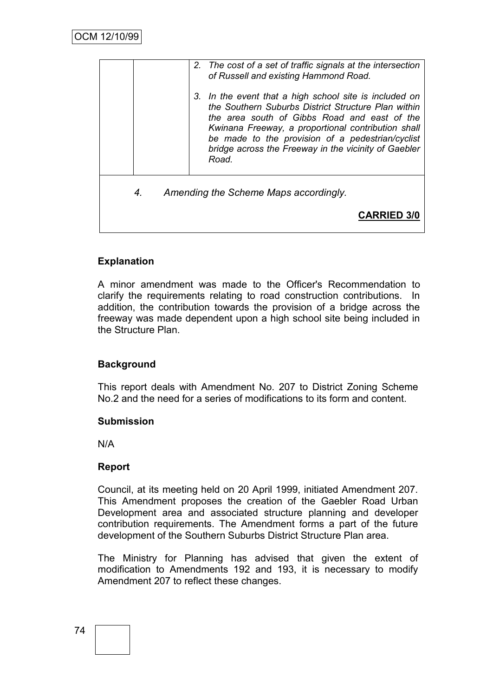|    | 2. The cost of a set of traffic signals at the intersection<br>of Russell and existing Hammond Road.                                                                                                                                                                                                                                     |
|----|------------------------------------------------------------------------------------------------------------------------------------------------------------------------------------------------------------------------------------------------------------------------------------------------------------------------------------------|
|    | 3. In the event that a high school site is included on<br>the Southern Suburbs District Structure Plan within<br>the area south of Gibbs Road and east of the<br>Kwinana Freeway, a proportional contribution shall<br>be made to the provision of a pedestrian/cyclist<br>bridge across the Freeway in the vicinity of Gaebler<br>Road. |
| 4. | Amending the Scheme Maps accordingly.                                                                                                                                                                                                                                                                                                    |
|    |                                                                                                                                                                                                                                                                                                                                          |

# **Explanation**

A minor amendment was made to the Officer's Recommendation to clarify the requirements relating to road construction contributions. In addition, the contribution towards the provision of a bridge across the freeway was made dependent upon a high school site being included in the Structure Plan.

## **Background**

This report deals with Amendment No. 207 to District Zoning Scheme No.2 and the need for a series of modifications to its form and content.

#### **Submission**

N/A

## **Report**

Council, at its meeting held on 20 April 1999, initiated Amendment 207. This Amendment proposes the creation of the Gaebler Road Urban Development area and associated structure planning and developer contribution requirements. The Amendment forms a part of the future development of the Southern Suburbs District Structure Plan area.

The Ministry for Planning has advised that given the extent of modification to Amendments 192 and 193, it is necessary to modify Amendment 207 to reflect these changes.

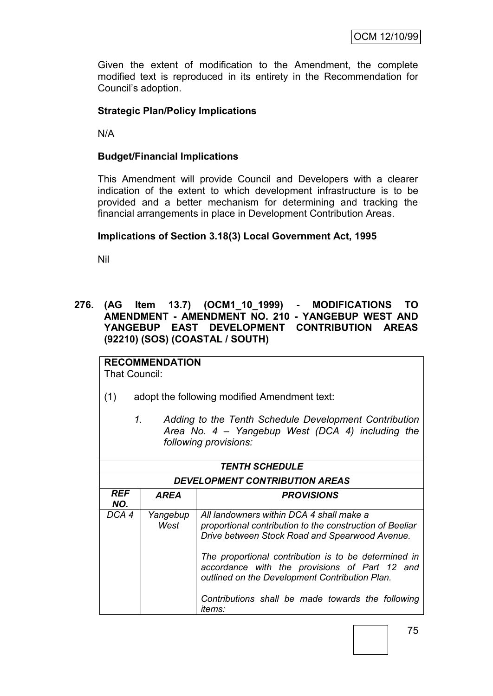Given the extent of modification to the Amendment, the complete modified text is reproduced in its entirety in the Recommendation for Council"s adoption.

## **Strategic Plan/Policy Implications**

N/A

#### **Budget/Financial Implications**

This Amendment will provide Council and Developers with a clearer indication of the extent to which development infrastructure is to be provided and a better mechanism for determining and tracking the financial arrangements in place in Development Contribution Areas.

#### **Implications of Section 3.18(3) Local Government Act, 1995**

Nil

**276. (AG Item 13.7) (OCM1\_10\_1999) - MODIFICATIONS TO AMENDMENT - AMENDMENT NO. 210 - YANGEBUP WEST AND YANGEBUP EAST DEVELOPMENT CONTRIBUTION AREAS (92210) (SOS) (COASTAL / SOUTH)**

**RECOMMENDATION** That Council:

- (1) adopt the following modified Amendment text:
	- *1. Adding to the Tenth Schedule Development Contribution Area No. 4 – Yangebup West (DCA 4) including the following provisions:*

| <b>TENTH SCHEDULE</b>                   |                                                                                                                                                                                                                                                                                                                                                                                                             |  |  |  |
|-----------------------------------------|-------------------------------------------------------------------------------------------------------------------------------------------------------------------------------------------------------------------------------------------------------------------------------------------------------------------------------------------------------------------------------------------------------------|--|--|--|
| <b>DEVELOPMENT CONTRIBUTION AREAS</b>   |                                                                                                                                                                                                                                                                                                                                                                                                             |  |  |  |
| REF<br>AREA<br><b>PROVISIONS</b><br>NO. |                                                                                                                                                                                                                                                                                                                                                                                                             |  |  |  |
| DCA 4                                   | All landowners within DCA 4 shall make a<br>Yangebup<br>West<br>proportional contribution to the construction of Beeliar<br>Drive between Stock Road and Spearwood Avenue.<br>The proportional contribution is to be determined in<br>accordance with the provisions of Part 12 and<br>outlined on the Development Contribution Plan.<br>Contributions shall be made towards the following<br><i>items:</i> |  |  |  |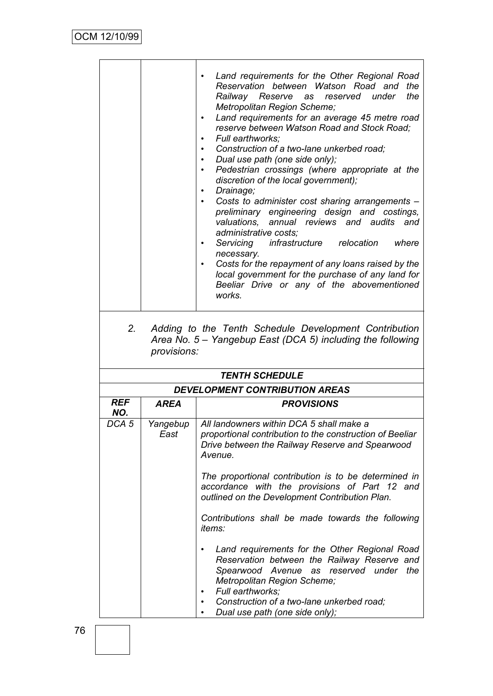|                   |                    | Land requirements for the Other Regional Road<br>Reservation between Watson Road and<br>the<br>the<br>Railway Reserve<br>reserved under<br>as<br>Metropolitan Region Scheme;<br>Land requirements for an average 45 metre road<br>reserve between Watson Road and Stock Road;<br>Full earthworks:<br>Construction of a two-lane unkerbed road:<br>$\bullet$<br>Dual use path (one side only);<br>Pedestrian crossings (where appropriate at the<br>discretion of the local government);<br>Drainage;<br>$\bullet$<br>Costs to administer cost sharing arrangements -<br>$\bullet$<br>preliminary engineering design and costings,<br>valuations, annual reviews and audits and<br>administrative costs;<br>Servicing infrastructure relocation<br>where<br>$\bullet$<br>necessary.<br>Costs for the repayment of any loans raised by the<br>local government for the purchase of any land for<br>Beeliar Drive or any of the abovementioned<br>works. |
|-------------------|--------------------|-------------------------------------------------------------------------------------------------------------------------------------------------------------------------------------------------------------------------------------------------------------------------------------------------------------------------------------------------------------------------------------------------------------------------------------------------------------------------------------------------------------------------------------------------------------------------------------------------------------------------------------------------------------------------------------------------------------------------------------------------------------------------------------------------------------------------------------------------------------------------------------------------------------------------------------------------------|
| 2.                | provisions:        | Adding to the Tenth Schedule Development Contribution<br>Area No. 5 - Yangebup East (DCA 5) including the following                                                                                                                                                                                                                                                                                                                                                                                                                                                                                                                                                                                                                                                                                                                                                                                                                                   |
|                   |                    | <b>TENTH SCHEDULE</b>                                                                                                                                                                                                                                                                                                                                                                                                                                                                                                                                                                                                                                                                                                                                                                                                                                                                                                                                 |
|                   |                    | <b>DEVELOPMENT CONTRIBUTION AREAS</b>                                                                                                                                                                                                                                                                                                                                                                                                                                                                                                                                                                                                                                                                                                                                                                                                                                                                                                                 |
| <b>REF</b><br>NO. | <b>AREA</b>        | <b>PROVISIONS</b>                                                                                                                                                                                                                                                                                                                                                                                                                                                                                                                                                                                                                                                                                                                                                                                                                                                                                                                                     |
| DCA <sub>5</sub>  | Yangebup  <br>East | All landowners within DCA 5 shall make a<br>proportional contribution to the construction of Beeliar<br>Drive between the Railway Reserve and Spearwood<br>Avenue.<br>The proportional contribution is to be determined in                                                                                                                                                                                                                                                                                                                                                                                                                                                                                                                                                                                                                                                                                                                            |
|                   |                    | accordance with the provisions of Part 12 and<br>outlined on the Development Contribution Plan.                                                                                                                                                                                                                                                                                                                                                                                                                                                                                                                                                                                                                                                                                                                                                                                                                                                       |
|                   |                    | Contributions shall be made towards the following<br><i>items:</i>                                                                                                                                                                                                                                                                                                                                                                                                                                                                                                                                                                                                                                                                                                                                                                                                                                                                                    |
|                   |                    | Land requirements for the Other Regional Road<br>$\bullet$<br>Reservation between the Railway Reserve and<br>Spearwood Avenue as reserved under the<br>Metropolitan Region Scheme;<br>Full earthworks;<br>Construction of a two-lane unkerbed road;<br>Dual use path (one side only);                                                                                                                                                                                                                                                                                                                                                                                                                                                                                                                                                                                                                                                                 |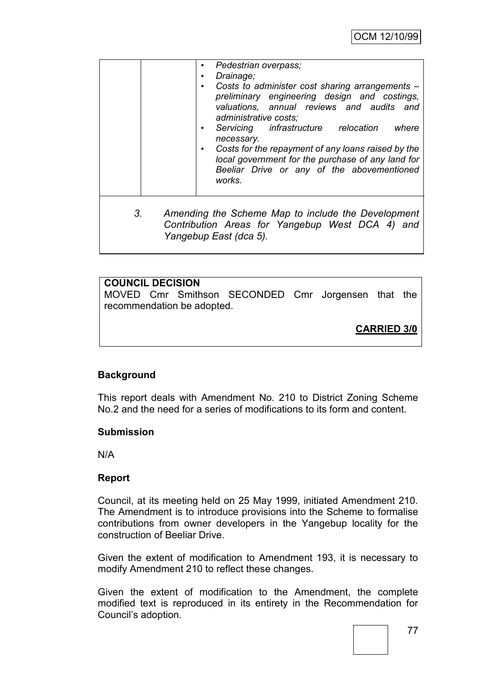|                | Pedestrian overpass;<br>Drainage;<br>$\bullet$<br>Costs to administer cost sharing arrangements -<br>٠<br>preliminary engineering design and costings,<br>valuations, annual reviews and audits and<br>administrative costs;<br>Servicing infrastructure relocation<br>where<br>٠<br>necessary.<br>Costs for the repayment of any loans raised by the<br>٠<br>local government for the purchase of any land for<br>Beeliar Drive or any of the abovementioned<br>works. |
|----------------|-------------------------------------------------------------------------------------------------------------------------------------------------------------------------------------------------------------------------------------------------------------------------------------------------------------------------------------------------------------------------------------------------------------------------------------------------------------------------|
| 3 <sub>1</sub> | Amending the Scheme Map to include the Development<br>Contribution Areas for Yangebup West DCA 4) and<br>Yangebup East (dca 5).                                                                                                                                                                                                                                                                                                                                         |

## **COUNCIL DECISION**

MOVED Cmr Smithson SECONDED Cmr Jorgensen that the recommendation be adopted.

**CARRIED 3/0**

## **Background**

This report deals with Amendment No. 210 to District Zoning Scheme No.2 and the need for a series of modifications to its form and content.

#### **Submission**

N/A

## **Report**

Council, at its meeting held on 25 May 1999, initiated Amendment 210. The Amendment is to introduce provisions into the Scheme to formalise contributions from owner developers in the Yangebup locality for the construction of Beeliar Drive.

Given the extent of modification to Amendment 193, it is necessary to modify Amendment 210 to reflect these changes.

Given the extent of modification to the Amendment, the complete modified text is reproduced in its entirety in the Recommendation for Council"s adoption.

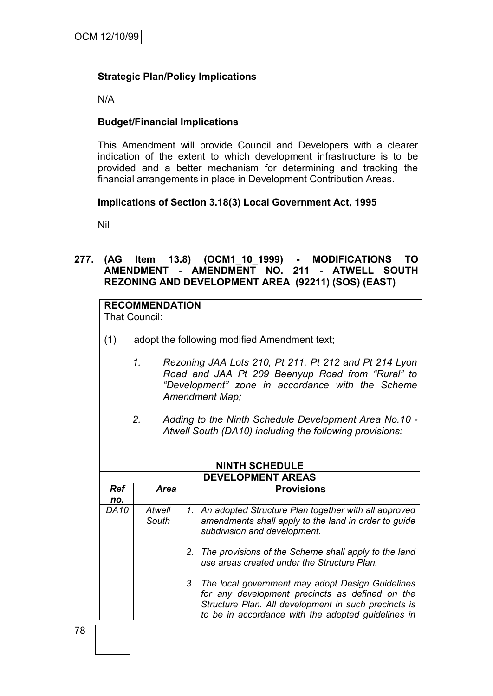# **Strategic Plan/Policy Implications**

N/A

## **Budget/Financial Implications**

This Amendment will provide Council and Developers with a clearer indication of the extent to which development infrastructure is to be provided and a better mechanism for determining and tracking the financial arrangements in place in Development Contribution Areas.

## **Implications of Section 3.18(3) Local Government Act, 1995**

Nil

# **277. (AG Item 13.8) (OCM1\_10\_1999) - MODIFICATIONS TO AMENDMENT - AMENDMENT NO. 211 - ATWELL SOUTH REZONING AND DEVELOPMENT AREA (92211) (SOS) (EAST)**

# **RECOMMENDATION**

That Council:

- (1) adopt the following modified Amendment text;
	- *1. Rezoning JAA Lots 210, Pt 211, Pt 212 and Pt 214 Lyon Road and JAA Pt 209 Beenyup Road from "Rural" to "Development" zone in accordance with the Scheme Amendment Map;*
	- *2. Adding to the Ninth Schedule Development Area No.10 - Atwell South (DA10) including the following provisions:*

| <b>NINTH SCHEDULE</b> |                          |  |                                                                                                                                                                                                                      |  |  |
|-----------------------|--------------------------|--|----------------------------------------------------------------------------------------------------------------------------------------------------------------------------------------------------------------------|--|--|
|                       | <b>DEVELOPMENT AREAS</b> |  |                                                                                                                                                                                                                      |  |  |
| <b>Ref</b>            | <b>Area</b>              |  | <b>Provisions</b>                                                                                                                                                                                                    |  |  |
| no.                   |                          |  |                                                                                                                                                                                                                      |  |  |
| <b>DA10</b>           | Atwell<br>South          |  | 1. An adopted Structure Plan together with all approved<br>amendments shall apply to the land in order to guide<br>subdivision and development.                                                                      |  |  |
|                       |                          |  | 2. The provisions of the Scheme shall apply to the land<br>use areas created under the Structure Plan.                                                                                                               |  |  |
|                       |                          |  | 3. The local government may adopt Design Guidelines<br>for any development precincts as defined on the<br>Structure Plan. All development in such precincts is<br>to be in accordance with the adopted guidelines in |  |  |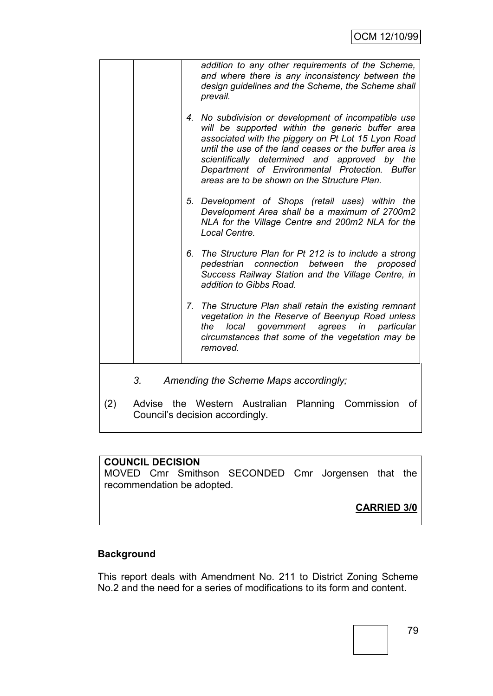|     | addition to any other requirements of the Scheme,<br>and where there is any inconsistency between the<br>design guidelines and the Scheme, the Scheme shall<br>prevail.                                                                                                                                                                                                     |
|-----|-----------------------------------------------------------------------------------------------------------------------------------------------------------------------------------------------------------------------------------------------------------------------------------------------------------------------------------------------------------------------------|
|     | 4. No subdivision or development of incompatible use<br>will be supported within the generic buffer area<br>associated with the piggery on Pt Lot 15 Lyon Road<br>until the use of the land ceases or the buffer area is<br>scientifically determined and approved by the<br>Department of Environmental Protection. Buffer<br>areas are to be shown on the Structure Plan. |
|     | 5. Development of Shops (retail uses) within the<br>Development Area shall be a maximum of 2700m2<br>NLA for the Village Centre and 200m2 NLA for the<br>Local Centre.                                                                                                                                                                                                      |
|     | The Structure Plan for Pt 212 is to include a strong<br>6.<br>connection<br>between<br>the<br>pedestrian<br>proposed<br>Success Railway Station and the Village Centre, in<br>addition to Gibbs Road.                                                                                                                                                                       |
|     | The Structure Plan shall retain the existing remnant<br>7.<br>vegetation in the Reserve of Beenyup Road unless<br>government agrees in particular<br>local<br>the<br>circumstances that some of the vegetation may be<br>removed.                                                                                                                                           |
| 3.  | Amending the Scheme Maps accordingly;                                                                                                                                                                                                                                                                                                                                       |
| (2) | Advise the Western Australian Planning Commission<br>οf<br>Council's decision accordingly.                                                                                                                                                                                                                                                                                  |

# **COUNCIL DECISION**

MOVED Cmr Smithson SECONDED Cmr Jorgensen that the recommendation be adopted.

# **CARRIED 3/0**

# **Background**

This report deals with Amendment No. 211 to District Zoning Scheme No.2 and the need for a series of modifications to its form and content.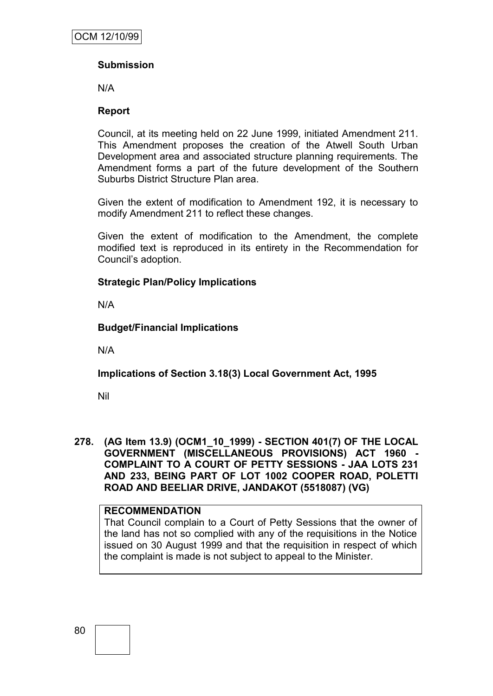# **Submission**

N/A

## **Report**

Council, at its meeting held on 22 June 1999, initiated Amendment 211. This Amendment proposes the creation of the Atwell South Urban Development area and associated structure planning requirements. The Amendment forms a part of the future development of the Southern Suburbs District Structure Plan area.

Given the extent of modification to Amendment 192, it is necessary to modify Amendment 211 to reflect these changes.

Given the extent of modification to the Amendment, the complete modified text is reproduced in its entirety in the Recommendation for Council"s adoption.

## **Strategic Plan/Policy Implications**

N/A

## **Budget/Financial Implications**

N/A

# **Implications of Section 3.18(3) Local Government Act, 1995**

Nil

**278. (AG Item 13.9) (OCM1\_10\_1999) - SECTION 401(7) OF THE LOCAL GOVERNMENT (MISCELLANEOUS PROVISIONS) ACT 1960 - COMPLAINT TO A COURT OF PETTY SESSIONS - JAA LOTS 231 AND 233, BEING PART OF LOT 1002 COOPER ROAD, POLETTI ROAD AND BEELIAR DRIVE, JANDAKOT (5518087) (VG)**

## **RECOMMENDATION**

That Council complain to a Court of Petty Sessions that the owner of the land has not so complied with any of the requisitions in the Notice issued on 30 August 1999 and that the requisition in respect of which the complaint is made is not subject to appeal to the Minister.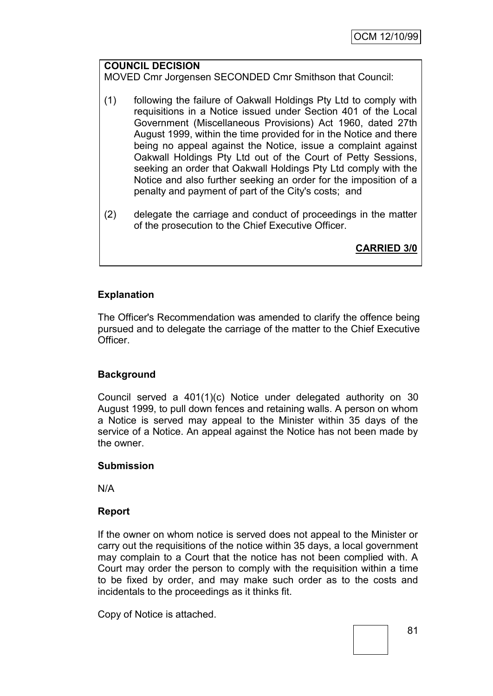## **COUNCIL DECISION**

MOVED Cmr Jorgensen SECONDED Cmr Smithson that Council:

- (1) following the failure of Oakwall Holdings Pty Ltd to comply with requisitions in a Notice issued under Section 401 of the Local Government (Miscellaneous Provisions) Act 1960, dated 27th August 1999, within the time provided for in the Notice and there being no appeal against the Notice, issue a complaint against Oakwall Holdings Pty Ltd out of the Court of Petty Sessions, seeking an order that Oakwall Holdings Pty Ltd comply with the Notice and also further seeking an order for the imposition of a penalty and payment of part of the City's costs; and
- (2) delegate the carriage and conduct of proceedings in the matter of the prosecution to the Chief Executive Officer.

**CARRIED 3/0**

## **Explanation**

The Officer's Recommendation was amended to clarify the offence being pursued and to delegate the carriage of the matter to the Chief Executive Officer.

## **Background**

Council served a 401(1)(c) Notice under delegated authority on 30 August 1999, to pull down fences and retaining walls. A person on whom a Notice is served may appeal to the Minister within 35 days of the service of a Notice. An appeal against the Notice has not been made by the owner.

#### **Submission**

N/A

#### **Report**

If the owner on whom notice is served does not appeal to the Minister or carry out the requisitions of the notice within 35 days, a local government may complain to a Court that the notice has not been complied with. A Court may order the person to comply with the requisition within a time to be fixed by order, and may make such order as to the costs and incidentals to the proceedings as it thinks fit.

Copy of Notice is attached.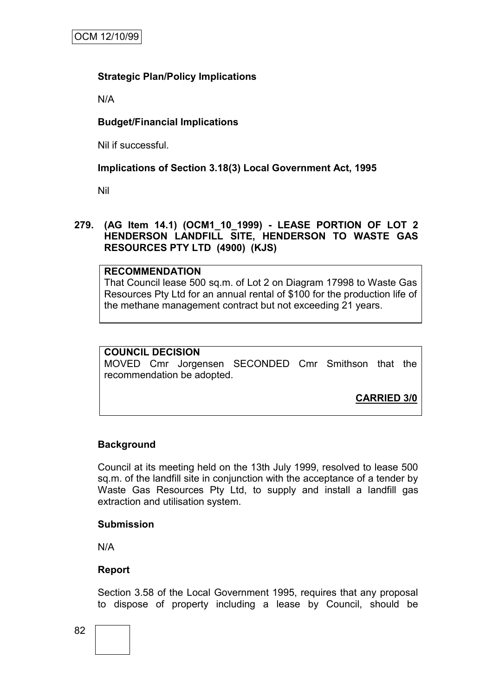## **Strategic Plan/Policy Implications**

N/A

## **Budget/Financial Implications**

Nil if successful.

## **Implications of Section 3.18(3) Local Government Act, 1995**

Nil

#### **279. (AG Item 14.1) (OCM1\_10\_1999) - LEASE PORTION OF LOT 2 HENDERSON LANDFILL SITE, HENDERSON TO WASTE GAS RESOURCES PTY LTD (4900) (KJS)**

## **RECOMMENDATION**

That Council lease 500 sq.m. of Lot 2 on Diagram 17998 to Waste Gas Resources Pty Ltd for an annual rental of \$100 for the production life of the methane management contract but not exceeding 21 years.

#### **COUNCIL DECISION**

MOVED Cmr Jorgensen SECONDED Cmr Smithson that the recommendation be adopted.

**CARRIED 3/0**

# **Background**

Council at its meeting held on the 13th July 1999, resolved to lease 500 sq.m. of the landfill site in conjunction with the acceptance of a tender by Waste Gas Resources Pty Ltd, to supply and install a landfill gas extraction and utilisation system.

#### **Submission**

N/A

## **Report**

Section 3.58 of the Local Government 1995, requires that any proposal to dispose of property including a lease by Council, should be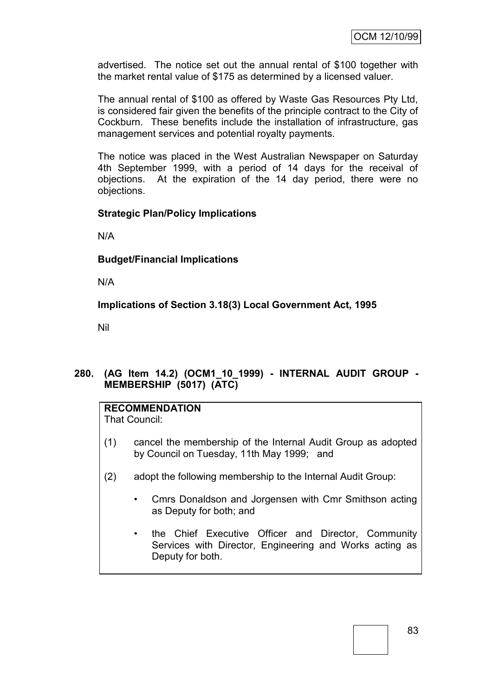advertised. The notice set out the annual rental of \$100 together with the market rental value of \$175 as determined by a licensed valuer.

The annual rental of \$100 as offered by Waste Gas Resources Pty Ltd, is considered fair given the benefits of the principle contract to the City of Cockburn. These benefits include the installation of infrastructure, gas management services and potential royalty payments.

The notice was placed in the West Australian Newspaper on Saturday 4th September 1999, with a period of 14 days for the receival of objections. At the expiration of the 14 day period, there were no objections.

## **Strategic Plan/Policy Implications**

N/A

## **Budget/Financial Implications**

N/A

**Implications of Section 3.18(3) Local Government Act, 1995**

Nil

# **280. (AG Item 14.2) (OCM1\_10\_1999) - INTERNAL AUDIT GROUP - MEMBERSHIP (5017) (ATC)**

## **RECOMMENDATION**

That Council:

- (1) cancel the membership of the Internal Audit Group as adopted by Council on Tuesday, 11th May 1999; and
- (2) adopt the following membership to the Internal Audit Group:
	- Cmrs Donaldson and Jorgensen with Cmr Smithson acting as Deputy for both; and
	- the Chief Executive Officer and Director, Community Services with Director, Engineering and Works acting as Deputy for both.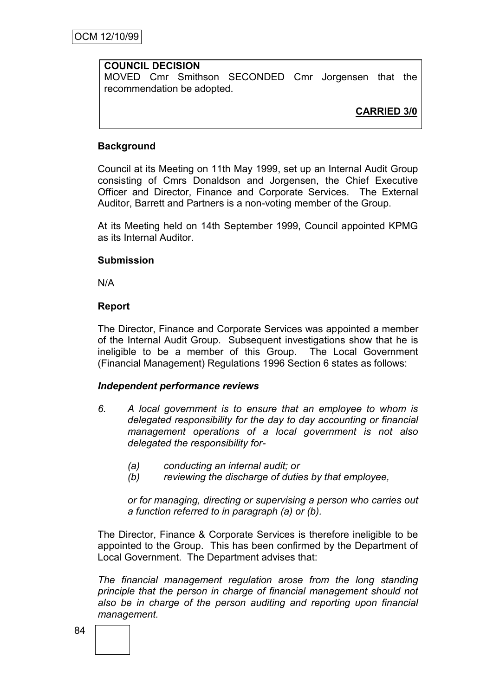## **COUNCIL DECISION**

MOVED Cmr Smithson SECONDED Cmr Jorgensen that the recommendation be adopted.

**CARRIED 3/0**

## **Background**

Council at its Meeting on 11th May 1999, set up an Internal Audit Group consisting of Cmrs Donaldson and Jorgensen, the Chief Executive Officer and Director, Finance and Corporate Services. The External Auditor, Barrett and Partners is a non-voting member of the Group.

At its Meeting held on 14th September 1999, Council appointed KPMG as its Internal Auditor.

#### **Submission**

N/A

#### **Report**

The Director, Finance and Corporate Services was appointed a member of the Internal Audit Group. Subsequent investigations show that he is ineligible to be a member of this Group. The Local Government (Financial Management) Regulations 1996 Section 6 states as follows:

#### *Independent performance reviews*

- *6. A local government is to ensure that an employee to whom is delegated responsibility for the day to day accounting or financial management operations of a local government is not also delegated the responsibility for-*
	- *(a) conducting an internal audit; or*
	- *(b) reviewing the discharge of duties by that employee,*

*or for managing, directing or supervising a person who carries out a function referred to in paragraph (a) or (b).*

The Director, Finance & Corporate Services is therefore ineligible to be appointed to the Group. This has been confirmed by the Department of Local Government. The Department advises that:

*The financial management regulation arose from the long standing principle that the person in charge of financial management should not also be in charge of the person auditing and reporting upon financial management.*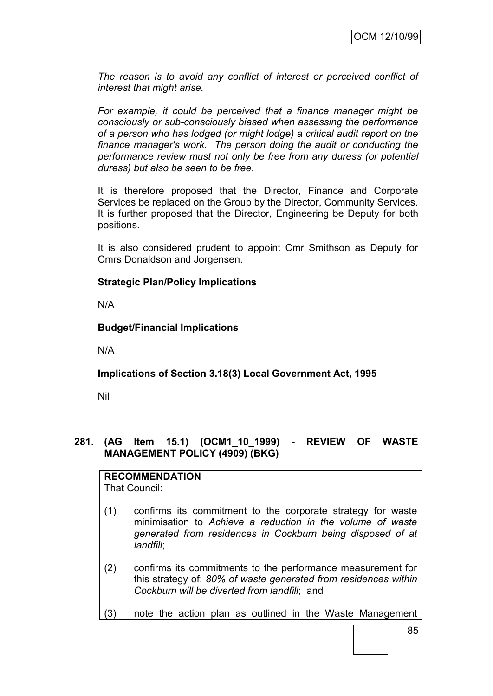*The reason is to avoid any conflict of interest or perceived conflict of interest that might arise.*

*For example, it could be perceived that a finance manager might be consciously or sub-consciously biased when assessing the performance of a person who has lodged (or might lodge) a critical audit report on the finance manager's work. The person doing the audit or conducting the performance review must not only be free from any duress (or potential duress) but also be seen to be free*.

It is therefore proposed that the Director, Finance and Corporate Services be replaced on the Group by the Director, Community Services. It is further proposed that the Director, Engineering be Deputy for both positions.

It is also considered prudent to appoint Cmr Smithson as Deputy for Cmrs Donaldson and Jorgensen.

## **Strategic Plan/Policy Implications**

N/A

## **Budget/Financial Implications**

N/A

# **Implications of Section 3.18(3) Local Government Act, 1995**

Nil

## **281. (AG Item 15.1) (OCM1\_10\_1999) - REVIEW OF WASTE MANAGEMENT POLICY (4909) (BKG)**

# **RECOMMENDATION**

That Council:

- (1) confirms its commitment to the corporate strategy for waste minimisation to *Achieve a reduction in the volume of waste generated from residences in Cockburn being disposed of at landfill*;
- (2) confirms its commitments to the performance measurement for this strategy of: *80% of waste generated from residences within Cockburn will be diverted from landfill*; and
- (3) note the action plan as outlined in the Waste Management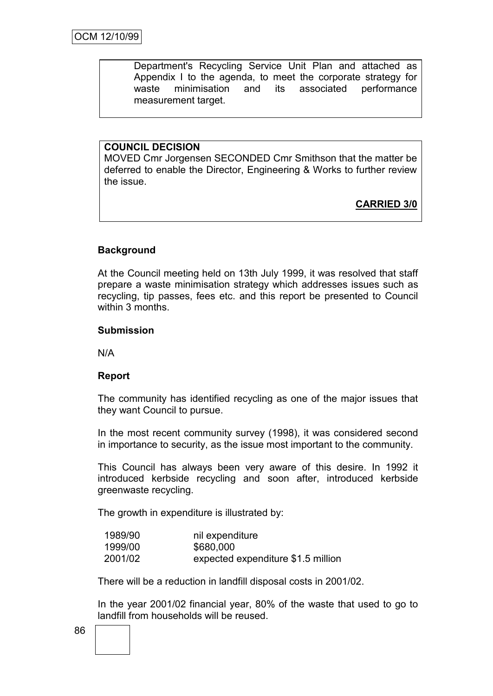Department's Recycling Service Unit Plan and attached as Appendix I to the agenda, to meet the corporate strategy for waste minimisation and its associated performance measurement target.

## **COUNCIL DECISION**

MOVED Cmr Jorgensen SECONDED Cmr Smithson that the matter be deferred to enable the Director, Engineering & Works to further review the issue.

**CARRIED 3/0**

## **Background**

At the Council meeting held on 13th July 1999, it was resolved that staff prepare a waste minimisation strategy which addresses issues such as recycling, tip passes, fees etc. and this report be presented to Council within 3 months.

#### **Submission**

N/A

## **Report**

The community has identified recycling as one of the major issues that they want Council to pursue.

In the most recent community survey (1998), it was considered second in importance to security, as the issue most important to the community.

This Council has always been very aware of this desire. In 1992 it introduced kerbside recycling and soon after, introduced kerbside greenwaste recycling.

The growth in expenditure is illustrated by:

| 1989/90 | nil expenditure                    |
|---------|------------------------------------|
| 1999/00 | \$680,000                          |
| 2001/02 | expected expenditure \$1.5 million |

There will be a reduction in landfill disposal costs in 2001/02.

In the year 2001/02 financial year, 80% of the waste that used to go to landfill from households will be reused.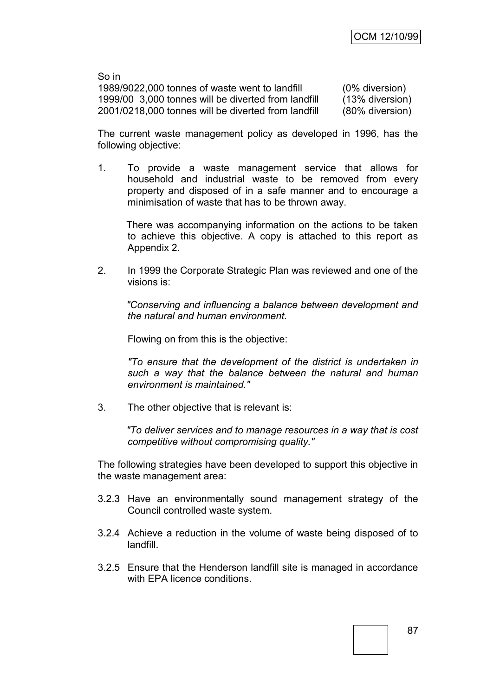So in 1989/9022,000 tonnes of waste went to landfill (0% diversion) 1999/00 3,000 tonnes will be diverted from landfill (13% diversion) 2001/0218,000 tonnes will be diverted from landfill (80% diversion)

The current waste management policy as developed in 1996, has the following objective:

1. To provide a waste management service that allows for household and industrial waste to be removed from every property and disposed of in a safe manner and to encourage a minimisation of waste that has to be thrown away.

There was accompanying information on the actions to be taken to achieve this objective. A copy is attached to this report as Appendix 2.

2. In 1999 the Corporate Strategic Plan was reviewed and one of the visions is:

*"Conserving and influencing a balance between development and the natural and human environment.*

Flowing on from this is the objective:

*"To ensure that the development of the district is undertaken in such a way that the balance between the natural and human environment is maintained."*

3. The other objective that is relevant is:

*"To deliver services and to manage resources in a way that is cost competitive without compromising quality."*

The following strategies have been developed to support this objective in the waste management area:

- 3.2.3 Have an environmentally sound management strategy of the Council controlled waste system.
- 3.2.4 Achieve a reduction in the volume of waste being disposed of to landfill.
- 3.2.5 Ensure that the Henderson landfill site is managed in accordance with EPA licence conditions.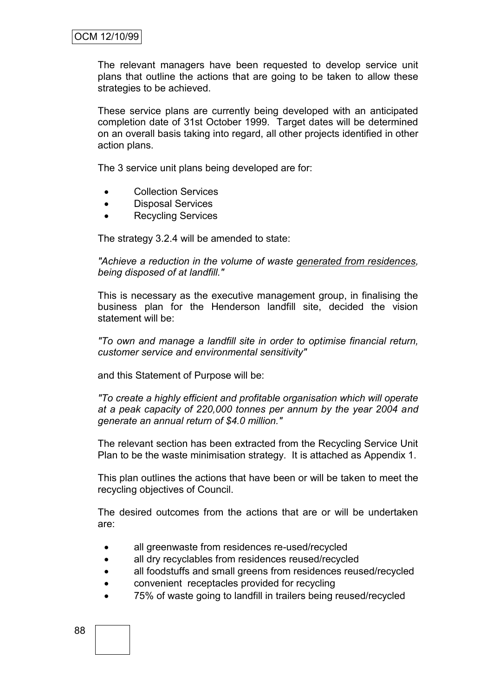The relevant managers have been requested to develop service unit plans that outline the actions that are going to be taken to allow these strategies to be achieved.

These service plans are currently being developed with an anticipated completion date of 31st October 1999. Target dates will be determined on an overall basis taking into regard, all other projects identified in other action plans.

The 3 service unit plans being developed are for:

- Collection Services
- Disposal Services
- Recycling Services

The strategy 3.2.4 will be amended to state:

*"Achieve a reduction in the volume of waste generated from residences, being disposed of at landfill."*

This is necessary as the executive management group, in finalising the business plan for the Henderson landfill site, decided the vision statement will be:

*"To own and manage a landfill site in order to optimise financial return, customer service and environmental sensitivity"* 

and this Statement of Purpose will be:

*"To create a highly efficient and profitable organisation which will operate at a peak capacity of 220,000 tonnes per annum by the year 2004 and generate an annual return of \$4.0 million."*

The relevant section has been extracted from the Recycling Service Unit Plan to be the waste minimisation strategy. It is attached as Appendix 1.

This plan outlines the actions that have been or will be taken to meet the recycling objectives of Council.

The desired outcomes from the actions that are or will be undertaken are:

- all greenwaste from residences re-used/recycled
- all dry recyclables from residences reused/recycled
- all foodstuffs and small greens from residences reused/recycled
- convenient receptacles provided for recycling
- 75% of waste going to landfill in trailers being reused/recycled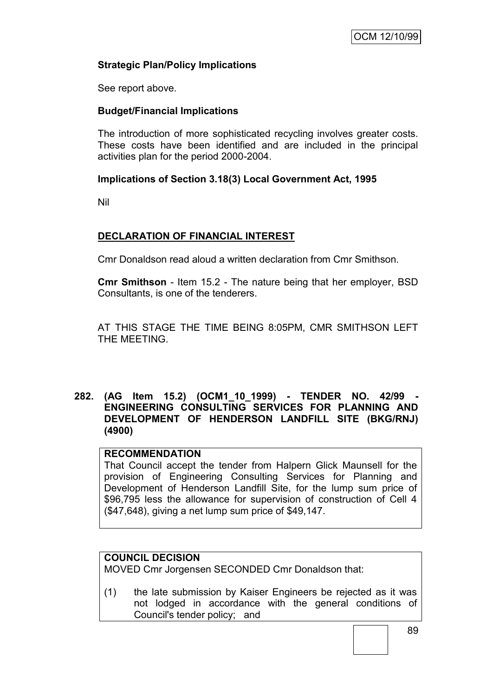## **Strategic Plan/Policy Implications**

See report above.

## **Budget/Financial Implications**

The introduction of more sophisticated recycling involves greater costs. These costs have been identified and are included in the principal activities plan for the period 2000-2004.

## **Implications of Section 3.18(3) Local Government Act, 1995**

Nil

# **DECLARATION OF FINANCIAL INTEREST**

Cmr Donaldson read aloud a written declaration from Cmr Smithson.

**Cmr Smithson** - Item 15.2 - The nature being that her employer, BSD Consultants, is one of the tenderers.

AT THIS STAGE THE TIME BEING 8:05PM, CMR SMITHSON LEFT THE MEETING.

## **282. (AG Item 15.2) (OCM1\_10\_1999) - TENDER NO. 42/99 - ENGINEERING CONSULTING SERVICES FOR PLANNING AND DEVELOPMENT OF HENDERSON LANDFILL SITE (BKG/RNJ) (4900)**

#### **RECOMMENDATION**

That Council accept the tender from Halpern Glick Maunsell for the provision of Engineering Consulting Services for Planning and Development of Henderson Landfill Site, for the lump sum price of \$96,795 less the allowance for supervision of construction of Cell 4 (\$47,648), giving a net lump sum price of \$49,147.

## **COUNCIL DECISION**

MOVED Cmr Jorgensen SECONDED Cmr Donaldson that:

(1) the late submission by Kaiser Engineers be rejected as it was not lodged in accordance with the general conditions of Council's tender policy; and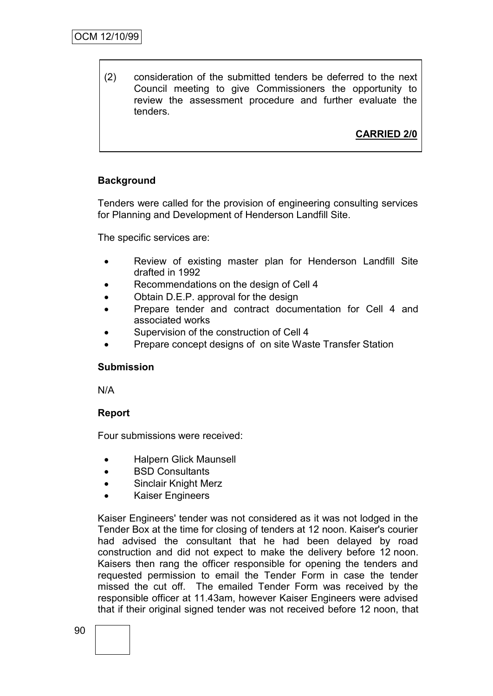(2) consideration of the submitted tenders be deferred to the next Council meeting to give Commissioners the opportunity to review the assessment procedure and further evaluate the tenders.

# **CARRIED 2/0**

## **Background**

Tenders were called for the provision of engineering consulting services for Planning and Development of Henderson Landfill Site.

The specific services are:

- Review of existing master plan for Henderson Landfill Site drafted in 1992
- Recommendations on the design of Cell 4
- Obtain D.E.P. approval for the design
- Prepare tender and contract documentation for Cell 4 and associated works
- Supervision of the construction of Cell 4
- Prepare concept designs of on site Waste Transfer Station

#### **Submission**

N/A

## **Report**

Four submissions were received:

- Halpern Glick Maunsell
- BSD Consultants
- Sinclair Knight Merz
- Kaiser Engineers

Kaiser Engineers' tender was not considered as it was not lodged in the Tender Box at the time for closing of tenders at 12 noon. Kaiser's courier had advised the consultant that he had been delayed by road construction and did not expect to make the delivery before 12 noon. Kaisers then rang the officer responsible for opening the tenders and requested permission to email the Tender Form in case the tender missed the cut off. The emailed Tender Form was received by the responsible officer at 11.43am, however Kaiser Engineers were advised that if their original signed tender was not received before 12 noon, that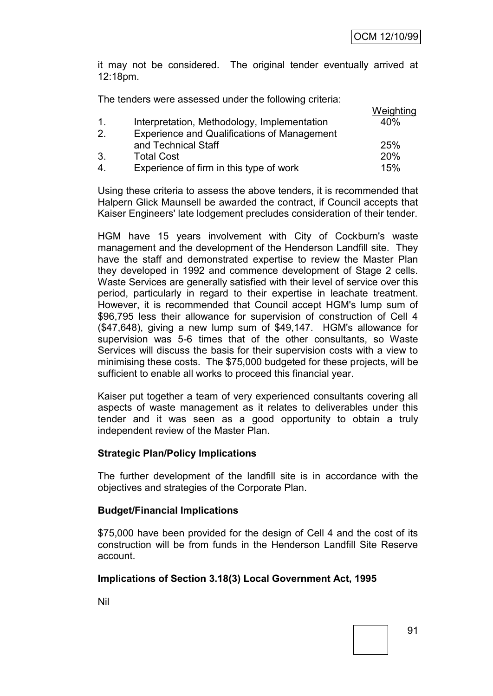it may not be considered. The original tender eventually arrived at 12:18pm.

The tenders were assessed under the following criteria:

|                |                                                    | Weighting |
|----------------|----------------------------------------------------|-----------|
| $\mathbf{1}$ . | Interpretation, Methodology, Implementation        | 40%       |
| 2.             | <b>Experience and Qualifications of Management</b> |           |
|                | and Technical Staff                                | 25%       |
| 3.             | <b>Total Cost</b>                                  | 20%       |
| $\mathbf{4}$   | Experience of firm in this type of work            | 15%       |
|                |                                                    |           |

Using these criteria to assess the above tenders, it is recommended that Halpern Glick Maunsell be awarded the contract, if Council accepts that Kaiser Engineers' late lodgement precludes consideration of their tender.

HGM have 15 years involvement with City of Cockburn's waste management and the development of the Henderson Landfill site. They have the staff and demonstrated expertise to review the Master Plan they developed in 1992 and commence development of Stage 2 cells. Waste Services are generally satisfied with their level of service over this period, particularly in regard to their expertise in leachate treatment. However, it is recommended that Council accept HGM's lump sum of \$96,795 less their allowance for supervision of construction of Cell 4 (\$47,648), giving a new lump sum of \$49,147. HGM's allowance for supervision was 5-6 times that of the other consultants, so Waste Services will discuss the basis for their supervision costs with a view to minimising these costs. The \$75,000 budgeted for these projects, will be sufficient to enable all works to proceed this financial year.

Kaiser put together a team of very experienced consultants covering all aspects of waste management as it relates to deliverables under this tender and it was seen as a good opportunity to obtain a truly independent review of the Master Plan.

## **Strategic Plan/Policy Implications**

The further development of the landfill site is in accordance with the objectives and strategies of the Corporate Plan.

#### **Budget/Financial Implications**

\$75,000 have been provided for the design of Cell 4 and the cost of its construction will be from funds in the Henderson Landfill Site Reserve account.

## **Implications of Section 3.18(3) Local Government Act, 1995**

Nil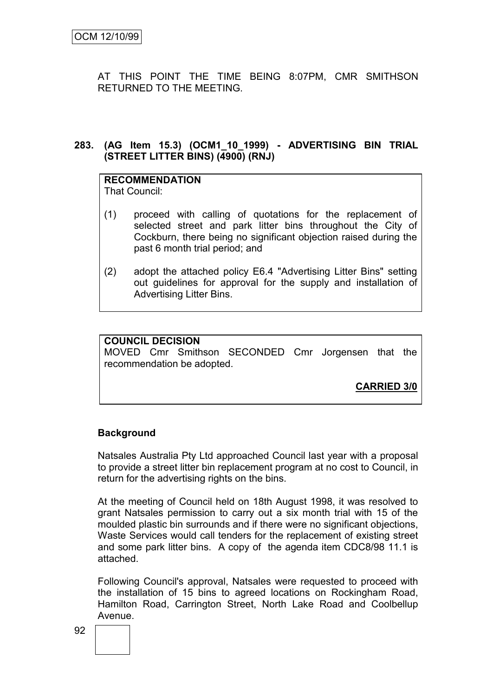AT THIS POINT THE TIME BEING 8:07PM, CMR SMITHSON RETURNED TO THE MEETING.

## **283. (AG Item 15.3) (OCM1\_10\_1999) - ADVERTISING BIN TRIAL (STREET LITTER BINS) (4900) (RNJ)**

#### **RECOMMENDATION** That Council:

- (1) proceed with calling of quotations for the replacement of selected street and park litter bins throughout the City of Cockburn, there being no significant objection raised during the past 6 month trial period; and
- (2) adopt the attached policy E6.4 "Advertising Litter Bins" setting out guidelines for approval for the supply and installation of Advertising Litter Bins.

## **COUNCIL DECISION**

MOVED Cmr Smithson SECONDED Cmr Jorgensen that the recommendation be adopted.

**CARRIED 3/0**

# **Background**

Natsales Australia Pty Ltd approached Council last year with a proposal to provide a street litter bin replacement program at no cost to Council, in return for the advertising rights on the bins.

At the meeting of Council held on 18th August 1998, it was resolved to grant Natsales permission to carry out a six month trial with 15 of the moulded plastic bin surrounds and if there were no significant objections, Waste Services would call tenders for the replacement of existing street and some park litter bins. A copy of the agenda item CDC8/98 11.1 is attached.

Following Council's approval, Natsales were requested to proceed with the installation of 15 bins to agreed locations on Rockingham Road, Hamilton Road, Carrington Street, North Lake Road and Coolbellup Avenue.

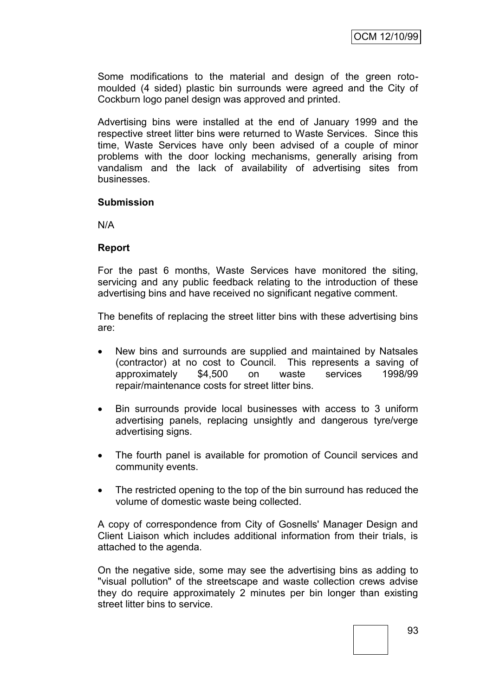Some modifications to the material and design of the green rotomoulded (4 sided) plastic bin surrounds were agreed and the City of Cockburn logo panel design was approved and printed.

Advertising bins were installed at the end of January 1999 and the respective street litter bins were returned to Waste Services. Since this time, Waste Services have only been advised of a couple of minor problems with the door locking mechanisms, generally arising from vandalism and the lack of availability of advertising sites from businesses.

#### **Submission**

N/A

#### **Report**

For the past 6 months, Waste Services have monitored the siting, servicing and any public feedback relating to the introduction of these advertising bins and have received no significant negative comment.

The benefits of replacing the street litter bins with these advertising bins are:

- New bins and surrounds are supplied and maintained by Natsales (contractor) at no cost to Council. This represents a saving of approximately \$4,500 on waste services 1998/99 repair/maintenance costs for street litter bins.
- Bin surrounds provide local businesses with access to 3 uniform advertising panels, replacing unsightly and dangerous tyre/verge advertising signs.
- The fourth panel is available for promotion of Council services and community events.
- The restricted opening to the top of the bin surround has reduced the volume of domestic waste being collected.

A copy of correspondence from City of Gosnells' Manager Design and Client Liaison which includes additional information from their trials, is attached to the agenda.

On the negative side, some may see the advertising bins as adding to "visual pollution" of the streetscape and waste collection crews advise they do require approximately 2 minutes per bin longer than existing street litter bins to service.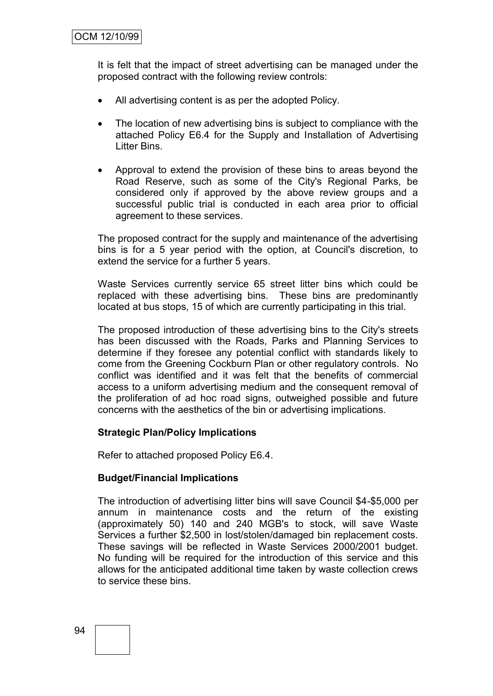It is felt that the impact of street advertising can be managed under the proposed contract with the following review controls:

- All advertising content is as per the adopted Policy.
- The location of new advertising bins is subject to compliance with the attached Policy E6.4 for the Supply and Installation of Advertising Litter Bins.
- Approval to extend the provision of these bins to areas beyond the Road Reserve, such as some of the City's Regional Parks, be considered only if approved by the above review groups and a successful public trial is conducted in each area prior to official agreement to these services.

The proposed contract for the supply and maintenance of the advertising bins is for a 5 year period with the option, at Council's discretion, to extend the service for a further 5 years.

Waste Services currently service 65 street litter bins which could be replaced with these advertising bins. These bins are predominantly located at bus stops, 15 of which are currently participating in this trial.

The proposed introduction of these advertising bins to the City's streets has been discussed with the Roads, Parks and Planning Services to determine if they foresee any potential conflict with standards likely to come from the Greening Cockburn Plan or other regulatory controls. No conflict was identified and it was felt that the benefits of commercial access to a uniform advertising medium and the consequent removal of the proliferation of ad hoc road signs, outweighed possible and future concerns with the aesthetics of the bin or advertising implications.

## **Strategic Plan/Policy Implications**

Refer to attached proposed Policy E6.4.

## **Budget/Financial Implications**

The introduction of advertising litter bins will save Council \$4-\$5,000 per annum in maintenance costs and the return of the existing (approximately 50) 140 and 240 MGB's to stock, will save Waste Services a further \$2,500 in lost/stolen/damaged bin replacement costs. These savings will be reflected in Waste Services 2000/2001 budget. No funding will be required for the introduction of this service and this allows for the anticipated additional time taken by waste collection crews to service these bins.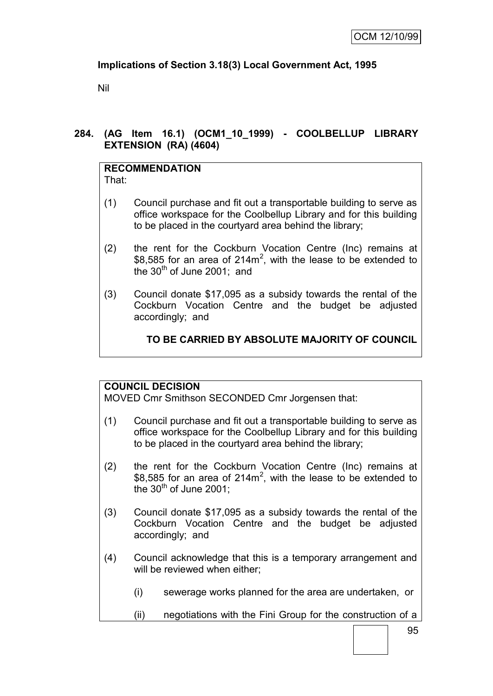# **Implications of Section 3.18(3) Local Government Act, 1995**

Nil

# **284. (AG Item 16.1) (OCM1\_10\_1999) - COOLBELLUP LIBRARY EXTENSION (RA) (4604)**

#### **RECOMMENDATION** That:

- (1) Council purchase and fit out a transportable building to serve as office workspace for the Coolbellup Library and for this building to be placed in the courtyard area behind the library;
- (2) the rent for the Cockburn Vocation Centre (Inc) remains at \$8,585 for an area of 214 $m^2$ , with the lease to be extended to the  $30<sup>th</sup>$  of June 2001; and
- (3) Council donate \$17,095 as a subsidy towards the rental of the Cockburn Vocation Centre and the budget be adjusted accordingly; and

# **TO BE CARRIED BY ABSOLUTE MAJORITY OF COUNCIL**

# **COUNCIL DECISION**

MOVED Cmr Smithson SECONDED Cmr Jorgensen that:

- (1) Council purchase and fit out a transportable building to serve as office workspace for the Coolbellup Library and for this building to be placed in the courtyard area behind the library;
- (2) the rent for the Cockburn Vocation Centre (Inc) remains at \$8,585 for an area of 214 $m^2$ , with the lease to be extended to the  $30<sup>th</sup>$  of June 2001:
- (3) Council donate \$17,095 as a subsidy towards the rental of the Cockburn Vocation Centre and the budget be adjusted accordingly; and
- (4) Council acknowledge that this is a temporary arrangement and will be reviewed when either;
	- (i) sewerage works planned for the area are undertaken, or
	- (ii) negotiations with the Fini Group for the construction of a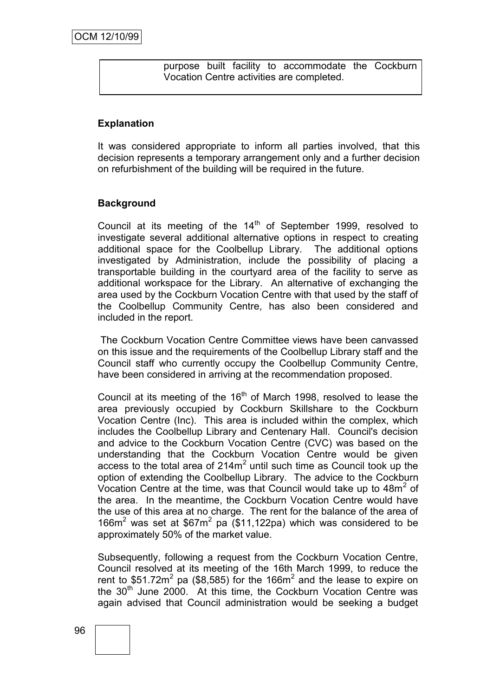purpose built facility to accommodate the Cockburn Vocation Centre activities are completed.

## **Explanation**

It was considered appropriate to inform all parties involved, that this decision represents a temporary arrangement only and a further decision on refurbishment of the building will be required in the future.

#### **Background**

Council at its meeting of the  $14<sup>th</sup>$  of September 1999, resolved to investigate several additional alternative options in respect to creating additional space for the Coolbellup Library. The additional options investigated by Administration, include the possibility of placing a transportable building in the courtyard area of the facility to serve as additional workspace for the Library. An alternative of exchanging the area used by the Cockburn Vocation Centre with that used by the staff of the Coolbellup Community Centre, has also been considered and included in the report.

The Cockburn Vocation Centre Committee views have been canvassed on this issue and the requirements of the Coolbellup Library staff and the Council staff who currently occupy the Coolbellup Community Centre, have been considered in arriving at the recommendation proposed.

Council at its meeting of the  $16<sup>th</sup>$  of March 1998, resolved to lease the area previously occupied by Cockburn Skillshare to the Cockburn Vocation Centre (Inc). This area is included within the complex, which includes the Coolbellup Library and Centenary Hall. Council's decision and advice to the Cockburn Vocation Centre (CVC) was based on the understanding that the Cockburn Vocation Centre would be given access to the total area of  $214m^2$  until such time as Council took up the option of extending the Coolbellup Library. The advice to the Cockburn Vocation Centre at the time, was that Council would take up to 48m<sup>2</sup> of the area. In the meantime, the Cockburn Vocation Centre would have the use of this area at no charge. The rent for the balance of the area of 166 $m<sup>2</sup>$  was set at \$67 $m<sup>2</sup>$  pa (\$11,122pa) which was considered to be approximately 50% of the market value.

Subsequently, following a request from the Cockburn Vocation Centre, Council resolved at its meeting of the 16th March 1999, to reduce the rent to \$51.72m<sup>2</sup> pa (\$8,585) for the 166m<sup>2</sup> and the lease to expire on the  $30<sup>th</sup>$  June 2000. At this time, the Cockburn Vocation Centre was again advised that Council administration would be seeking a budget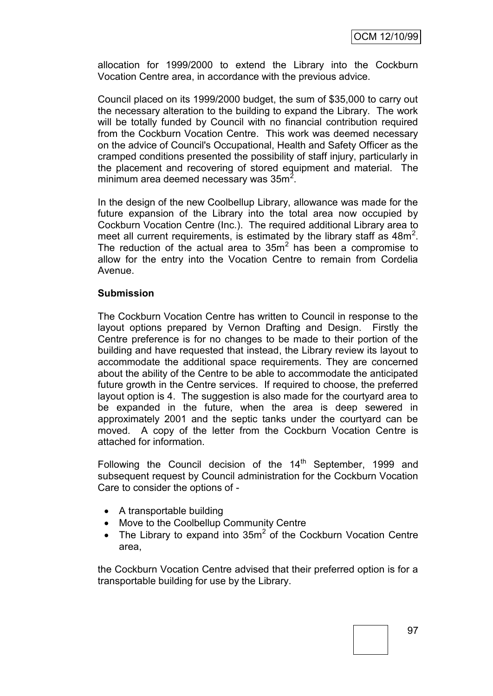allocation for 1999/2000 to extend the Library into the Cockburn Vocation Centre area, in accordance with the previous advice.

Council placed on its 1999/2000 budget, the sum of \$35,000 to carry out the necessary alteration to the building to expand the Library. The work will be totally funded by Council with no financial contribution required from the Cockburn Vocation Centre. This work was deemed necessary on the advice of Council's Occupational, Health and Safety Officer as the cramped conditions presented the possibility of staff injury, particularly in the placement and recovering of stored equipment and material. The minimum area deemed necessary was  $35m^2$ .

In the design of the new Coolbellup Library, allowance was made for the future expansion of the Library into the total area now occupied by Cockburn Vocation Centre (Inc.). The required additional Library area to meet all current requirements, is estimated by the library staff as  $48m^2$ . The reduction of the actual area to  $35m^2$  has been a compromise to allow for the entry into the Vocation Centre to remain from Cordelia Avenue.

#### **Submission**

The Cockburn Vocation Centre has written to Council in response to the layout options prepared by Vernon Drafting and Design. Firstly the Centre preference is for no changes to be made to their portion of the building and have requested that instead, the Library review its layout to accommodate the additional space requirements. They are concerned about the ability of the Centre to be able to accommodate the anticipated future growth in the Centre services. If required to choose, the preferred layout option is 4. The suggestion is also made for the courtyard area to be expanded in the future, when the area is deep sewered in approximately 2001 and the septic tanks under the courtyard can be moved. A copy of the letter from the Cockburn Vocation Centre is attached for information.

Following the Council decision of the  $14<sup>th</sup>$  September, 1999 and subsequent request by Council administration for the Cockburn Vocation Care to consider the options of -

- A transportable building
- Move to the Coolbellup Community Centre
- The Library to expand into  $35m^2$  of the Cockburn Vocation Centre area,

the Cockburn Vocation Centre advised that their preferred option is for a transportable building for use by the Library.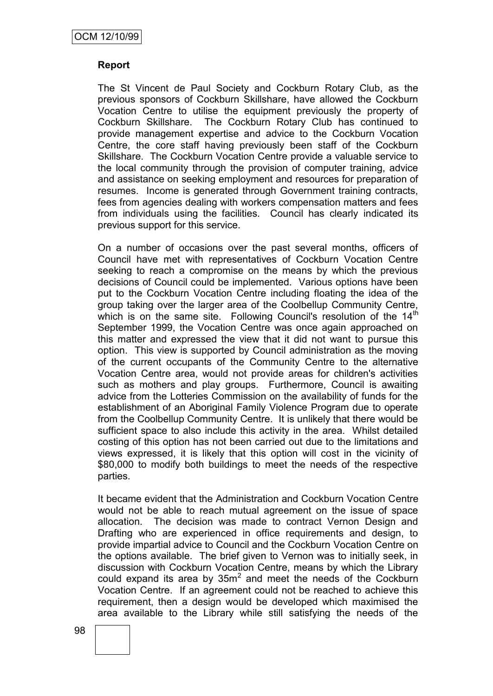### **Report**

The St Vincent de Paul Society and Cockburn Rotary Club, as the previous sponsors of Cockburn Skillshare, have allowed the Cockburn Vocation Centre to utilise the equipment previously the property of Cockburn Skillshare. The Cockburn Rotary Club has continued to provide management expertise and advice to the Cockburn Vocation Centre, the core staff having previously been staff of the Cockburn Skillshare. The Cockburn Vocation Centre provide a valuable service to the local community through the provision of computer training, advice and assistance on seeking employment and resources for preparation of resumes. Income is generated through Government training contracts, fees from agencies dealing with workers compensation matters and fees from individuals using the facilities. Council has clearly indicated its previous support for this service.

On a number of occasions over the past several months, officers of Council have met with representatives of Cockburn Vocation Centre seeking to reach a compromise on the means by which the previous decisions of Council could be implemented. Various options have been put to the Cockburn Vocation Centre including floating the idea of the group taking over the larger area of the Coolbellup Community Centre, which is on the same site. Following Council's resolution of the 14<sup>th</sup> September 1999, the Vocation Centre was once again approached on this matter and expressed the view that it did not want to pursue this option. This view is supported by Council administration as the moving of the current occupants of the Community Centre to the alternative Vocation Centre area, would not provide areas for children's activities such as mothers and play groups. Furthermore, Council is awaiting advice from the Lotteries Commission on the availability of funds for the establishment of an Aboriginal Family Violence Program due to operate from the Coolbellup Community Centre. It is unlikely that there would be sufficient space to also include this activity in the area. Whilst detailed costing of this option has not been carried out due to the limitations and views expressed, it is likely that this option will cost in the vicinity of \$80,000 to modify both buildings to meet the needs of the respective parties.

It became evident that the Administration and Cockburn Vocation Centre would not be able to reach mutual agreement on the issue of space allocation. The decision was made to contract Vernon Design and Drafting who are experienced in office requirements and design, to provide impartial advice to Council and the Cockburn Vocation Centre on the options available. The brief given to Vernon was to initially seek, in discussion with Cockburn Vocation Centre, means by which the Library could expand its area by  $35m^2$  and meet the needs of the Cockburn Vocation Centre. If an agreement could not be reached to achieve this requirement, then a design would be developed which maximised the area available to the Library while still satisfying the needs of the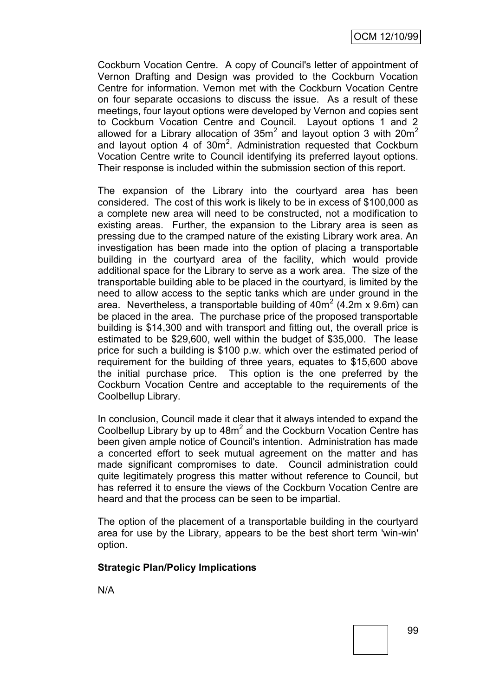Cockburn Vocation Centre. A copy of Council's letter of appointment of Vernon Drafting and Design was provided to the Cockburn Vocation Centre for information. Vernon met with the Cockburn Vocation Centre on four separate occasions to discuss the issue. As a result of these meetings, four layout options were developed by Vernon and copies sent to Cockburn Vocation Centre and Council. Layout options 1 and 2 allowed for a Library allocation of  $35m^2$  and layout option 3 with 20m<sup>2</sup> and layout option  $4$  of 30 $m^2$ . Administration requested that Cockburn Vocation Centre write to Council identifying its preferred layout options. Their response is included within the submission section of this report.

The expansion of the Library into the courtyard area has been considered. The cost of this work is likely to be in excess of \$100,000 as a complete new area will need to be constructed, not a modification to existing areas. Further, the expansion to the Library area is seen as pressing due to the cramped nature of the existing Library work area. An investigation has been made into the option of placing a transportable building in the courtyard area of the facility, which would provide additional space for the Library to serve as a work area. The size of the transportable building able to be placed in the courtyard, is limited by the need to allow access to the septic tanks which are under ground in the area. Nevertheless, a transportable building of  $40m^2$  (4.2m x 9.6m) can be placed in the area. The purchase price of the proposed transportable building is \$14,300 and with transport and fitting out, the overall price is estimated to be \$29,600, well within the budget of \$35,000. The lease price for such a building is \$100 p.w. which over the estimated period of requirement for the building of three years, equates to \$15,600 above the initial purchase price. This option is the one preferred by the Cockburn Vocation Centre and acceptable to the requirements of the Coolbellup Library.

In conclusion, Council made it clear that it always intended to expand the Coolbellup Library by up to  $48m^2$  and the Cockburn Vocation Centre has been given ample notice of Council's intention. Administration has made a concerted effort to seek mutual agreement on the matter and has made significant compromises to date. Council administration could quite legitimately progress this matter without reference to Council, but has referred it to ensure the views of the Cockburn Vocation Centre are heard and that the process can be seen to be impartial.

The option of the placement of a transportable building in the courtyard area for use by the Library, appears to be the best short term 'win-win' option.

## **Strategic Plan/Policy Implications**

N/A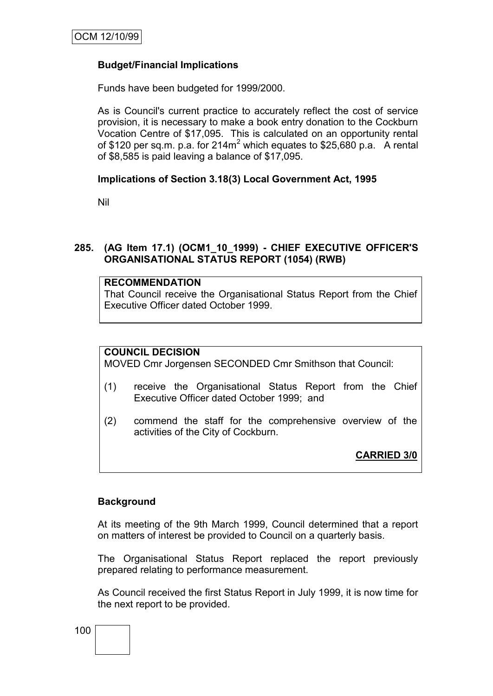# **Budget/Financial Implications**

Funds have been budgeted for 1999/2000.

As is Council's current practice to accurately reflect the cost of service provision, it is necessary to make a book entry donation to the Cockburn Vocation Centre of \$17,095. This is calculated on an opportunity rental of \$120 per sq.m. p.a. for  $214m^2$  which equates to \$25,680 p.a. A rental of \$8,585 is paid leaving a balance of \$17,095.

## **Implications of Section 3.18(3) Local Government Act, 1995**

Nil

## **285. (AG Item 17.1) (OCM1\_10\_1999) - CHIEF EXECUTIVE OFFICER'S ORGANISATIONAL STATUS REPORT (1054) (RWB)**

## **RECOMMENDATION**

That Council receive the Organisational Status Report from the Chief Executive Officer dated October 1999.

## **COUNCIL DECISION**

MOVED Cmr Jorgensen SECONDED Cmr Smithson that Council:

- (1) receive the Organisational Status Report from the Chief Executive Officer dated October 1999; and
- (2) commend the staff for the comprehensive overview of the activities of the City of Cockburn.

**CARRIED 3/0**

## **Background**

At its meeting of the 9th March 1999, Council determined that a report on matters of interest be provided to Council on a quarterly basis.

The Organisational Status Report replaced the report previously prepared relating to performance measurement.

As Council received the first Status Report in July 1999, it is now time for the next report to be provided.

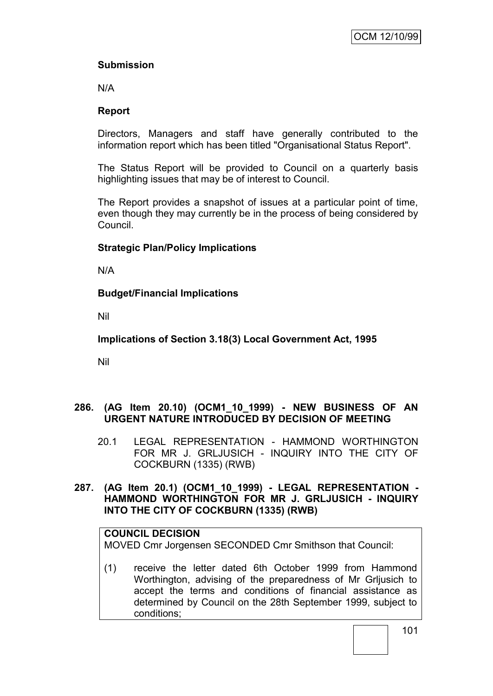# **Submission**

N/A

# **Report**

Directors, Managers and staff have generally contributed to the information report which has been titled "Organisational Status Report".

The Status Report will be provided to Council on a quarterly basis highlighting issues that may be of interest to Council.

The Report provides a snapshot of issues at a particular point of time, even though they may currently be in the process of being considered by Council.

# **Strategic Plan/Policy Implications**

N/A

# **Budget/Financial Implications**

Nil

**Implications of Section 3.18(3) Local Government Act, 1995**

Nil

# **286. (AG Item 20.10) (OCM1\_10\_1999) - NEW BUSINESS OF AN URGENT NATURE INTRODUCED BY DECISION OF MEETING**

20.1 LEGAL REPRESENTATION - HAMMOND WORTHINGTON FOR MR J. GRLJUSICH - INQUIRY INTO THE CITY OF COCKBURN (1335) (RWB)

## **287. (AG Item 20.1) (OCM1\_10\_1999) - LEGAL REPRESENTATION - HAMMOND WORTHINGTON FOR MR J. GRLJUSICH - INQUIRY INTO THE CITY OF COCKBURN (1335) (RWB)**

# **COUNCIL DECISION**

MOVED Cmr Jorgensen SECONDED Cmr Smithson that Council:

(1) receive the letter dated 6th October 1999 from Hammond Worthington, advising of the preparedness of Mr Grljusich to accept the terms and conditions of financial assistance as determined by Council on the 28th September 1999, subject to conditions;